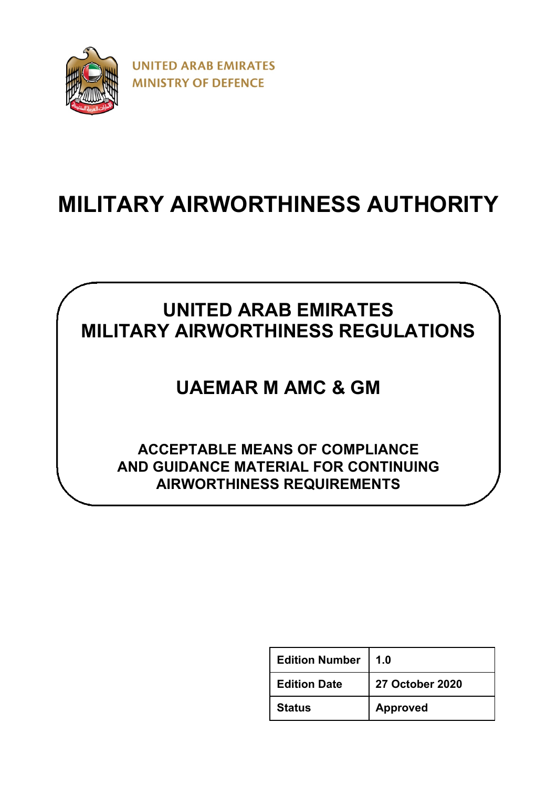

# **MILITARY AIRWORTHINESS AUTHORITY**

## **UNITED ARAB EMIRATES MILITARY AIRWORTHINESS REGULATIONS**

## **UAEMAR M AMC & GM**

### **ACCEPTABLE MEANS OF COMPLIANCE AND GUIDANCE MATERIAL FOR CONTINUING AIRWORTHINESS REQUIREMENTS**

| Edition Number   1.0 |                        |
|----------------------|------------------------|
| <b>Edition Date</b>  | <b>27 October 2020</b> |
| <b>Status</b>        | <b>Approved</b>        |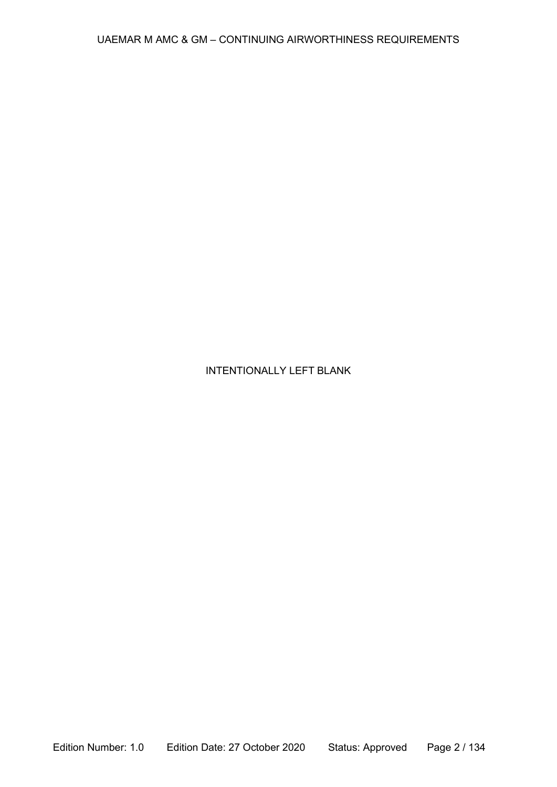#### INTENTIONALLY LEFT BLANK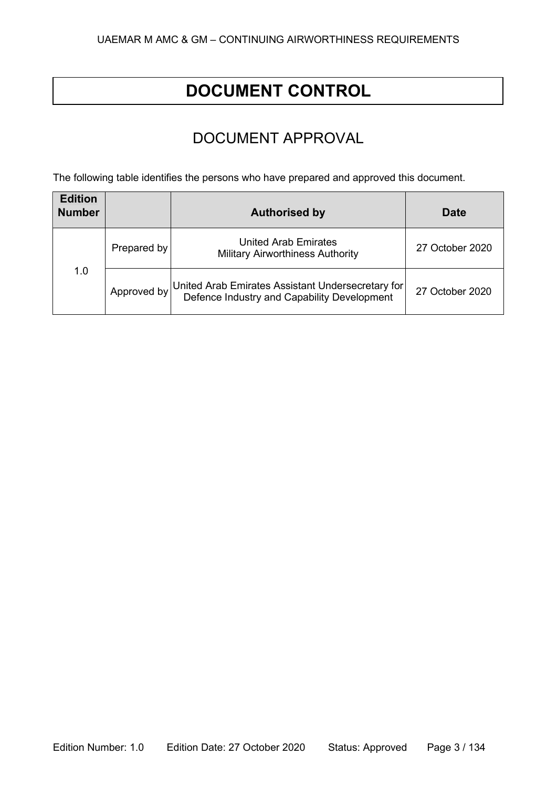### **DOCUMENT CONTROL**

### DOCUMENT APPROVAL

The following table identifies the persons who have prepared and approved this document.

| <b>Edition</b><br><b>Number</b> |             | <b>Authorised by</b>                                                                             | Date            |
|---------------------------------|-------------|--------------------------------------------------------------------------------------------------|-----------------|
|                                 | Prepared by | <b>United Arab Emirates</b><br><b>Military Airworthiness Authority</b>                           | 27 October 2020 |
| 1.0                             | Approved by | United Arab Emirates Assistant Undersecretary for<br>Defence Industry and Capability Development | 27 October 2020 |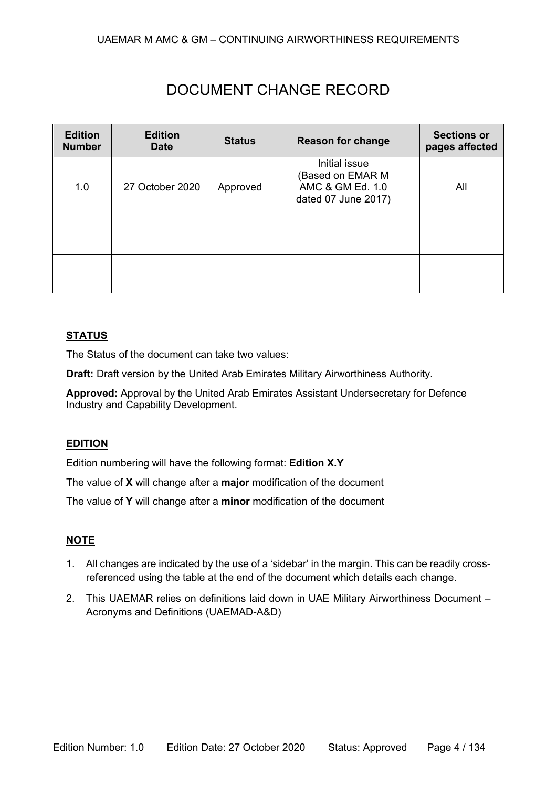### DOCUMENT CHANGE RECORD

| <b>Edition</b><br><b>Number</b> | <b>Edition</b><br><b>Date</b> | <b>Status</b> | <b>Reason for change</b>                                                     | <b>Sections or</b><br>pages affected |
|---------------------------------|-------------------------------|---------------|------------------------------------------------------------------------------|--------------------------------------|
| 1.0                             | 27 October 2020               | Approved      | Initial issue<br>(Based on EMAR M<br>AMC & GM Ed. 1.0<br>dated 07 June 2017) | All                                  |
|                                 |                               |               |                                                                              |                                      |
|                                 |                               |               |                                                                              |                                      |
|                                 |                               |               |                                                                              |                                      |
|                                 |                               |               |                                                                              |                                      |

#### **STATUS**

The Status of the document can take two values:

**Draft:** Draft version by the United Arab Emirates Military Airworthiness Authority.

**Approved:** Approval by the United Arab Emirates Assistant Undersecretary for Defence Industry and Capability Development.

#### **EDITION**

Edition numbering will have the following format: **Edition X.Y**

The value of **X** will change after a **major** modification of the document

The value of **Y** will change after a **minor** modification of the document

#### **NOTE**

- 1. All changes are indicated by the use of a 'sidebar' in the margin. This can be readily crossreferenced using the table at the end of the document which details each change.
- 2. This UAEMAR relies on definitions laid down in UAE Military Airworthiness Document Acronyms and Definitions (UAEMAD-A&D)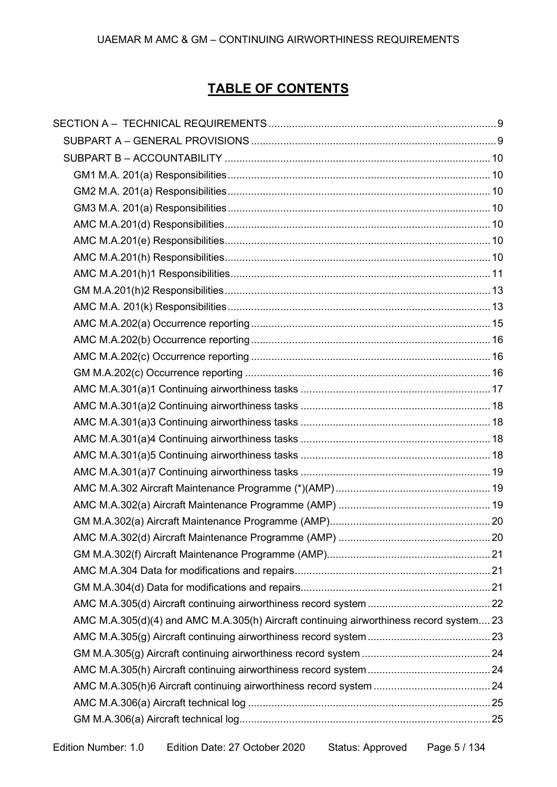### **TABLE OF CONTENTS**

| AMC M.A.305(d)(4) and AMC M.A.305(h) Aircraft continuing airworthiness record system 23 |  |
|-----------------------------------------------------------------------------------------|--|
|                                                                                         |  |
|                                                                                         |  |
|                                                                                         |  |
|                                                                                         |  |
|                                                                                         |  |
|                                                                                         |  |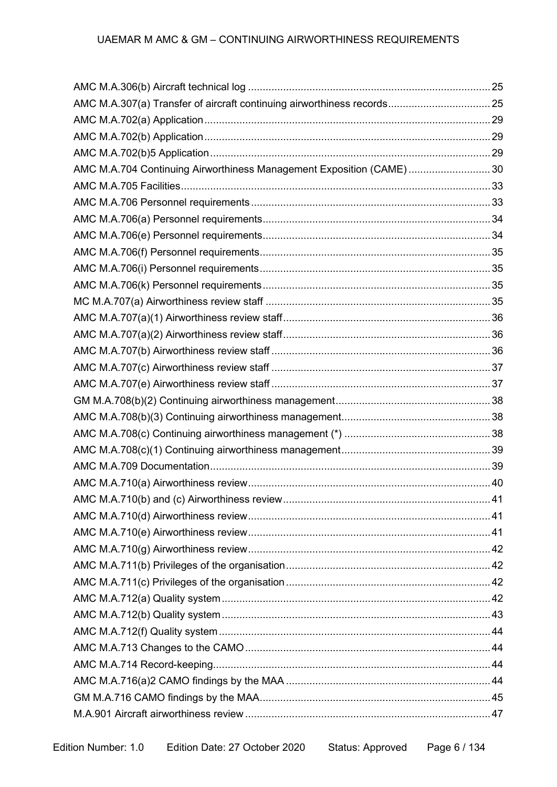| AMC M.A.307(a) Transfer of aircraft continuing airworthiness records 25 |  |
|-------------------------------------------------------------------------|--|
|                                                                         |  |
|                                                                         |  |
|                                                                         |  |
| AMC M.A.704 Continuing Airworthiness Management Exposition (CAME) 30    |  |
|                                                                         |  |
|                                                                         |  |
|                                                                         |  |
|                                                                         |  |
|                                                                         |  |
|                                                                         |  |
|                                                                         |  |
|                                                                         |  |
|                                                                         |  |
|                                                                         |  |
|                                                                         |  |
|                                                                         |  |
|                                                                         |  |
|                                                                         |  |
|                                                                         |  |
|                                                                         |  |
|                                                                         |  |
|                                                                         |  |
|                                                                         |  |
|                                                                         |  |
|                                                                         |  |
|                                                                         |  |
|                                                                         |  |
|                                                                         |  |
|                                                                         |  |
|                                                                         |  |
|                                                                         |  |
|                                                                         |  |
|                                                                         |  |
|                                                                         |  |
|                                                                         |  |
|                                                                         |  |
|                                                                         |  |
|                                                                         |  |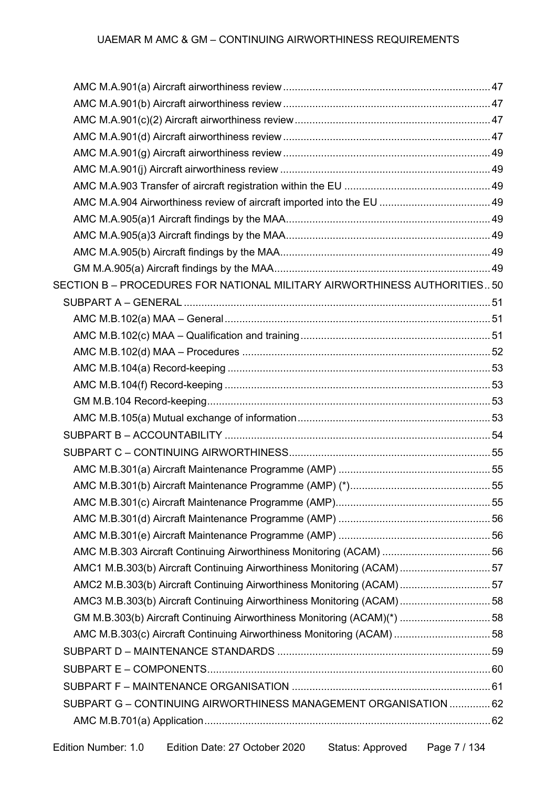| AMC M.A.904 Airworthiness review of aircraft imported into the EU  49    |  |
|--------------------------------------------------------------------------|--|
|                                                                          |  |
|                                                                          |  |
|                                                                          |  |
|                                                                          |  |
| SECTION B - PROCEDURES FOR NATIONAL MILITARY AIRWORTHINESS AUTHORITIES50 |  |
|                                                                          |  |
|                                                                          |  |
|                                                                          |  |
|                                                                          |  |
|                                                                          |  |
|                                                                          |  |
|                                                                          |  |
|                                                                          |  |
|                                                                          |  |
|                                                                          |  |
|                                                                          |  |
|                                                                          |  |
|                                                                          |  |
|                                                                          |  |
|                                                                          |  |
|                                                                          |  |
| AMC1 M.B.303(b) Aircraft Continuing Airworthiness Monitoring (ACAM)57    |  |
| AMC2 M.B.303(b) Aircraft Continuing Airworthiness Monitoring (ACAM)57    |  |
| AMC3 M.B.303(b) Aircraft Continuing Airworthiness Monitoring (ACAM)58    |  |
| GM M.B.303(b) Aircraft Continuing Airworthiness Monitoring (ACAM)(*) 58  |  |
| AMC M.B.303(c) Aircraft Continuing Airworthiness Monitoring (ACAM) 58    |  |
|                                                                          |  |
|                                                                          |  |
|                                                                          |  |
| SUBPART G - CONTINUING AIRWORTHINESS MANAGEMENT ORGANISATION  62         |  |
|                                                                          |  |
|                                                                          |  |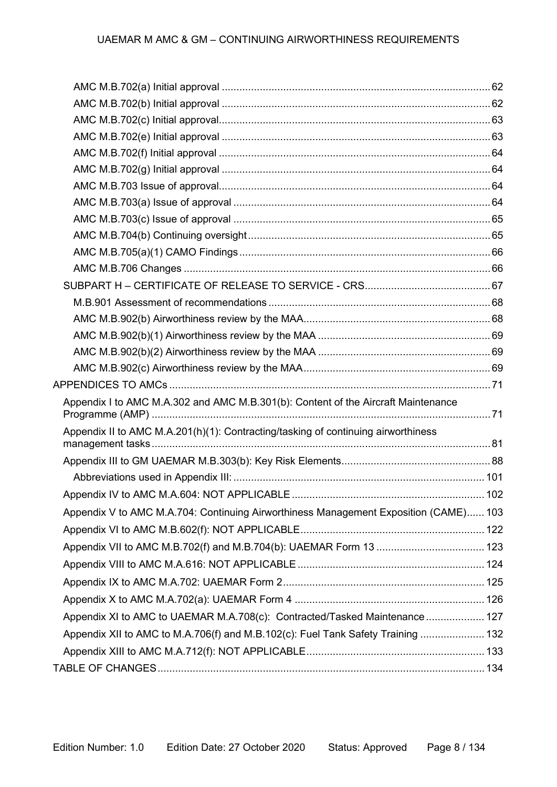| Appendix I to AMC M.A.302 and AMC M.B.301(b): Content of the Aircraft Maintenance    |  |
|--------------------------------------------------------------------------------------|--|
| Appendix II to AMC M.A.201(h)(1): Contracting/tasking of continuing airworthiness    |  |
|                                                                                      |  |
|                                                                                      |  |
|                                                                                      |  |
| Appendix V to AMC M.A.704: Continuing Airworthiness Management Exposition (CAME) 103 |  |
|                                                                                      |  |
|                                                                                      |  |
|                                                                                      |  |
|                                                                                      |  |
|                                                                                      |  |
| Appendix XI to AMC to UAEMAR M.A.708(c): Contracted/Tasked Maintenance  127          |  |
| Appendix XII to AMC to M.A.706(f) and M.B.102(c): Fuel Tank Safety Training  132     |  |
|                                                                                      |  |
|                                                                                      |  |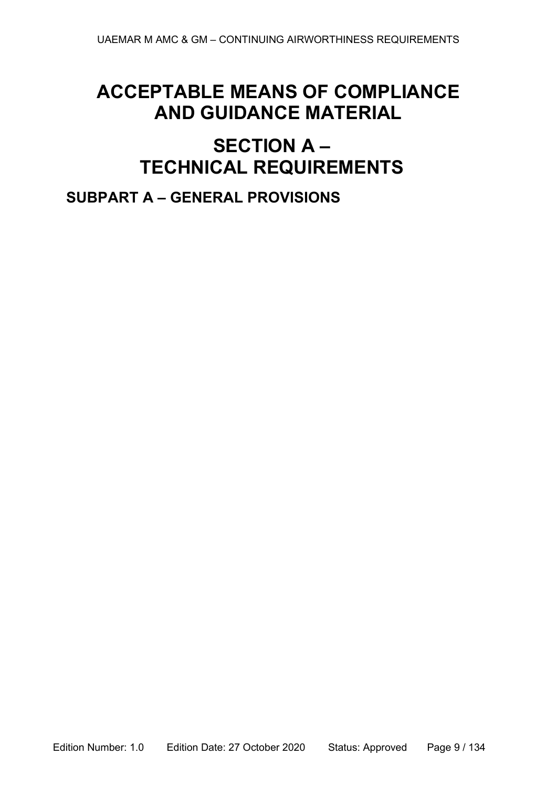## **ACCEPTABLE MEANS OF COMPLIANCE AND GUIDANCE MATERIAL**

## **SECTION A – TECHNICAL REQUIREMENTS**

<span id="page-8-1"></span><span id="page-8-0"></span>**SUBPART A – GENERAL PROVISIONS**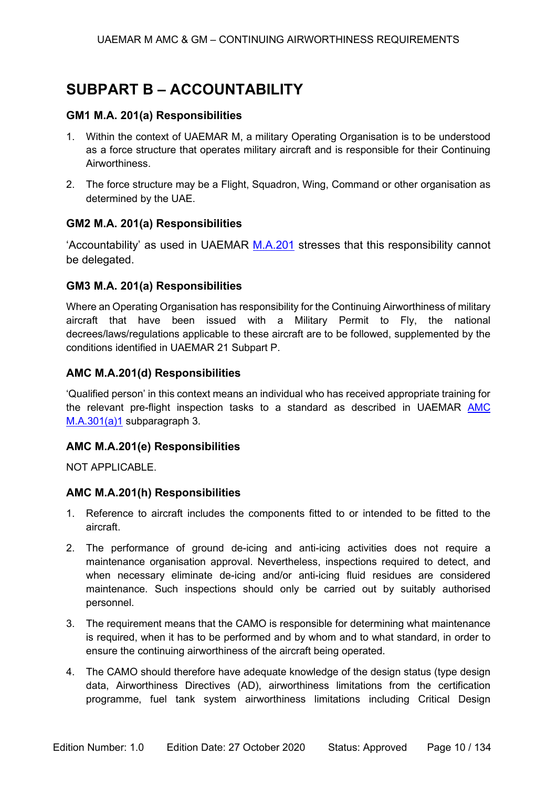### <span id="page-9-0"></span>**SUBPART B – ACCOUNTABILITY**

#### <span id="page-9-1"></span>**GM1 M.A. 201(a) Responsibilities**

- 1. Within the context of UAEMAR M, a military Operating Organisation is to be understood as a force structure that operates military aircraft and is responsible for their Continuing Airworthiness.
- 2. The force structure may be a Flight, Squadron, Wing, Command or other organisation as determined by the UAE.

#### <span id="page-9-2"></span>**GM2 M.A. 201(a) Responsibilities**

'Accountability' as used in UAEMAR M.A.201 stresses that this responsibility cannot be delegated.

#### <span id="page-9-3"></span>**GM3 M.A. 201(a) Responsibilities**

Where an Operating Organisation has responsibility for the Continuing Airworthiness of military aircraft that have been issued with a Military Permit to Fly, the national decrees/laws/regulations applicable to these aircraft are to be followed, supplemented by the conditions identified in UAEMAR 21 Subpart P.

#### <span id="page-9-4"></span>**AMC M.A.201(d) Responsibilities**

'Qualified person' in this context means an individual who has received appropriate training for the relevant pre-flight inspection tasks to a standard as described in UAEMAR AMC M.A.301(a)1 subparagraph 3.

#### <span id="page-9-5"></span>**AMC M.A.201(e) Responsibilities**

NOT APPLICABLE.

#### <span id="page-9-6"></span>**AMC M.A.201(h) Responsibilities**

- 1. Reference to aircraft includes the components fitted to or intended to be fitted to the aircraft.
- 2. The performance of ground de-icing and anti-icing activities does not require a maintenance organisation approval. Nevertheless, inspections required to detect, and when necessary eliminate de-icing and/or anti-icing fluid residues are considered maintenance. Such inspections should only be carried out by suitably authorised personnel.
- 3. The requirement means that the CAMO is responsible for determining what maintenance is required, when it has to be performed and by whom and to what standard, in order to ensure the continuing airworthiness of the aircraft being operated.
- 4. The CAMO should therefore have adequate knowledge of the design status (type design data, Airworthiness Directives (AD), airworthiness limitations from the certification programme, fuel tank system airworthiness limitations including Critical Design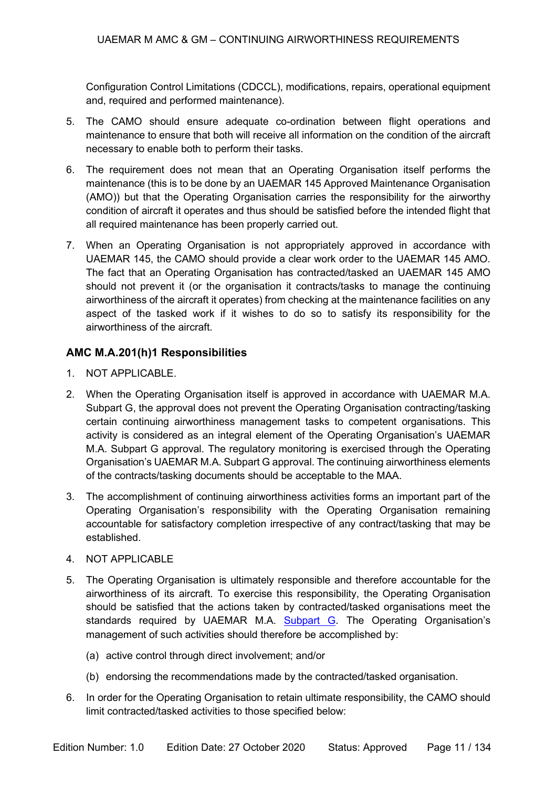Configuration Control Limitations (CDCCL), modifications, repairs, operational equipment and, required and performed maintenance).

- 5. The CAMO should ensure adequate co-ordination between flight operations and maintenance to ensure that both will receive all information on the condition of the aircraft necessary to enable both to perform their tasks.
- 6. The requirement does not mean that an Operating Organisation itself performs the maintenance (this is to be done by an UAEMAR 145 Approved Maintenance Organisation (AMO)) but that the Operating Organisation carries the responsibility for the airworthy condition of aircraft it operates and thus should be satisfied before the intended flight that all required maintenance has been properly carried out.
- 7. When an Operating Organisation is not appropriately approved in accordance with UAEMAR 145, the CAMO should provide a clear work order to the UAEMAR 145 AMO. The fact that an Operating Organisation has contracted/tasked an UAEMAR 145 AMO should not prevent it (or the organisation it contracts/tasks to manage the continuing airworthiness of the aircraft it operates) from checking at the maintenance facilities on any aspect of the tasked work if it wishes to do so to satisfy its responsibility for the airworthiness of the aircraft.

#### <span id="page-10-0"></span>**AMC M.A.201(h)1 Responsibilities**

- 1. NOT APPLICABLE.
- 2. When the Operating Organisation itself is approved in accordance with UAEMAR M.A. Subpart G, the approval does not prevent the Operating Organisation contracting/tasking certain continuing airworthiness management tasks to competent organisations. This activity is considered as an integral element of the Operating Organisation's UAEMAR M.A. Subpart G approval. The regulatory monitoring is exercised through the Operating Organisation's UAEMAR M.A. Subpart G approval. The continuing airworthiness elements of the contracts/tasking documents should be acceptable to the MAA.
- 3. The accomplishment of continuing airworthiness activities forms an important part of the Operating Organisation's responsibility with the Operating Organisation remaining accountable for satisfactory completion irrespective of any contract/tasking that may be established.
- 4. NOT APPLICABLE
- 5. The Operating Organisation is ultimately responsible and therefore accountable for the airworthiness of its aircraft. To exercise this responsibility, the Operating Organisation should be satisfied that the actions taken by contracted/tasked organisations meet the standards required by UAEMAR M.A. Subpart G. The Operating Organisation's management of such activities should therefore be accomplished by:
	- (a) active control through direct involvement; and/or
	- (b) endorsing the recommendations made by the contracted/tasked organisation.
- 6. In order for the Operating Organisation to retain ultimate responsibility, the CAMO should limit contracted/tasked activities to those specified below: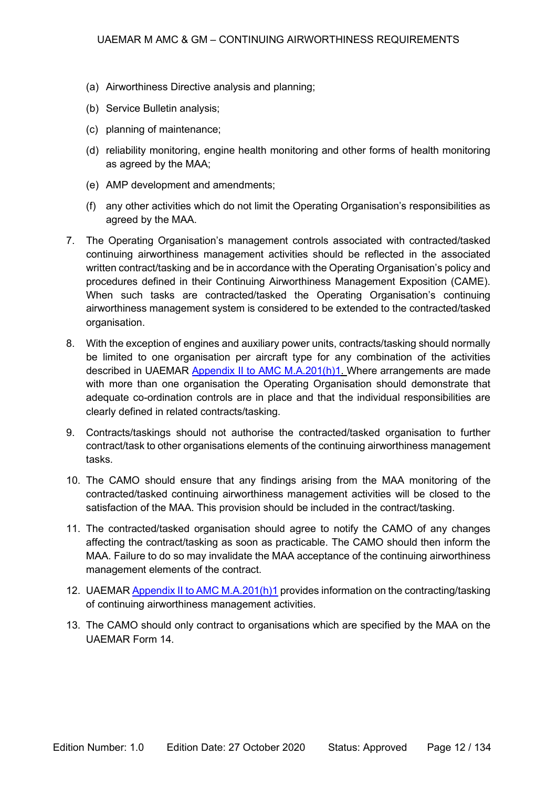- (a) Airworthiness Directive analysis and planning;
- (b) Service Bulletin analysis;
- (c) planning of maintenance;
- (d) reliability monitoring, engine health monitoring and other forms of health monitoring as agreed by the MAA;
- (e) AMP development and amendments;
- (f) any other activities which do not limit the Operating Organisation's responsibilities as agreed by the MAA.
- 7. The Operating Organisation's management controls associated with contracted/tasked continuing airworthiness management activities should be reflected in the associated written contract/tasking and be in accordance with the Operating Organisation's policy and procedures defined in their Continuing Airworthiness Management Exposition (CAME). When such tasks are contracted/tasked the Operating Organisation's continuing airworthiness management system is considered to be extended to the contracted/tasked organisation.
- 8. With the exception of engines and auxiliary power units, contracts/tasking should normally be limited to one organisation per aircraft type for any combination of the activities described in UAEMAR [Appendix II to AMC M.A.201\(h\)1. W](#page-79-0)here arrangements are made with more than one organisation the Operating Organisation should demonstrate that adequate co-ordination controls are in place and that the individual responsibilities are clearly defined in related contracts/tasking.
- 9. Contracts/taskings should not authorise the contracted/tasked organisation to further contract/task to other organisations elements of the continuing airworthiness management tasks.
- 10. The CAMO should ensure that any findings arising from the MAA monitoring of the contracted/tasked continuing airworthiness management activities will be closed to the satisfaction of the MAA. This provision should be included in the contract/tasking.
- 11. The contracted/tasked organisation should agree to notify the CAMO of any changes affecting the contract/tasking as soon as practicable. The CAMO should then inform the MAA. Failure to do so may invalidate the MAA acceptance of the continuing airworthiness management elements of the contract.
- 12. UAEMA[R Appendix II to AMC M.A.201\(h\)1](#page-79-0) provides information on the contracting/tasking of continuing airworthiness management activities.
- 13. The CAMO should only contract to organisations which are specified by the MAA on the UAEMAR Form 14.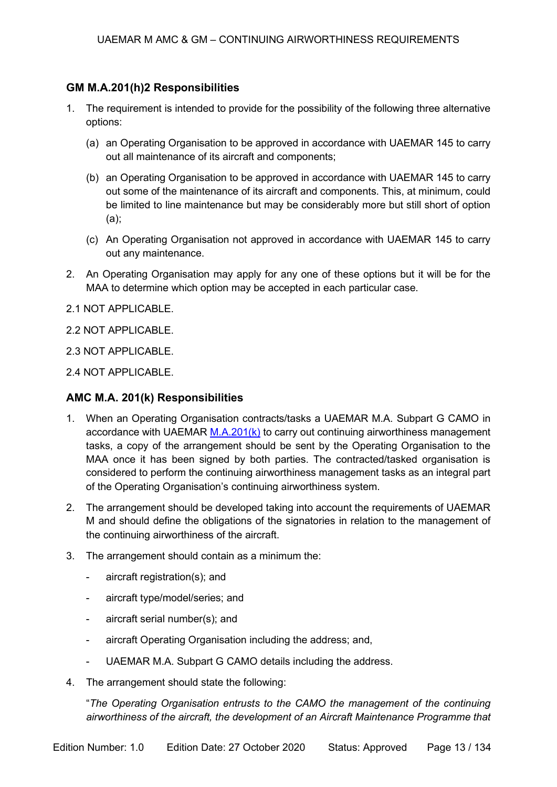#### <span id="page-12-0"></span>**GM M.A.201(h)2 Responsibilities**

- 1. The requirement is intended to provide for the possibility of the following three alternative options:
	- (a) an Operating Organisation to be approved in accordance with UAEMAR 145 to carry out all maintenance of its aircraft and components;
	- (b) an Operating Organisation to be approved in accordance with UAEMAR 145 to carry out some of the maintenance of its aircraft and components. This, at minimum, could be limited to line maintenance but may be considerably more but still short of option (a);
	- (c) An Operating Organisation not approved in accordance with UAEMAR 145 to carry out any maintenance.
- 2. An Operating Organisation may apply for any one of these options but it will be for the MAA to determine which option may be accepted in each particular case.
- 2.1 NOT APPLICABLE.
- 2.2 NOT APPLICABLE.
- 2.3 NOT APPLICABLE.
- 2.4 NOT APPLICABLE.

#### <span id="page-12-1"></span>**AMC M.A. 201(k) Responsibilities**

- 1. When an Operating Organisation contracts/tasks a UAEMAR M.A. Subpart G CAMO in accordance with UAEMAR  $M.A.201(k)$  to carry out continuing airworthiness management tasks, a copy of the arrangement should be sent by the Operating Organisation to the MAA once it has been signed by both parties. The contracted/tasked organisation is considered to perform the continuing airworthiness management tasks as an integral part of the Operating Organisation's continuing airworthiness system.
- 2. The arrangement should be developed taking into account the requirements of UAEMAR M and should define the obligations of the signatories in relation to the management of the continuing airworthiness of the aircraft.
- 3. The arrangement should contain as a minimum the:
	- aircraft registration(s); and
	- aircraft type/model/series; and
	- aircraft serial number(s); and
	- aircraft Operating Organisation including the address; and,
	- UAEMAR M.A. Subpart G CAMO details including the address.
- 4. The arrangement should state the following:

"*The Operating Organisation entrusts to the CAMO the management of the continuing airworthiness of the aircraft, the development of an Aircraft Maintenance Programme that*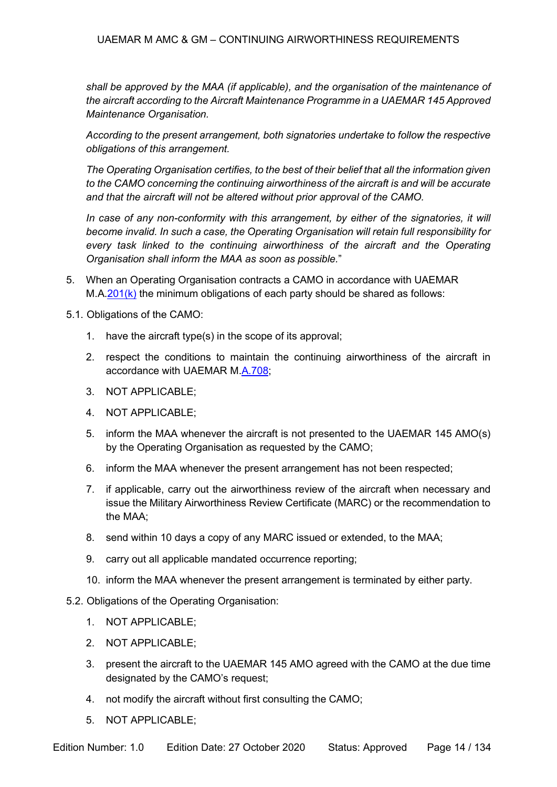*shall be approved by the MAA (if applicable), and the organisation of the maintenance of the aircraft according to the Aircraft Maintenance Programme in a UAEMAR 145 Approved Maintenance Organisation.*

*According to the present arrangement, both signatories undertake to follow the respective obligations of this arrangement.*

*The Operating Organisation certifies, to the best of their belief that all the information given to the CAMO concerning the continuing airworthiness of the aircraft is and will be accurate and that the aircraft will not be altered without prior approval of the CAMO.*

*In case of any non-conformity with this arrangement, by either of the signatories, it will become invalid. In such a case, the Operating Organisation will retain full responsibility for every task linked to the continuing airworthiness of the aircraft and the Operating Organisation shall inform the MAA as soon as possible.*"

- 5. When an Operating Organisation contracts a CAMO in accordance with UAEMAR  $M.A.201(k)$  the minimum obligations of each party should be shared as follows:
- 5.1. Obligations of the CAMO:
	- 1. have the aircraft type(s) in the scope of its approval;
	- 2. respect the conditions to maintain the continuing airworthiness of the aircraft in accordance with UAEMAR M.A.708;
	- 3. NOT APPLICABLE;
	- 4. NOT APPLICABLE;
	- 5. inform the MAA whenever the aircraft is not presented to the UAEMAR 145 AMO(s) by the Operating Organisation as requested by the CAMO;
	- 6. inform the MAA whenever the present arrangement has not been respected;
	- 7. if applicable, carry out the airworthiness review of the aircraft when necessary and issue the Military Airworthiness Review Certificate (MARC) or the recommendation to the MAA;
	- 8. send within 10 days a copy of any MARC issued or extended, to the MAA;
	- 9. carry out all applicable mandated occurrence reporting;
	- 10. inform the MAA whenever the present arrangement is terminated by either party.
- 5.2. Obligations of the Operating Organisation:
	- 1. NOT APPLICABLE;
	- 2. NOT APPLICABLE;
	- 3. present the aircraft to the UAEMAR 145 AMO agreed with the CAMO at the due time designated by the CAMO's request;
	- 4. not modify the aircraft without first consulting the CAMO;
	- 5. NOT APPLICABLE;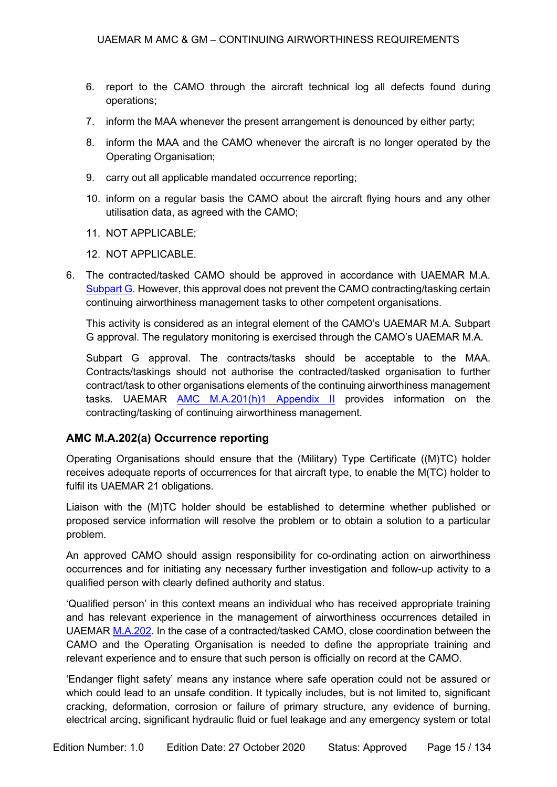- 6. report to the CAMO through the aircraft technical log all defects found during operations;
- 7. inform the MAA whenever the present arrangement is denounced by either party;
- 8. inform the MAA and the CAMO whenever the aircraft is no longer operated by the Operating Organisation;
- 9. carry out all applicable mandated occurrence reporting;
- 10. inform on a regular basis the CAMO about the aircraft flying hours and any other utilisation data, as agreed with the CAMO;
- 11. NOT APPLICABLE;
- 12. NOT APPLICABLE.
- 6. The contracted/tasked CAMO should be approved in accordance with UAEMAR M.A. Subpart G. However, this approval does not prevent the CAMO contracting/tasking certain continuing airworthiness management tasks to other competent organisations.

This activity is considered as an integral element of the CAMO's UAEMAR M.A. Subpart G approval. The regulatory monitoring is exercised through the CAMO's UAEMAR M.A.

Subpart G approval. The contracts/tasks should be acceptable to the MAA. Contracts/taskings should not authorise the contracted/tasked organisation to further contract/task to other organisations elements of the continuing airworthiness management tasks. UAEMAR AMC M.A.201(h)1 Appendix II provides information on the contracting/tasking of continuing airworthiness management.

#### <span id="page-14-0"></span>**AMC M.A.202(a) Occurrence reporting**

Operating Organisations should ensure that the (Military) Type Certificate ((M)TC) holder receives adequate reports of occurrences for that aircraft type, to enable the M(TC) holder to fulfil its UAEMAR 21 obligations.

Liaison with the (M)TC holder should be established to determine whether published or proposed service information will resolve the problem or to obtain a solution to a particular problem.

An approved CAMO should assign responsibility for co-ordinating action on airworthiness occurrences and for initiating any necessary further investigation and follow-up activity to a qualified person with clearly defined authority and status.

'Qualified person' in this context means an individual who has received appropriate training and has relevant experience in the management of airworthiness occurrences detailed in UAEMAR M.A.202. In the case of a contracted/tasked CAMO, close coordination between the CAMO and the Operating Organisation is needed to define the appropriate training and relevant experience and to ensure that such person is officially on record at the CAMO.

'Endanger flight safety' means any instance where safe operation could not be assured or which could lead to an unsafe condition. It typically includes, but is not limited to, significant cracking, deformation, corrosion or failure of primary structure, any evidence of burning, electrical arcing, significant hydraulic fluid or fuel leakage and any emergency system or total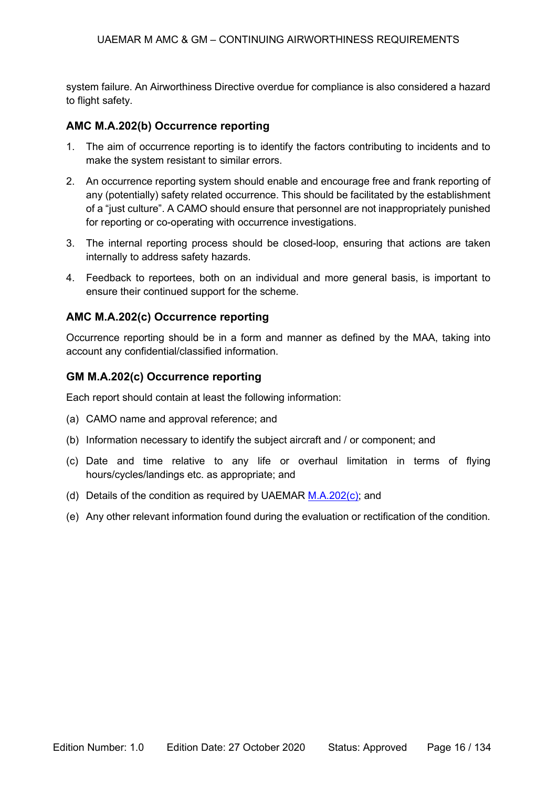system failure. An Airworthiness Directive overdue for compliance is also considered a hazard to flight safety.

#### <span id="page-15-0"></span>**AMC M.A.202(b) Occurrence reporting**

- 1. The aim of occurrence reporting is to identify the factors contributing to incidents and to make the system resistant to similar errors.
- 2. An occurrence reporting system should enable and encourage free and frank reporting of any (potentially) safety related occurrence. This should be facilitated by the establishment of a "just culture". A CAMO should ensure that personnel are not inappropriately punished for reporting or co-operating with occurrence investigations.
- 3. The internal reporting process should be closed-loop, ensuring that actions are taken internally to address safety hazards.
- 4. Feedback to reportees, both on an individual and more general basis, is important to ensure their continued support for the scheme.

#### <span id="page-15-1"></span>**AMC M.A.202(c) Occurrence reporting**

Occurrence reporting should be in a form and manner as defined by the MAA, taking into account any confidential/classified information.

#### <span id="page-15-2"></span>**GM M.A.202(c) Occurrence reporting**

Each report should contain at least the following information:

- (a) CAMO name and approval reference; and
- (b) Information necessary to identify the subject aircraft and / or component; and
- (c) Date and time relative to any life or overhaul limitation in terms of flying hours/cycles/landings etc. as appropriate; and
- (d) Details of the condition as required by UAEMAR M.A.202(c); and
- (e) Any other relevant information found during the evaluation or rectification of the condition.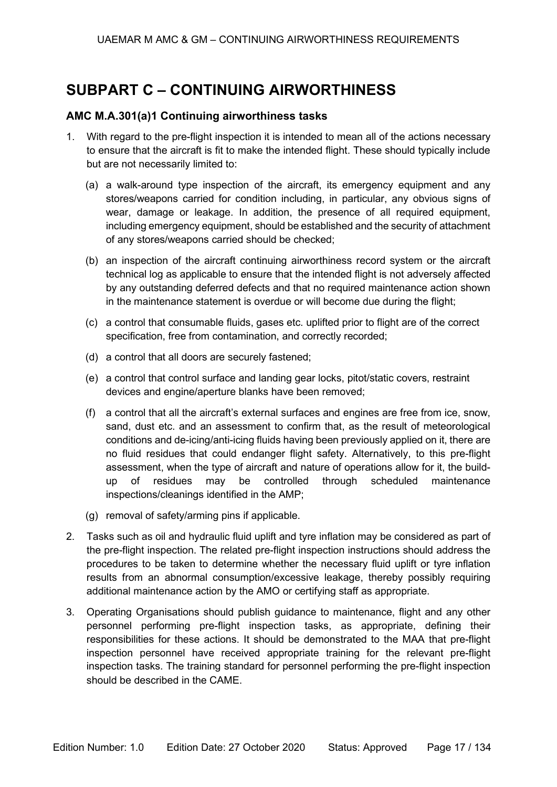### **SUBPART C – CONTINUING AIRWORTHINESS**

#### <span id="page-16-0"></span>**AMC M.A.301(a)1 Continuing airworthiness tasks**

- 1. With regard to the pre-flight inspection it is intended to mean all of the actions necessary to ensure that the aircraft is fit to make the intended flight. These should typically include but are not necessarily limited to:
	- (a) a walk-around type inspection of the aircraft, its emergency equipment and any stores/weapons carried for condition including, in particular, any obvious signs of wear, damage or leakage. In addition, the presence of all required equipment, including emergency equipment, should be established and the security of attachment of any stores/weapons carried should be checked;
	- (b) an inspection of the aircraft continuing airworthiness record system or the aircraft technical log as applicable to ensure that the intended flight is not adversely affected by any outstanding deferred defects and that no required maintenance action shown in the maintenance statement is overdue or will become due during the flight;
	- (c) a control that consumable fluids, gases etc. uplifted prior to flight are of the correct specification, free from contamination, and correctly recorded;
	- (d) a control that all doors are securely fastened;
	- (e) a control that control surface and landing gear locks, pitot/static covers, restraint devices and engine/aperture blanks have been removed;
	- (f) a control that all the aircraft's external surfaces and engines are free from ice, snow, sand, dust etc. and an assessment to confirm that, as the result of meteorological conditions and de-icing/anti-icing fluids having been previously applied on it, there are no fluid residues that could endanger flight safety. Alternatively, to this pre-flight assessment, when the type of aircraft and nature of operations allow for it, the buildup of residues may be controlled through scheduled maintenance inspections/cleanings identified in the AMP;
	- (g) removal of safety/arming pins if applicable.
- 2. Tasks such as oil and hydraulic fluid uplift and tyre inflation may be considered as part of the pre-flight inspection. The related pre-flight inspection instructions should address the procedures to be taken to determine whether the necessary fluid uplift or tyre inflation results from an abnormal consumption/excessive leakage, thereby possibly requiring additional maintenance action by the AMO or certifying staff as appropriate.
- <span id="page-16-1"></span>3. Operating Organisations should publish guidance to maintenance, flight and any other personnel performing pre-flight inspection tasks, as appropriate, defining their responsibilities for these actions. It should be demonstrated to the MAA that pre-flight inspection personnel have received appropriate training for the relevant pre-flight inspection tasks. The training standard for personnel performing the pre-flight inspection should be described in the CAME.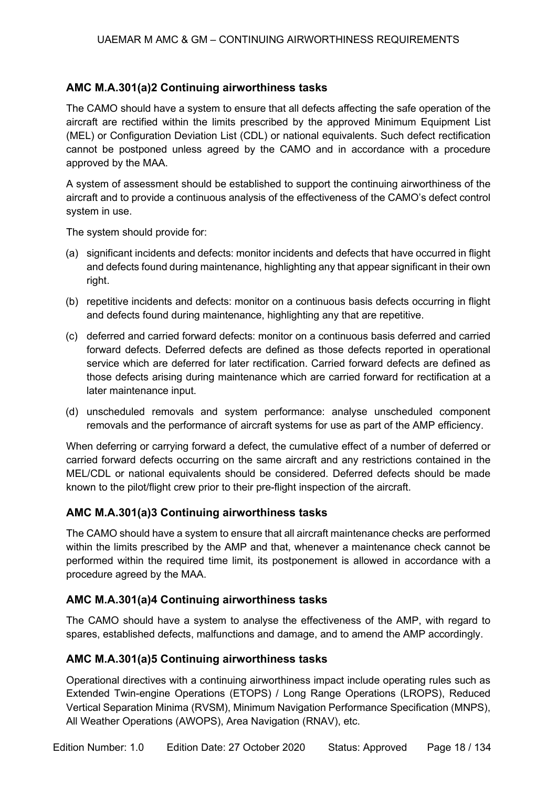#### **AMC M.A.301(a)2 Continuing airworthiness tasks**

The CAMO should have a system to ensure that all defects affecting the safe operation of the aircraft are rectified within the limits prescribed by the approved Minimum Equipment List (MEL) or Configuration Deviation List (CDL) or national equivalents. Such defect rectification cannot be postponed unless agreed by the CAMO and in accordance with a procedure approved by the MAA.

A system of assessment should be established to support the continuing airworthiness of the aircraft and to provide a continuous analysis of the effectiveness of the CAMO's defect control system in use.

The system should provide for:

- (a) significant incidents and defects: monitor incidents and defects that have occurred in flight and defects found during maintenance, highlighting any that appear significant in their own right.
- (b) repetitive incidents and defects: monitor on a continuous basis defects occurring in flight and defects found during maintenance, highlighting any that are repetitive.
- (c) deferred and carried forward defects: monitor on a continuous basis deferred and carried forward defects. Deferred defects are defined as those defects reported in operational service which are deferred for later rectification. Carried forward defects are defined as those defects arising during maintenance which are carried forward for rectification at a later maintenance input.
- (d) unscheduled removals and system performance: analyse unscheduled component removals and the performance of aircraft systems for use as part of the AMP efficiency.

When deferring or carrying forward a defect, the cumulative effect of a number of deferred or carried forward defects occurring on the same aircraft and any restrictions contained in the MEL/CDL or national equivalents should be considered. Deferred defects should be made known to the pilot/flight crew prior to their pre-flight inspection of the aircraft.

#### <span id="page-17-0"></span>**AMC M.A.301(a)3 Continuing airworthiness tasks**

The CAMO should have a system to ensure that all aircraft maintenance checks are performed within the limits prescribed by the AMP and that, whenever a maintenance check cannot be performed within the required time limit, its postponement is allowed in accordance with a procedure agreed by the MAA.

#### <span id="page-17-1"></span>**AMC M.A.301(a)4 Continuing airworthiness tasks**

The CAMO should have a system to analyse the effectiveness of the AMP, with regard to spares, established defects, malfunctions and damage, and to amend the AMP accordingly.

#### <span id="page-17-2"></span>**AMC M.A.301(a)5 Continuing airworthiness tasks**

Operational directives with a continuing airworthiness impact include operating rules such as Extended Twin-engine Operations (ETOPS) / Long Range Operations (LROPS), Reduced Vertical Separation Minima (RVSM), Minimum Navigation Performance Specification (MNPS), All Weather Operations (AWOPS), Area Navigation (RNAV), etc.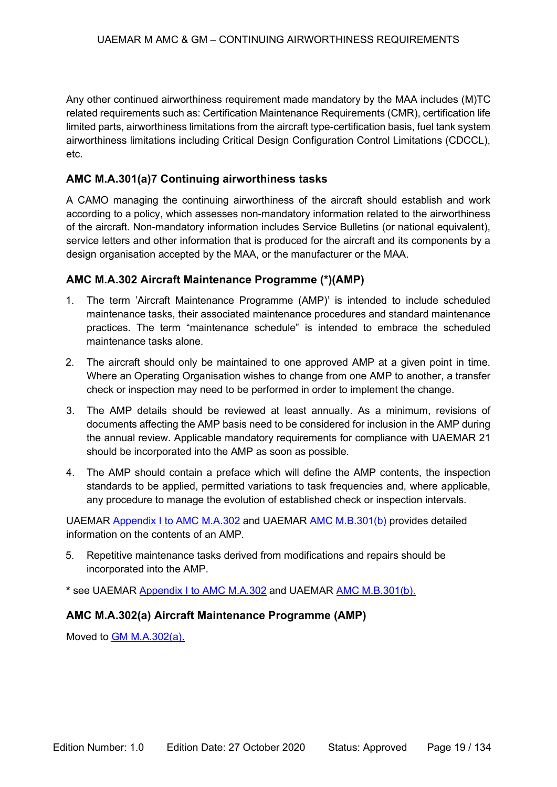Any other continued airworthiness requirement made mandatory by the MAA includes (M)TC related requirements such as: Certification Maintenance Requirements (CMR), certification life limited parts, airworthiness limitations from the aircraft type-certification basis, fuel tank system airworthiness limitations including Critical Design Configuration Control Limitations (CDCCL), etc.

#### <span id="page-18-0"></span>**AMC M.A.301(a)7 Continuing airworthiness tasks**

A CAMO managing the continuing airworthiness of the aircraft should establish and work according to a policy, which assesses non-mandatory information related to the airworthiness of the aircraft. Non-mandatory information includes Service Bulletins (or national equivalent), service letters and other information that is produced for the aircraft and its components by a design organisation accepted by the MAA, or the manufacturer or the MAA.

#### <span id="page-18-1"></span>**AMC M.A.302 Aircraft Maintenance Programme (\*)(AMP)**

- 1. The term 'Aircraft Maintenance Programme (AMP)' is intended to include scheduled maintenance tasks, their associated maintenance procedures and standard maintenance practices. The term "maintenance schedule" is intended to embrace the scheduled maintenance tasks alone.
- 2. The aircraft should only be maintained to one approved AMP at a given point in time. Where an Operating Organisation wishes to change from one AMP to another, a transfer check or inspection may need to be performed in order to implement the change.
- 3. The AMP details should be reviewed at least annually. As a minimum, revisions of documents affecting the AMP basis need to be considered for inclusion in the AMP during the annual review. Applicable mandatory requirements for compliance with UAEMAR 21 should be incorporated into the AMP as soon as possible.
- 4. The AMP should contain a preface which will define the AMP contents, the inspection standards to be applied, permitted variations to task frequencies and, where applicable, any procedure to manage the evolution of established check or inspection intervals.

UAEMAR Appendix I to AMC M.A.302 and UAEMAR AMC M.B.301(b) provides detailed information on the contents of an AMP.

5. Repetitive maintenance tasks derived from modifications and repairs should be incorporated into the AMP.

**\*** see UAEMAR Appendix I to AMC M.A.302 and UAEMAR AMC M.B.301(b).

#### <span id="page-18-2"></span>**AMC M.A.302(a) Aircraft Maintenance Programme (AMP)**

<span id="page-18-3"></span>Moved to GM M.A.302(a).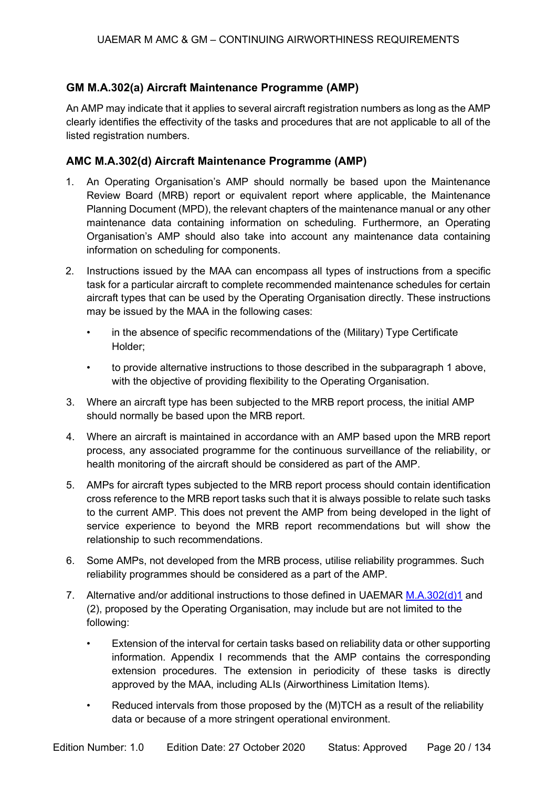#### **GM M.A.302(a) Aircraft Maintenance Programme (AMP)**

An AMP may indicate that it applies to several aircraft registration numbers as long as the AMP clearly identifies the effectivity of the tasks and procedures that are not applicable to all of the listed registration numbers.

#### <span id="page-19-0"></span>**AMC M.A.302(d) Aircraft Maintenance Programme (AMP)**

- 1. An Operating Organisation's AMP should normally be based upon the Maintenance Review Board (MRB) report or equivalent report where applicable, the Maintenance Planning Document (MPD), the relevant chapters of the maintenance manual or any other maintenance data containing information on scheduling. Furthermore, an Operating Organisation's AMP should also take into account any maintenance data containing information on scheduling for components.
- 2. Instructions issued by the MAA can encompass all types of instructions from a specific task for a particular aircraft to complete recommended maintenance schedules for certain aircraft types that can be used by the Operating Organisation directly. These instructions may be issued by the MAA in the following cases:
	- in the absence of specific recommendations of the (Military) Type Certificate Holder;
	- to provide alternative instructions to those described in the subparagraph 1 above, with the objective of providing flexibility to the Operating Organisation.
- 3. Where an aircraft type has been subjected to the MRB report process, the initial AMP should normally be based upon the MRB report.
- 4. Where an aircraft is maintained in accordance with an AMP based upon the MRB report process, any associated programme for the continuous surveillance of the reliability, or health monitoring of the aircraft should be considered as part of the AMP.
- 5. AMPs for aircraft types subjected to the MRB report process should contain identification cross reference to the MRB report tasks such that it is always possible to relate such tasks to the current AMP. This does not prevent the AMP from being developed in the light of service experience to beyond the MRB report recommendations but will show the relationship to such recommendations.
- 6. Some AMPs, not developed from the MRB process, utilise reliability programmes. Such reliability programmes should be considered as a part of the AMP.
- 7. Alternative and/or additional instructions to those defined in UAEMAR M.A.302(d)1 and (2), proposed by the Operating Organisation, may include but are not limited to the following:
	- Extension of the interval for certain tasks based on reliability data or other supporting information. Appendix I recommends that the AMP contains the corresponding extension procedures. The extension in periodicity of these tasks is directly approved by the MAA, including ALIs (Airworthiness Limitation Items).
	- Reduced intervals from those proposed by the (M)TCH as a result of the reliability data or because of a more stringent operational environment.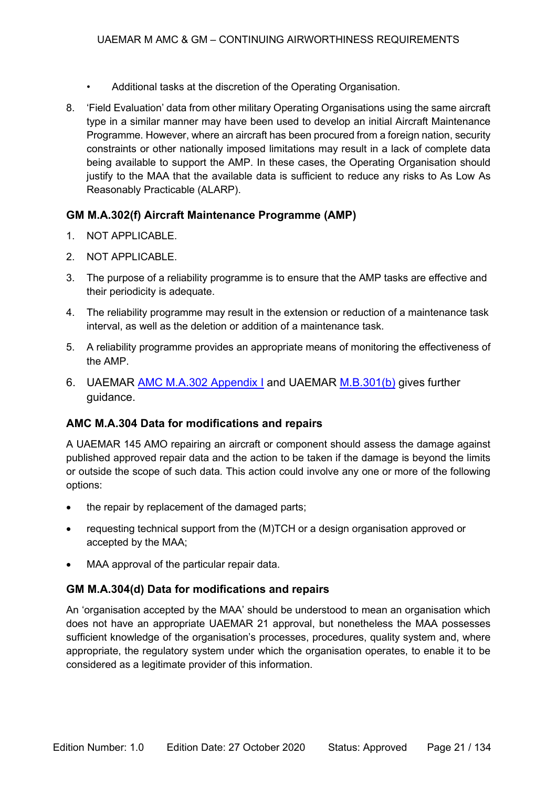- Additional tasks at the discretion of the Operating Organisation.
- 8. 'Field Evaluation' data from other military Operating Organisations using the same aircraft type in a similar manner may have been used to develop an initial Aircraft Maintenance Programme. However, where an aircraft has been procured from a foreign nation, security constraints or other nationally imposed limitations may result in a lack of complete data being available to support the AMP. In these cases, the Operating Organisation should justify to the MAA that the available data is sufficient to reduce any risks to As Low As Reasonably Practicable (ALARP).

#### <span id="page-20-0"></span>**GM M.A.302(f) Aircraft Maintenance Programme (AMP)**

- 1. NOT APPLICABLE.
- 2. NOT APPLICABLE.
- 3. The purpose of a reliability programme is to ensure that the AMP tasks are effective and their periodicity is adequate.
- 4. The reliability programme may result in the extension or reduction of a maintenance task interval, as well as the deletion or addition of a maintenance task.
- 5. A reliability programme provides an appropriate means of monitoring the effectiveness of the AMP.
- 6. UAEMAR AMC M.A.302 Appendix I and UAEMAR M.B.301(b) gives further guidance.

#### <span id="page-20-1"></span>**AMC M.A.304 Data for modifications and repairs**

A UAEMAR 145 AMO repairing an aircraft or component should assess the damage against published approved repair data and the action to be taken if the damage is beyond the limits or outside the scope of such data. This action could involve any one or more of the following options:

- the repair by replacement of the damaged parts;
- requesting technical support from the (M)TCH or a design organisation approved or accepted by the MAA;
- MAA approval of the particular repair data.

#### <span id="page-20-2"></span>**GM M.A.304(d) Data for modifications and repairs**

<span id="page-20-3"></span>An 'organisation accepted by the MAA' should be understood to mean an organisation which does not have an appropriate UAEMAR 21 approval, but nonetheless the MAA possesses sufficient knowledge of the organisation's processes, procedures, quality system and, where appropriate, the regulatory system under which the organisation operates, to enable it to be considered as a legitimate provider of this information.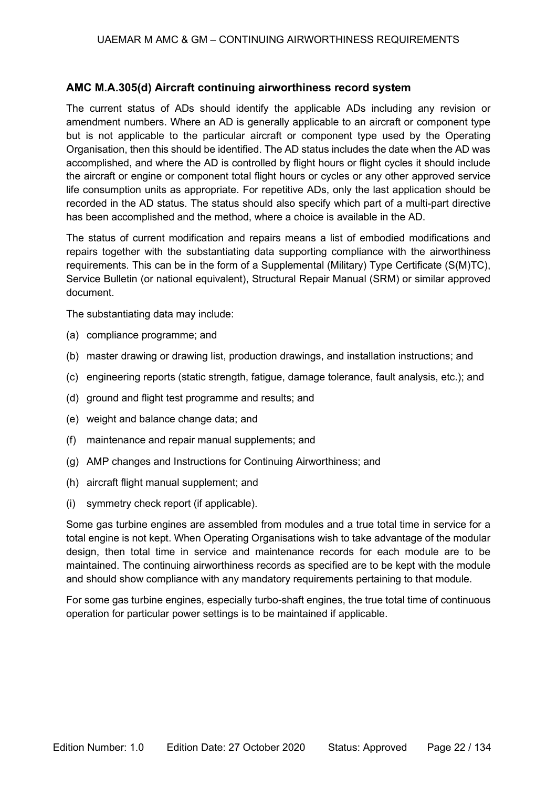#### **AMC M.A.305(d) Aircraft continuing airworthiness record system**

The current status of ADs should identify the applicable ADs including any revision or amendment numbers. Where an AD is generally applicable to an aircraft or component type but is not applicable to the particular aircraft or component type used by the Operating Organisation, then this should be identified. The AD status includes the date when the AD was accomplished, and where the AD is controlled by flight hours or flight cycles it should include the aircraft or engine or component total flight hours or cycles or any other approved service life consumption units as appropriate. For repetitive ADs, only the last application should be recorded in the AD status. The status should also specify which part of a multi-part directive has been accomplished and the method, where a choice is available in the AD.

The status of current modification and repairs means a list of embodied modifications and repairs together with the substantiating data supporting compliance with the airworthiness requirements. This can be in the form of a Supplemental (Military) Type Certificate (S(M)TC), Service Bulletin (or national equivalent), Structural Repair Manual (SRM) or similar approved document.

The substantiating data may include:

- (a) compliance programme; and
- (b) master drawing or drawing list, production drawings, and installation instructions; and
- (c) engineering reports (static strength, fatigue, damage tolerance, fault analysis, etc.); and
- (d) ground and flight test programme and results; and
- (e) weight and balance change data; and
- (f) maintenance and repair manual supplements; and
- (g) AMP changes and Instructions for Continuing Airworthiness; and
- (h) aircraft flight manual supplement; and
- (i) symmetry check report (if applicable).

Some gas turbine engines are assembled from modules and a true total time in service for a total engine is not kept. When Operating Organisations wish to take advantage of the modular design, then total time in service and maintenance records for each module are to be maintained. The continuing airworthiness records as specified are to be kept with the module and should show compliance with any mandatory requirements pertaining to that module.

<span id="page-21-0"></span>For some gas turbine engines, especially turbo-shaft engines, the true total time of continuous operation for particular power settings is to be maintained if applicable.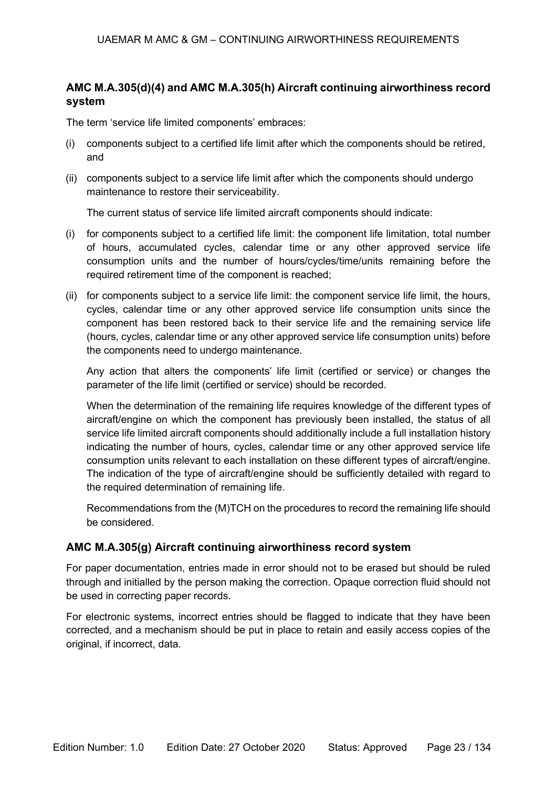#### **AMC M.A.305(d)(4) and AMC M.A.305(h) Aircraft continuing airworthiness record system**

The term 'service life limited components' embraces:

- (i) components subject to a certified life limit after which the components should be retired, and
- (ii) components subject to a service life limit after which the components should undergo maintenance to restore their serviceability.

The current status of service life limited aircraft components should indicate:

- (i) for components subject to a certified life limit: the component life limitation, total number of hours, accumulated cycles, calendar time or any other approved service life consumption units and the number of hours/cycles/time/units remaining before the required retirement time of the component is reached;
- (ii) for components subject to a service life limit: the component service life limit, the hours, cycles, calendar time or any other approved service life consumption units since the component has been restored back to their service life and the remaining service life (hours, cycles, calendar time or any other approved service life consumption units) before the components need to undergo maintenance.

Any action that alters the components' life limit (certified or service) or changes the parameter of the life limit (certified or service) should be recorded.

When the determination of the remaining life requires knowledge of the different types of aircraft/engine on which the component has previously been installed, the status of all service life limited aircraft components should additionally include a full installation history indicating the number of hours, cycles, calendar time or any other approved service life consumption units relevant to each installation on these different types of aircraft/engine. The indication of the type of aircraft/engine should be sufficiently detailed with regard to the required determination of remaining life.

Recommendations from the (M)TCH on the procedures to record the remaining life should be considered.

#### <span id="page-22-0"></span>**AMC M.A.305(g) Aircraft continuing airworthiness record system**

For paper documentation, entries made in error should not to be erased but should be ruled through and initialled by the person making the correction. Opaque correction fluid should not be used in correcting paper records.

<span id="page-22-1"></span>For electronic systems, incorrect entries should be flagged to indicate that they have been corrected, and a mechanism should be put in place to retain and easily access copies of the original, if incorrect, data.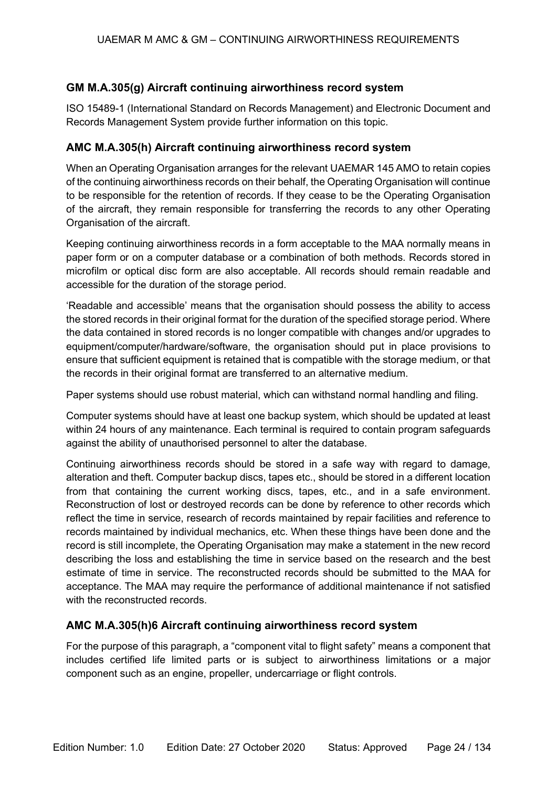#### **GM M.A.305(g) Aircraft continuing airworthiness record system**

ISO 15489-1 (International Standard on Records Management) and Electronic Document and Records Management System provide further information on this topic.

#### <span id="page-23-0"></span>**AMC M.A.305(h) Aircraft continuing airworthiness record system**

When an Operating Organisation arranges for the relevant UAEMAR 145 AMO to retain copies of the continuing airworthiness records on their behalf, the Operating Organisation will continue to be responsible for the retention of records. If they cease to be the Operating Organisation of the aircraft, they remain responsible for transferring the records to any other Operating Organisation of the aircraft.

Keeping continuing airworthiness records in a form acceptable to the MAA normally means in paper form or on a computer database or a combination of both methods. Records stored in microfilm or optical disc form are also acceptable. All records should remain readable and accessible for the duration of the storage period.

'Readable and accessible' means that the organisation should possess the ability to access the stored records in their original format for the duration of the specified storage period. Where the data contained in stored records is no longer compatible with changes and/or upgrades to equipment/computer/hardware/software, the organisation should put in place provisions to ensure that sufficient equipment is retained that is compatible with the storage medium, or that the records in their original format are transferred to an alternative medium.

Paper systems should use robust material, which can withstand normal handling and filing.

Computer systems should have at least one backup system, which should be updated at least within 24 hours of any maintenance. Each terminal is required to contain program safeguards against the ability of unauthorised personnel to alter the database.

Continuing airworthiness records should be stored in a safe way with regard to damage, alteration and theft. Computer backup discs, tapes etc., should be stored in a different location from that containing the current working discs, tapes, etc., and in a safe environment. Reconstruction of lost or destroyed records can be done by reference to other records which reflect the time in service, research of records maintained by repair facilities and reference to records maintained by individual mechanics, etc. When these things have been done and the record is still incomplete, the Operating Organisation may make a statement in the new record describing the loss and establishing the time in service based on the research and the best estimate of time in service. The reconstructed records should be submitted to the MAA for acceptance. The MAA may require the performance of additional maintenance if not satisfied with the reconstructed records.

#### <span id="page-23-1"></span>**AMC M.A.305(h)6 Aircraft continuing airworthiness record system**

<span id="page-23-2"></span>For the purpose of this paragraph, a "component vital to flight safety" means a component that includes certified life limited parts or is subject to airworthiness limitations or a major component such as an engine, propeller, undercarriage or flight controls.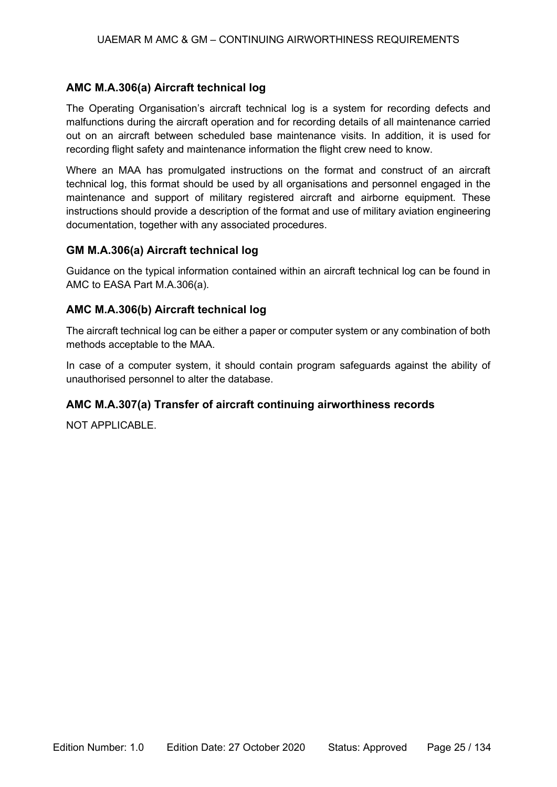#### **AMC M.A.306(a) Aircraft technical log**

The Operating Organisation's aircraft technical log is a system for recording defects and malfunctions during the aircraft operation and for recording details of all maintenance carried out on an aircraft between scheduled base maintenance visits. In addition, it is used for recording flight safety and maintenance information the flight crew need to know.

Where an MAA has promulgated instructions on the format and construct of an aircraft technical log, this format should be used by all organisations and personnel engaged in the maintenance and support of military registered aircraft and airborne equipment. These instructions should provide a description of the format and use of military aviation engineering documentation, together with any associated procedures.

#### <span id="page-24-0"></span>**GM M.A.306(a) Aircraft technical log**

Guidance on the typical information contained within an aircraft technical log can be found in AMC to EASA Part M.A.306(a).

#### <span id="page-24-1"></span>**AMC M.A.306(b) Aircraft technical log**

The aircraft technical log can be either a paper or computer system or any combination of both methods acceptable to the MAA.

In case of a computer system, it should contain program safeguards against the ability of unauthorised personnel to alter the database.

#### <span id="page-24-2"></span>**AMC M.A.307(a) Transfer of aircraft continuing airworthiness records**

NOT APPLICABLE.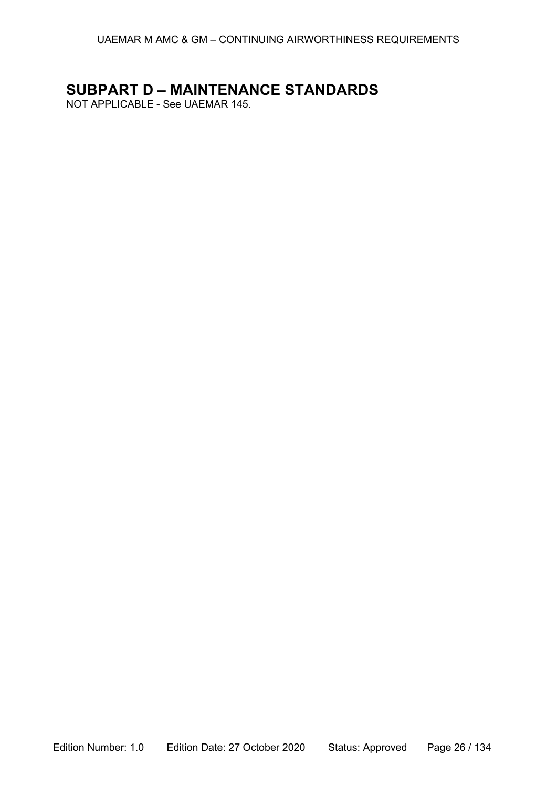### **SUBPART D – MAINTENANCE STANDARDS**

NOT APPLICABLE - See UAEMAR 145.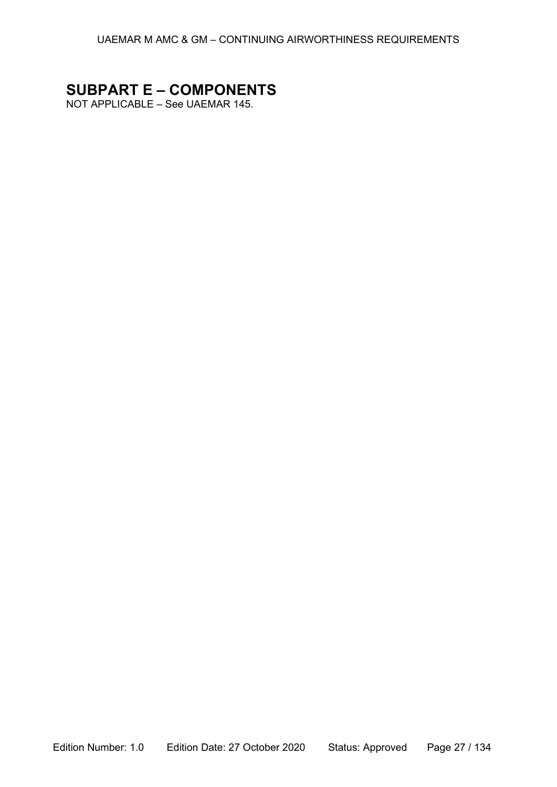### **SUBPART E – COMPONENTS**

NOT APPLICABLE – See UAEMAR 145.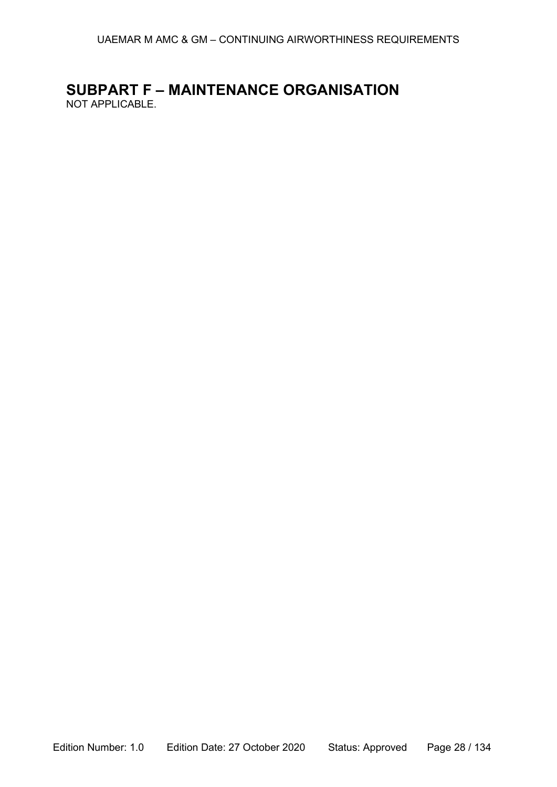### **SUBPART F – MAINTENANCE ORGANISATION**

NOT APPLICABLE.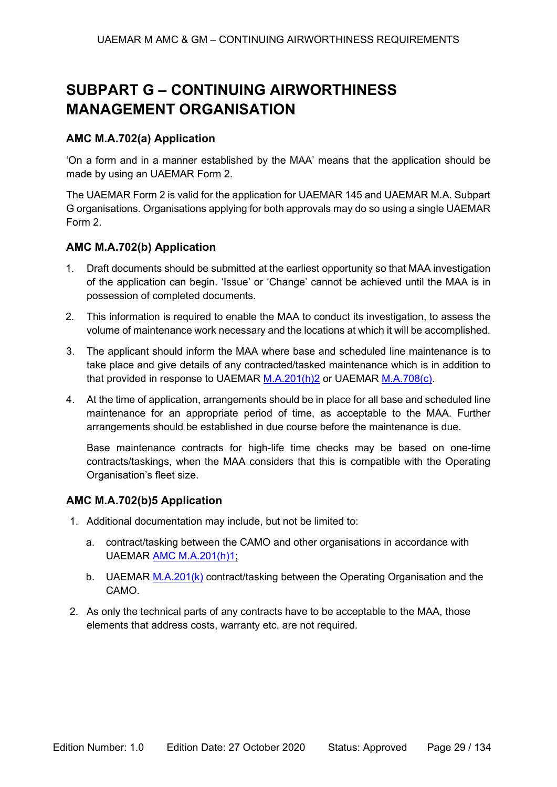### **SUBPART G – CONTINUING AIRWORTHINESS MANAGEMENT ORGANISATION**

#### <span id="page-28-0"></span>**AMC M.A.702(a) Application**

'On a form and in a manner established by the MAA' means that the application should be made by using an UAEMAR Form 2.

The UAEMAR Form 2 is valid for the application for UAEMAR 145 and UAEMAR M.A. Subpart G organisations. Organisations applying for both approvals may do so using a single UAEMAR Form 2.

#### <span id="page-28-1"></span>**AMC M.A.702(b) Application**

- 1. Draft documents should be submitted at the earliest opportunity so that MAA investigation of the application can begin. 'Issue' or 'Change' cannot be achieved until the MAA is in possession of completed documents.
- 2. This information is required to enable the MAA to conduct its investigation, to assess the volume of maintenance work necessary and the locations at which it will be accomplished.
- 3. The applicant should inform the MAA where base and scheduled line maintenance is to take place and give details of any contracted/tasked maintenance which is in addition to that provided in response to UAEMAR M.A.201(h)2 or UAEMAR M.A.708(c).
- 4. At the time of application, arrangements should be in place for all base and scheduled line maintenance for an appropriate period of time, as acceptable to the MAA. Further arrangements should be established in due course before the maintenance is due.

Base maintenance contracts for high-life time checks may be based on one-time contracts/taskings, when the MAA considers that this is compatible with the Operating Organisation's fleet size.

#### <span id="page-28-2"></span>**AMC M.A.702(b)5 Application**

- 1. Additional documentation may include, but not be limited to:
	- a. contract/tasking between the CAMO and other organisations in accordance with UAEMAR AMC M.A.201(h)1;
	- b. UAEMAR M.A.201(k) contract/tasking between the Operating Organisation and the CAMO.
- <span id="page-28-3"></span>2. As only the technical parts of any contracts have to be acceptable to the MAA, those elements that address costs, warranty etc. are not required.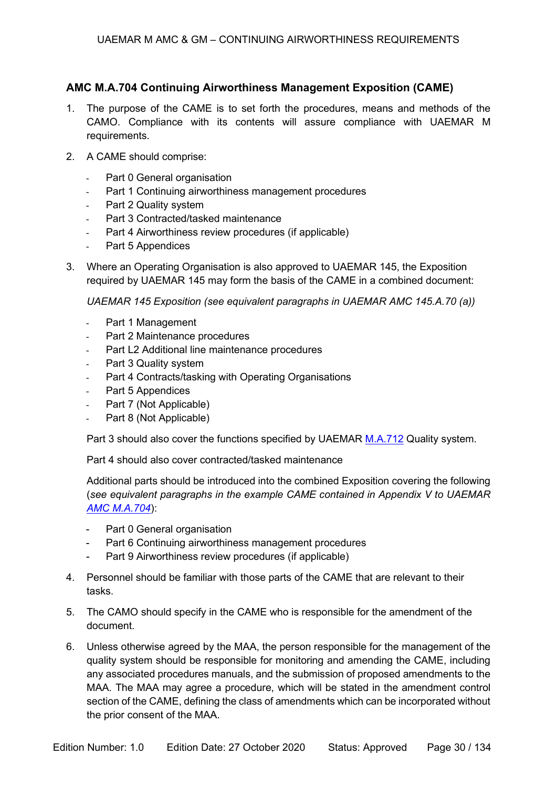#### **AMC M.A.704 Continuing Airworthiness Management Exposition (CAME)**

- 1. The purpose of the CAME is to set forth the procedures, means and methods of the CAMO. Compliance with its contents will assure compliance with UAEMAR M requirements.
- 2. A CAME should comprise:
	- Part 0 General organisation
	- Part 1 Continuing airworthiness management procedures
	- Part 2 Quality system
	- Part 3 Contracted/tasked maintenance
	- Part 4 Airworthiness review procedures (if applicable)
	- Part 5 Appendices
- 3. Where an Operating Organisation is also approved to UAEMAR 145, the Exposition required by UAEMAR 145 may form the basis of the CAME in a combined document:

*UAEMAR 145 Exposition (see equivalent paragraphs in UAEMAR AMC 145.A.70 (a))*

- Part 1 Management
- Part 2 Maintenance procedures
- Part L2 Additional line maintenance procedures
- Part 3 Quality system
- Part 4 Contracts/tasking with Operating Organisations
- Part 5 Appendices
- Part 7 (Not Applicable)
- Part 8 (Not Applicable)

Part 3 should also cover the functions specified by UAEMAR M.A.712 Quality system.

Part 4 should also cover contracted/tasked maintenance

Additional parts should be introduced into the combined Exposition covering the following (*see equivalent paragraphs in the example CAME contained in Appendix V to UAEMAR AMC M.A.704*):

- Part 0 General organisation
- Part 6 Continuing airworthiness management procedures
- Part 9 Airworthiness review procedures (if applicable)
- 4. Personnel should be familiar with those parts of the CAME that are relevant to their tasks.
- 5. The CAMO should specify in the CAME who is responsible for the amendment of the document.
- 6. Unless otherwise agreed by the MAA, the person responsible for the management of the quality system should be responsible for monitoring and amending the CAME, including any associated procedures manuals, and the submission of proposed amendments to the MAA. The MAA may agree a procedure, which will be stated in the amendment control section of the CAME, defining the class of amendments which can be incorporated without the prior consent of the MAA.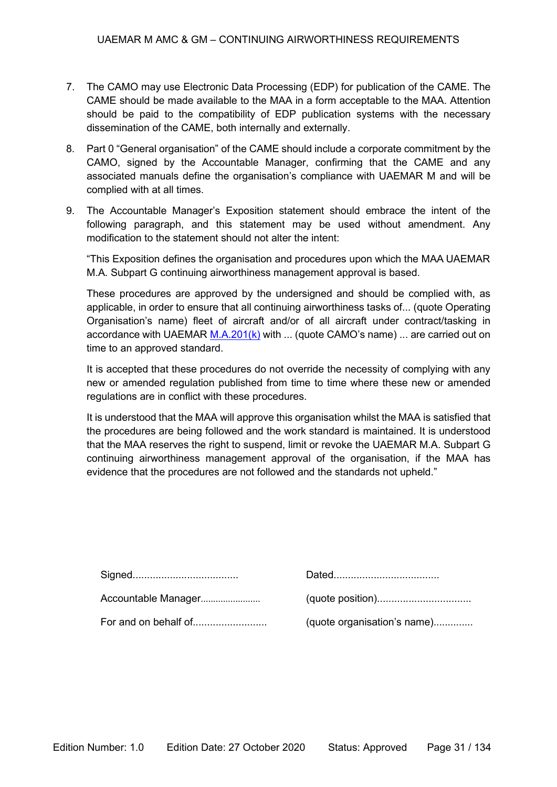- 7. The CAMO may use Electronic Data Processing (EDP) for publication of the CAME. The CAME should be made available to the MAA in a form acceptable to the MAA. Attention should be paid to the compatibility of EDP publication systems with the necessary dissemination of the CAME, both internally and externally.
- 8. Part 0 "General organisation" of the CAME should include a corporate commitment by the CAMO, signed by the Accountable Manager, confirming that the CAME and any associated manuals define the organisation's compliance with UAEMAR M and will be complied with at all times.
- 9. The Accountable Manager's Exposition statement should embrace the intent of the following paragraph, and this statement may be used without amendment. Any modification to the statement should not alter the intent:

"This Exposition defines the organisation and procedures upon which the MAA UAEMAR M.A. Subpart G continuing airworthiness management approval is based.

These procedures are approved by the undersigned and should be complied with, as applicable, in order to ensure that all continuing airworthiness tasks of... (quote Operating Organisation's name) fleet of aircraft and/or of all aircraft under contract/tasking in accordance with UAEMAR M.A.201( $k$ ) with ... (quote CAMO's name) ... are carried out on time to an approved standard.

It is accepted that these procedures do not override the necessity of complying with any new or amended regulation published from time to time where these new or amended regulations are in conflict with these procedures.

It is understood that the MAA will approve this organisation whilst the MAA is satisfied that the procedures are being followed and the work standard is maintained. It is understood that the MAA reserves the right to suspend, limit or revoke the UAEMAR M.A. Subpart G continuing airworthiness management approval of the organisation, if the MAA has evidence that the procedures are not followed and the standards not upheld."

| Accountable Manager |                             |
|---------------------|-----------------------------|
|                     | (quote organisation's name) |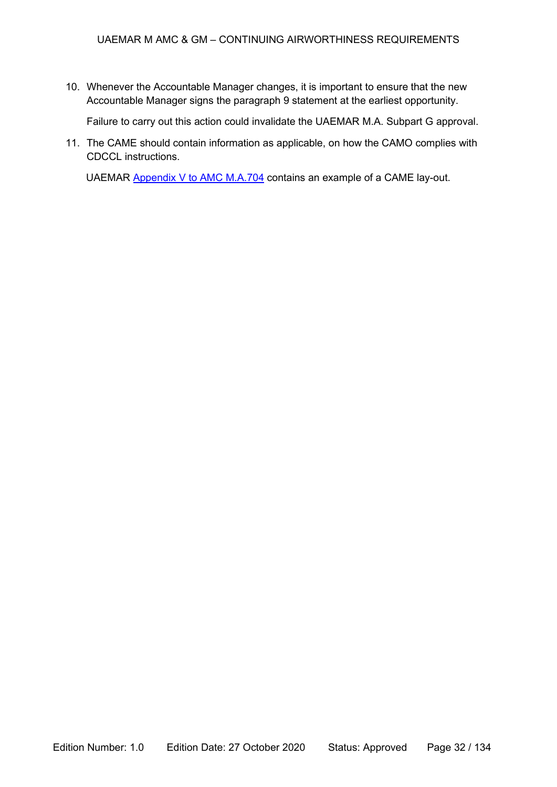10. Whenever the Accountable Manager changes, it is important to ensure that the new Accountable Manager signs the paragraph 9 statement at the earliest opportunity.

Failure to carry out this action could invalidate the UAEMAR M.A. Subpart G approval.

11. The CAME should contain information as applicable, on how the CAMO complies with CDCCL instructions.

UAEMAR [Appendix V to AMC M.A.704](#page-100-1) contains an example of a CAME lay-out.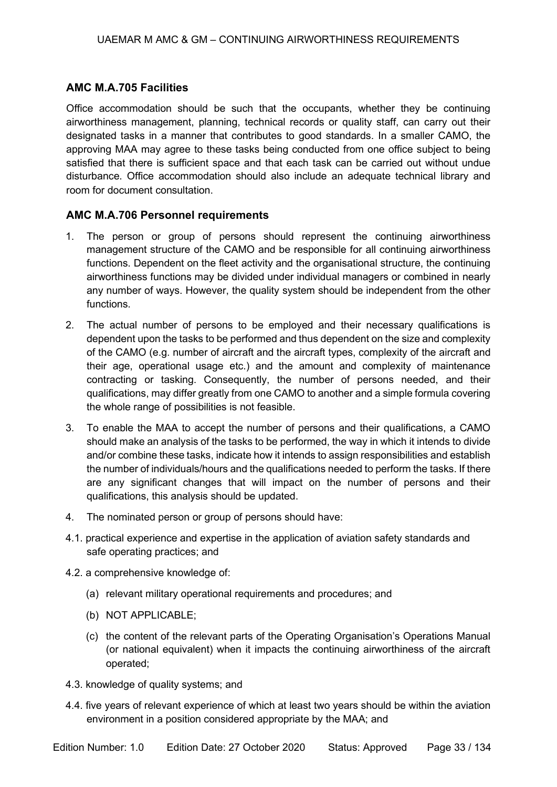#### <span id="page-32-0"></span>**AMC M.A.705 Facilities**

Office accommodation should be such that the occupants, whether they be continuing airworthiness management, planning, technical records or quality staff, can carry out their designated tasks in a manner that contributes to good standards. In a smaller CAMO, the approving MAA may agree to these tasks being conducted from one office subject to being satisfied that there is sufficient space and that each task can be carried out without undue disturbance. Office accommodation should also include an adequate technical library and room for document consultation.

#### <span id="page-32-1"></span>**AMC M.A.706 Personnel requirements**

- 1. The person or group of persons should represent the continuing airworthiness management structure of the CAMO and be responsible for all continuing airworthiness functions. Dependent on the fleet activity and the organisational structure, the continuing airworthiness functions may be divided under individual managers or combined in nearly any number of ways. However, the quality system should be independent from the other functions.
- 2. The actual number of persons to be employed and their necessary qualifications is dependent upon the tasks to be performed and thus dependent on the size and complexity of the CAMO (e.g. number of aircraft and the aircraft types, complexity of the aircraft and their age, operational usage etc.) and the amount and complexity of maintenance contracting or tasking. Consequently, the number of persons needed, and their qualifications, may differ greatly from one CAMO to another and a simple formula covering the whole range of possibilities is not feasible.
- 3. To enable the MAA to accept the number of persons and their qualifications, a CAMO should make an analysis of the tasks to be performed, the way in which it intends to divide and/or combine these tasks, indicate how it intends to assign responsibilities and establish the number of individuals/hours and the qualifications needed to perform the tasks. If there are any significant changes that will impact on the number of persons and their qualifications, this analysis should be updated.
- 4. The nominated person or group of persons should have:
- 4.1. practical experience and expertise in the application of aviation safety standards and safe operating practices; and
- 4.2. a comprehensive knowledge of:
	- (a) relevant military operational requirements and procedures; and
	- (b) NOT APPLICABLE;
	- (c) the content of the relevant parts of the Operating Organisation's Operations Manual (or national equivalent) when it impacts the continuing airworthiness of the aircraft operated;
- 4.3. knowledge of quality systems; and
- 4.4. five years of relevant experience of which at least two years should be within the aviation environment in a position considered appropriate by the MAA; and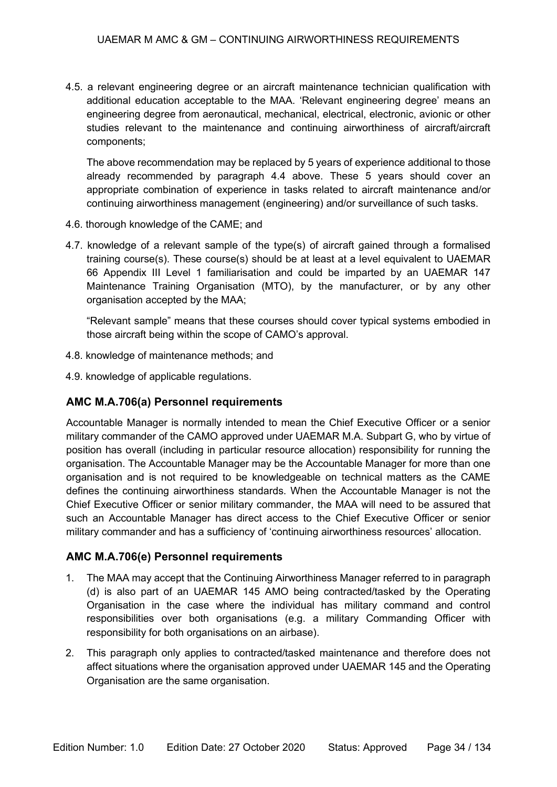4.5. a relevant engineering degree or an aircraft maintenance technician qualification with additional education acceptable to the MAA. 'Relevant engineering degree' means an engineering degree from aeronautical, mechanical, electrical, electronic, avionic or other studies relevant to the maintenance and continuing airworthiness of aircraft/aircraft components;

The above recommendation may be replaced by 5 years of experience additional to those already recommended by paragraph 4.4 above. These 5 years should cover an appropriate combination of experience in tasks related to aircraft maintenance and/or continuing airworthiness management (engineering) and/or surveillance of such tasks.

- 4.6. thorough knowledge of the CAME; and
- 4.7. knowledge of a relevant sample of the type(s) of aircraft gained through a formalised training course(s). These course(s) should be at least at a level equivalent to UAEMAR 66 Appendix III Level 1 familiarisation and could be imparted by an UAEMAR 147 Maintenance Training Organisation (MTO), by the manufacturer, or by any other organisation accepted by the MAA;

"Relevant sample" means that these courses should cover typical systems embodied in those aircraft being within the scope of CAMO's approval.

- 4.8. knowledge of maintenance methods; and
- 4.9. knowledge of applicable regulations.

#### <span id="page-33-0"></span>**AMC M.A.706(a) Personnel requirements**

Accountable Manager is normally intended to mean the Chief Executive Officer or a senior military commander of the CAMO approved under UAEMAR M.A. Subpart G, who by virtue of position has overall (including in particular resource allocation) responsibility for running the organisation. The Accountable Manager may be the Accountable Manager for more than one organisation and is not required to be knowledgeable on technical matters as the CAME defines the continuing airworthiness standards. When the Accountable Manager is not the Chief Executive Officer or senior military commander, the MAA will need to be assured that such an Accountable Manager has direct access to the Chief Executive Officer or senior military commander and has a sufficiency of 'continuing airworthiness resources' allocation.

#### <span id="page-33-1"></span>**AMC M.A.706(e) Personnel requirements**

- 1. The MAA may accept that the Continuing Airworthiness Manager referred to in paragraph (d) is also part of an UAEMAR 145 AMO being contracted/tasked by the Operating Organisation in the case where the individual has military command and control responsibilities over both organisations (e.g. a military Commanding Officer with responsibility for both organisations on an airbase).
- 2. This paragraph only applies to contracted/tasked maintenance and therefore does not affect situations where the organisation approved under UAEMAR 145 and the Operating Organisation are the same organisation.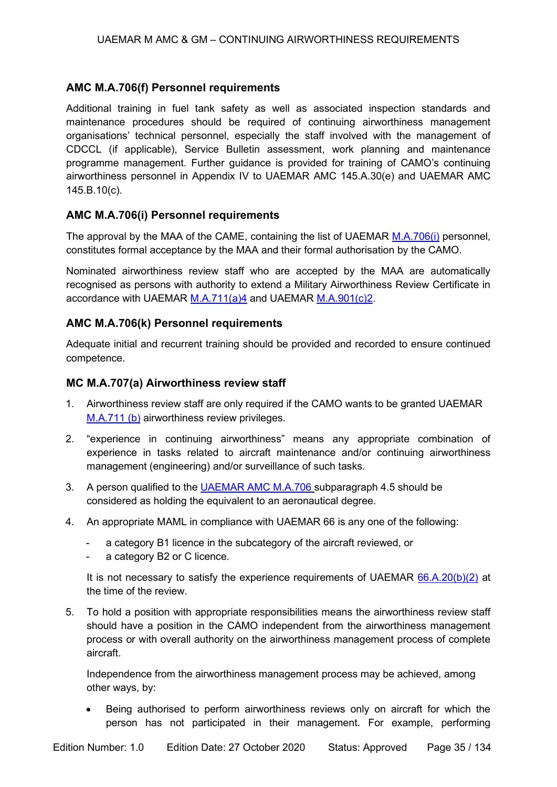#### <span id="page-34-0"></span>**AMC M.A.706(f) Personnel requirements**

Additional training in fuel tank safety as well as associated inspection standards and maintenance procedures should be required of continuing airworthiness management organisations' technical personnel, especially the staff involved with the management of CDCCL (if applicable), Service Bulletin assessment, work planning and maintenance programme management. Further guidance is provided for training of CAMO's continuing airworthiness personnel in Appendix IV to UAEMAR AMC 145.A.30(e) and UAEMAR AMC 145.B.10(c).

#### <span id="page-34-1"></span>**AMC M.A.706(i) Personnel requirements**

The approval by the MAA of the CAME, containing the list of UAEMAR M.A.706(i) personnel, constitutes formal acceptance by the MAA and their formal authorisation by the CAMO.

Nominated airworthiness review staff who are accepted by the MAA are automatically recognised as persons with authority to extend a Military Airworthiness Review Certificate in accordance with UAEMAR M.A.711(a)4 and UAEMAR M.A.901(c)2.

#### <span id="page-34-2"></span>**AMC M.A.706(k) Personnel requirements**

Adequate initial and recurrent training should be provided and recorded to ensure continued competence.

#### <span id="page-34-3"></span>**MC M.A.707(a) Airworthiness review staff**

- 1. Airworthiness review staff are only required if the CAMO wants to be granted UAEMAR M.A.711 (b) airworthiness review privileges.
- 2. "experience in continuing airworthiness" means any appropriate combination of experience in tasks related to aircraft maintenance and/or continuing airworthiness management (engineering) and/or surveillance of such tasks.
- 3. A person qualified to the UAEMAR AMC M.A.706 subparagraph 4.5 should be considered as holding the equivalent to an aeronautical degree.
- 4. An appropriate MAML in compliance with UAEMAR 66 is any one of the following:
	- a category B1 licence in the subcategory of the aircraft reviewed, or
	- a category B2 or C licence.

It is not necessary to satisfy the experience requirements of UAEMAR  $66.A.20(b)(2)$  at the time of the review.

5. To hold a position with appropriate responsibilities means the airworthiness review staff should have a position in the CAMO independent from the airworthiness management process or with overall authority on the airworthiness management process of complete aircraft.

Independence from the airworthiness management process may be achieved, among other ways, by:

• Being authorised to perform airworthiness reviews only on aircraft for which the person has not participated in their management. For example, performing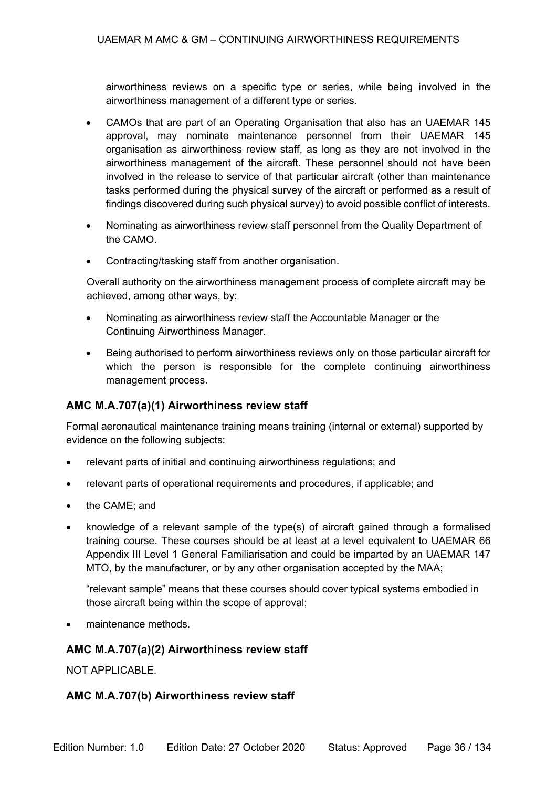airworthiness reviews on a specific type or series, while being involved in the airworthiness management of a different type or series.

- CAMOs that are part of an Operating Organisation that also has an UAEMAR 145 approval, may nominate maintenance personnel from their UAEMAR 145 organisation as airworthiness review staff, as long as they are not involved in the airworthiness management of the aircraft. These personnel should not have been involved in the release to service of that particular aircraft (other than maintenance tasks performed during the physical survey of the aircraft or performed as a result of findings discovered during such physical survey) to avoid possible conflict of interests.
- Nominating as airworthiness review staff personnel from the Quality Department of the CAMO.
- Contracting/tasking staff from another organisation.

Overall authority on the airworthiness management process of complete aircraft may be achieved, among other ways, by:

- Nominating as airworthiness review staff the Accountable Manager or the Continuing Airworthiness Manager.
- Being authorised to perform airworthiness reviews only on those particular aircraft for which the person is responsible for the complete continuing airworthiness management process.

#### <span id="page-35-0"></span>**AMC M.A.707(a)(1) Airworthiness review staff**

Formal aeronautical maintenance training means training (internal or external) supported by evidence on the following subjects:

- relevant parts of initial and continuing airworthiness regulations; and
- relevant parts of operational requirements and procedures, if applicable; and
- the CAME; and
- knowledge of a relevant sample of the type(s) of aircraft gained through a formalised training course. These courses should be at least at a level equivalent to UAEMAR 66 Appendix III Level 1 General Familiarisation and could be imparted by an UAEMAR 147 MTO, by the manufacturer, or by any other organisation accepted by the MAA;

"relevant sample" means that these courses should cover typical systems embodied in those aircraft being within the scope of approval;

• maintenance methods.

#### <span id="page-35-1"></span>**AMC M.A.707(a)(2) Airworthiness review staff**

NOT APPLICABLE.

#### <span id="page-35-2"></span>**AMC M.A.707(b) Airworthiness review staff**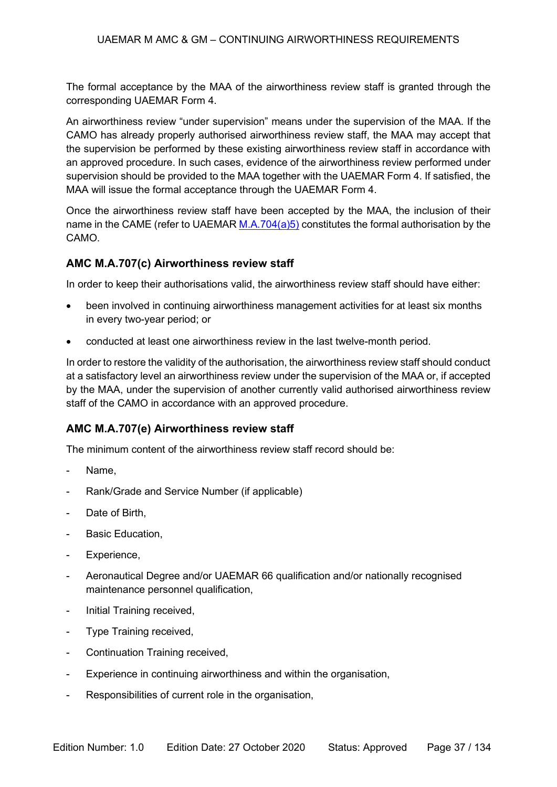The formal acceptance by the MAA of the airworthiness review staff is granted through the corresponding UAEMAR Form 4.

An airworthiness review "under supervision" means under the supervision of the MAA. If the CAMO has already properly authorised airworthiness review staff, the MAA may accept that the supervision be performed by these existing airworthiness review staff in accordance with an approved procedure. In such cases, evidence of the airworthiness review performed under supervision should be provided to the MAA together with the UAEMAR Form 4. If satisfied, the MAA will issue the formal acceptance through the UAEMAR Form 4.

Once the airworthiness review staff have been accepted by the MAA, the inclusion of their name in the CAME (refer to UAEMAR  $M.A.704(a)5$ ) constitutes the formal authorisation by the CAMO.

#### **AMC M.A.707(c) Airworthiness review staff**

In order to keep their authorisations valid, the airworthiness review staff should have either:

- been involved in continuing airworthiness management activities for at least six months in every two-year period; or
- conducted at least one airworthiness review in the last twelve-month period.

In order to restore the validity of the authorisation, the airworthiness review staff should conduct at a satisfactory level an airworthiness review under the supervision of the MAA or, if accepted by the MAA, under the supervision of another currently valid authorised airworthiness review staff of the CAMO in accordance with an approved procedure.

#### **AMC M.A.707(e) Airworthiness review staff**

The minimum content of the airworthiness review staff record should be:

- Name.
- Rank/Grade and Service Number (if applicable)
- Date of Birth.
- Basic Education,
- Experience,
- Aeronautical Degree and/or UAEMAR 66 qualification and/or nationally recognised maintenance personnel qualification,
- Initial Training received,
- Type Training received,
- Continuation Training received,
- Experience in continuing airworthiness and within the organisation,
- Responsibilities of current role in the organisation,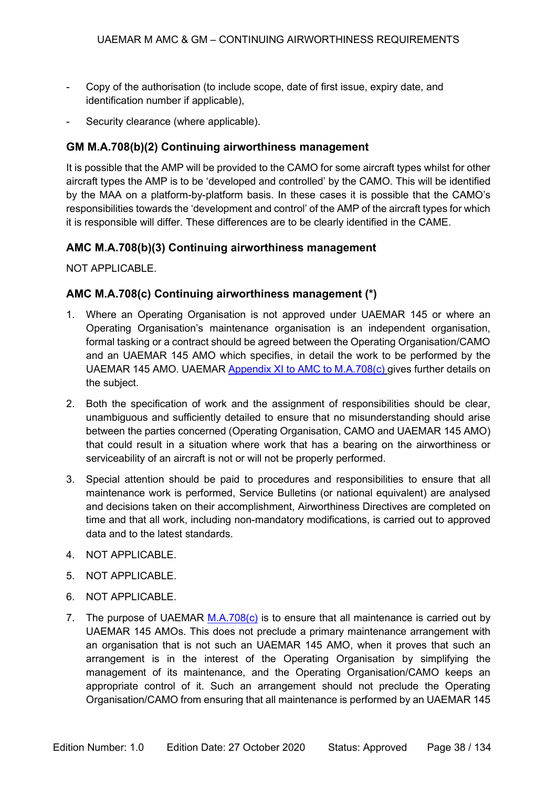- Copy of the authorisation (to include scope, date of first issue, expiry date, and identification number if applicable),
- Security clearance (where applicable).

#### **GM M.A.708(b)(2) Continuing airworthiness management**

It is possible that the AMP will be provided to the CAMO for some aircraft types whilst for other aircraft types the AMP is to be 'developed and controlled' by the CAMO. This will be identified by the MAA on a platform-by-platform basis. In these cases it is possible that the CAMO's responsibilities towards the 'development and control' of the AMP of the aircraft types for which it is responsible will differ. These differences are to be clearly identified in the CAME.

#### **AMC M.A.708(b)(3) Continuing airworthiness management**

NOT APPLICABLE.

#### **AMC M.A.708(c) Continuing airworthiness management (\*)**

- 1. Where an Operating Organisation is not approved under UAEMAR 145 or where an Operating Organisation's maintenance organisation is an independent organisation, formal tasking or a contract should be agreed between the Operating Organisation/CAMO and an UAEMAR 145 AMO which specifies, in detail the work to be performed by the UAEMAR 145 AMO. UAEMAR [Appendix XI to AMC to M.A.708\(c\)](#page-124-0) gives further details on the subject.
- 2. Both the specification of work and the assignment of responsibilities should be clear, unambiguous and sufficiently detailed to ensure that no misunderstanding should arise between the parties concerned (Operating Organisation, CAMO and UAEMAR 145 AMO) that could result in a situation where work that has a bearing on the airworthiness or serviceability of an aircraft is not or will not be properly performed.
- 3. Special attention should be paid to procedures and responsibilities to ensure that all maintenance work is performed, Service Bulletins (or national equivalent) are analysed and decisions taken on their accomplishment, Airworthiness Directives are completed on time and that all work, including non-mandatory modifications, is carried out to approved data and to the latest standards.
- 4. NOT APPLICABLE.
- 5. NOT APPLICABLE.
- 6. NOT APPLICABLE.
- 7. The purpose of UAEMAR M.A.708(c) is to ensure that all maintenance is carried out by UAEMAR 145 AMOs. This does not preclude a primary maintenance arrangement with an organisation that is not such an UAEMAR 145 AMO, when it proves that such an arrangement is in the interest of the Operating Organisation by simplifying the management of its maintenance, and the Operating Organisation/CAMO keeps an appropriate control of it. Such an arrangement should not preclude the Operating Organisation/CAMO from ensuring that all maintenance is performed by an UAEMAR 145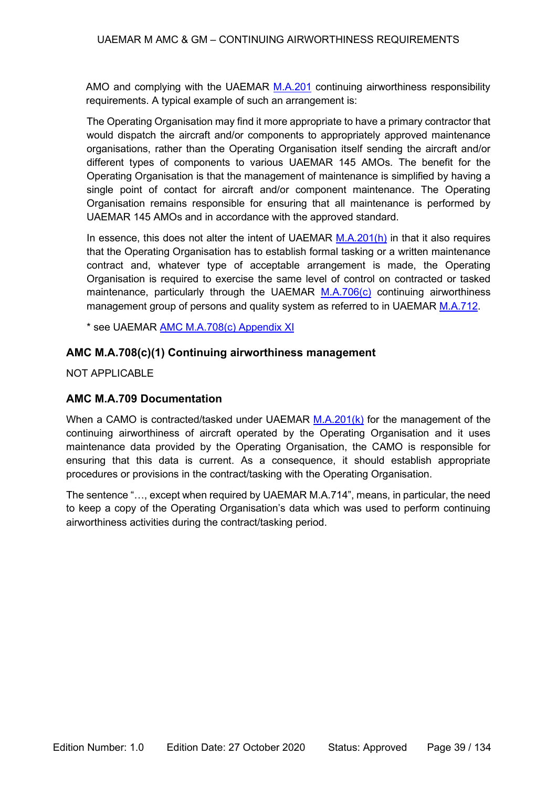AMO and complying with the UAEMAR M.A.201 continuing airworthiness responsibility requirements. A typical example of such an arrangement is:

The Operating Organisation may find it more appropriate to have a primary contractor that would dispatch the aircraft and/or components to appropriately approved maintenance organisations, rather than the Operating Organisation itself sending the aircraft and/or different types of components to various UAEMAR 145 AMOs. The benefit for the Operating Organisation is that the management of maintenance is simplified by having a single point of contact for aircraft and/or component maintenance. The Operating Organisation remains responsible for ensuring that all maintenance is performed by UAEMAR 145 AMOs and in accordance with the approved standard.

In essence, this does not alter the intent of UAEMAR M.A.201(h) in that it also requires that the Operating Organisation has to establish formal tasking or a written maintenance contract and, whatever type of acceptable arrangement is made, the Operating Organisation is required to exercise the same level of control on contracted or tasked maintenance, particularly through the UAEMAR M.A.706 $(c)$  continuing airworthiness management group of persons and quality system as referred to in UAEMAR M.A.712.

\* see UAEMAR AMC M.A.708(c) Appendix XI

#### **AMC M.A.708(c)(1) Continuing airworthiness management**

NOT APPLICABLE

#### **AMC M.A.709 Documentation**

When a CAMO is contracted/tasked under UAEMAR M.A.201(k) for the management of the continuing airworthiness of aircraft operated by the Operating Organisation and it uses maintenance data provided by the Operating Organisation, the CAMO is responsible for ensuring that this data is current. As a consequence, it should establish appropriate procedures or provisions in the contract/tasking with the Operating Organisation.

The sentence "…, except when required by UAEMAR M.A.714", means, in particular, the need to keep a copy of the Operating Organisation's data which was used to perform continuing airworthiness activities during the contract/tasking period.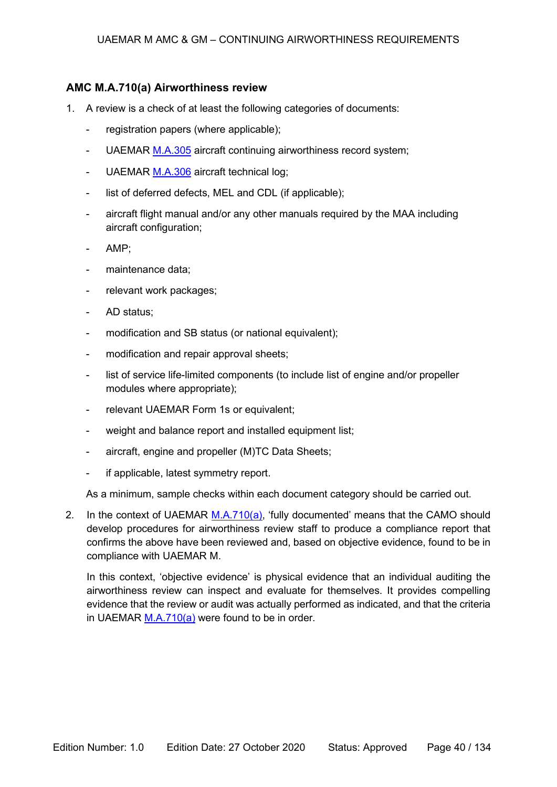#### **AMC M.A.710(a) Airworthiness review**

- 1. A review is a check of at least the following categories of documents:
	- registration papers (where applicable);
	- UAEMAR M.A.305 aircraft continuing airworthiness record system;
	- UAEMAR M.A.306 aircraft technical log;
	- list of deferred defects, MEL and CDL (if applicable);
	- aircraft flight manual and/or any other manuals required by the MAA including aircraft configuration;
	- AMP;
	- maintenance data;
	- relevant work packages;
	- AD status;
	- modification and SB status (or national equivalent);
	- modification and repair approval sheets;
	- list of service life-limited components (to include list of engine and/or propeller modules where appropriate);
	- relevant UAEMAR Form 1s or equivalent;
	- weight and balance report and installed equipment list;
	- aircraft, engine and propeller (M)TC Data Sheets;
	- if applicable, latest symmetry report.

As a minimum, sample checks within each document category should be carried out.

2. In the context of UAEMAR  $M.A.710(a)$ , 'fully documented' means that the CAMO should develop procedures for airworthiness review staff to produce a compliance report that confirms the above have been reviewed and, based on objective evidence, found to be in compliance with UAEMAR M.

In this context, 'objective evidence' is physical evidence that an individual auditing the airworthiness review can inspect and evaluate for themselves. It provides compelling evidence that the review or audit was actually performed as indicated, and that the criteria in UAEMAR  $M.A.710(a)$  were found to be in order.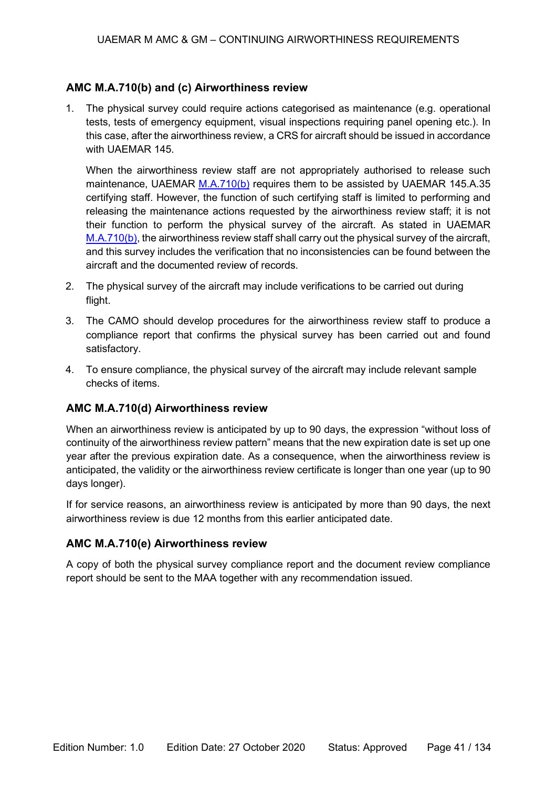### **AMC M.A.710(b) and (c) Airworthiness review**

1. The physical survey could require actions categorised as maintenance (e.g. operational tests, tests of emergency equipment, visual inspections requiring panel opening etc.). In this case, after the airworthiness review, a CRS for aircraft should be issued in accordance with UAEMAR 145.

When the airworthiness review staff are not appropriately authorised to release such maintenance, UAEMAR M.A.710(b) requires them to be assisted by UAEMAR 145.A.35 certifying staff. However, the function of such certifying staff is limited to performing and releasing the maintenance actions requested by the airworthiness review staff; it is not their function to perform the physical survey of the aircraft. As stated in UAEMAR  $M.A.710(b)$ , the airworthiness review staff shall carry out the physical survey of the aircraft, and this survey includes the verification that no inconsistencies can be found between the aircraft and the documented review of records.

- 2. The physical survey of the aircraft may include verifications to be carried out during flight.
- 3. The CAMO should develop procedures for the airworthiness review staff to produce a compliance report that confirms the physical survey has been carried out and found satisfactory.
- 4. To ensure compliance, the physical survey of the aircraft may include relevant sample checks of items.

#### **AMC M.A.710(d) Airworthiness review**

When an airworthiness review is anticipated by up to 90 days, the expression "without loss of continuity of the airworthiness review pattern" means that the new expiration date is set up one year after the previous expiration date. As a consequence, when the airworthiness review is anticipated, the validity or the airworthiness review certificate is longer than one year (up to 90 days longer).

If for service reasons, an airworthiness review is anticipated by more than 90 days, the next airworthiness review is due 12 months from this earlier anticipated date.

#### **AMC M.A.710(e) Airworthiness review**

A copy of both the physical survey compliance report and the document review compliance report should be sent to the MAA together with any recommendation issued.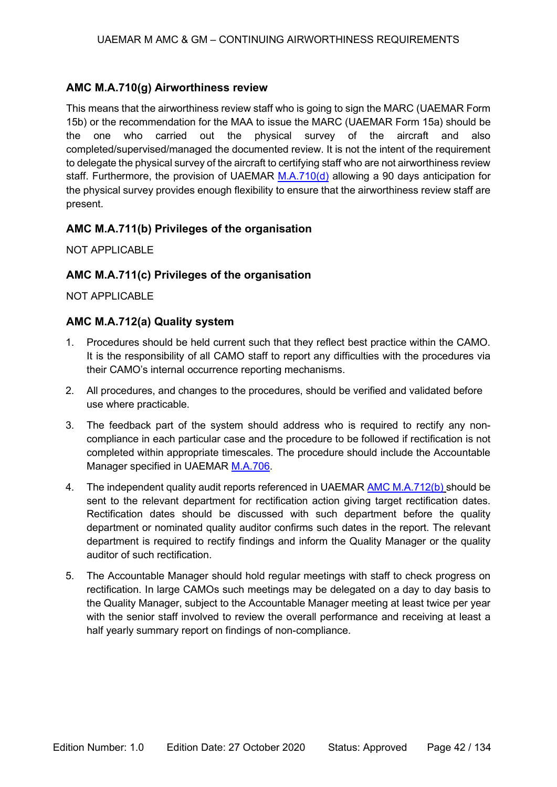### **AMC M.A.710(g) Airworthiness review**

This means that the airworthiness review staff who is going to sign the MARC (UAEMAR Form 15b) or the recommendation for the MAA to issue the MARC (UAEMAR Form 15a) should be the one who carried out the physical survey of the aircraft and also completed/supervised/managed the documented review. It is not the intent of the requirement to delegate the physical survey of the aircraft to certifying staff who are not airworthiness review staff. Furthermore, the provision of UAEMAR M.A.710(d) allowing a 90 days anticipation for the physical survey provides enough flexibility to ensure that the airworthiness review staff are present.

### **AMC M.A.711(b) Privileges of the organisation**

NOT APPLICABLE

### **AMC M.A.711(c) Privileges of the organisation**

NOT APPLICABLE

#### **AMC M.A.712(a) Quality system**

- 1. Procedures should be held current such that they reflect best practice within the CAMO. It is the responsibility of all CAMO staff to report any difficulties with the procedures via their CAMO's internal occurrence reporting mechanisms.
- 2. All procedures, and changes to the procedures, should be verified and validated before use where practicable.
- 3. The feedback part of the system should address who is required to rectify any noncompliance in each particular case and the procedure to be followed if rectification is not completed within appropriate timescales. The procedure should include the Accountable Manager specified in UAEMAR M.A.706.
- 4. The independent quality audit reports referenced in UAEMAR AMC M.A.712(b) should be sent to the relevant department for rectification action giving target rectification dates. Rectification dates should be discussed with such department before the quality department or nominated quality auditor confirms such dates in the report. The relevant department is required to rectify findings and inform the Quality Manager or the quality auditor of such rectification.
- 5. The Accountable Manager should hold regular meetings with staff to check progress on rectification. In large CAMOs such meetings may be delegated on a day to day basis to the Quality Manager, subject to the Accountable Manager meeting at least twice per year with the senior staff involved to review the overall performance and receiving at least a half yearly summary report on findings of non-compliance.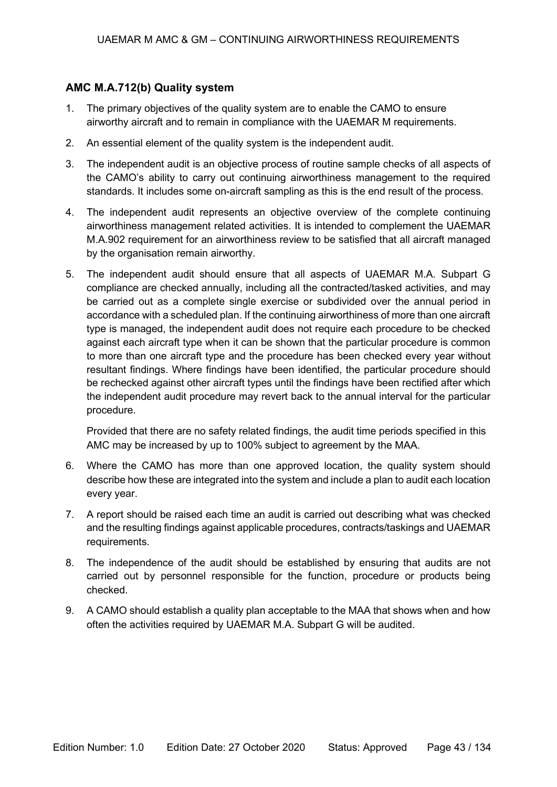### **AMC M.A.712(b) Quality system**

- 1. The primary objectives of the quality system are to enable the CAMO to ensure airworthy aircraft and to remain in compliance with the UAEMAR M requirements.
- 2. An essential element of the quality system is the independent audit.
- 3. The independent audit is an objective process of routine sample checks of all aspects of the CAMO's ability to carry out continuing airworthiness management to the required standards. It includes some on-aircraft sampling as this is the end result of the process.
- 4. The independent audit represents an objective overview of the complete continuing airworthiness management related activities. It is intended to complement the UAEMAR M.A.902 requirement for an airworthiness review to be satisfied that all aircraft managed by the organisation remain airworthy.
- 5. The independent audit should ensure that all aspects of UAEMAR M.A. Subpart G compliance are checked annually, including all the contracted/tasked activities, and may be carried out as a complete single exercise or subdivided over the annual period in accordance with a scheduled plan. If the continuing airworthiness of more than one aircraft type is managed, the independent audit does not require each procedure to be checked against each aircraft type when it can be shown that the particular procedure is common to more than one aircraft type and the procedure has been checked every year without resultant findings. Where findings have been identified, the particular procedure should be rechecked against other aircraft types until the findings have been rectified after which the independent audit procedure may revert back to the annual interval for the particular procedure.

Provided that there are no safety related findings, the audit time periods specified in this AMC may be increased by up to 100% subject to agreement by the MAA.

- 6. Where the CAMO has more than one approved location, the quality system should describe how these are integrated into the system and include a plan to audit each location every year.
- 7. A report should be raised each time an audit is carried out describing what was checked and the resulting findings against applicable procedures, contracts/taskings and UAEMAR requirements.
- 8. The independence of the audit should be established by ensuring that audits are not carried out by personnel responsible for the function, procedure or products being checked.
- 9. A CAMO should establish a quality plan acceptable to the MAA that shows when and how often the activities required by UAEMAR M.A. Subpart G will be audited.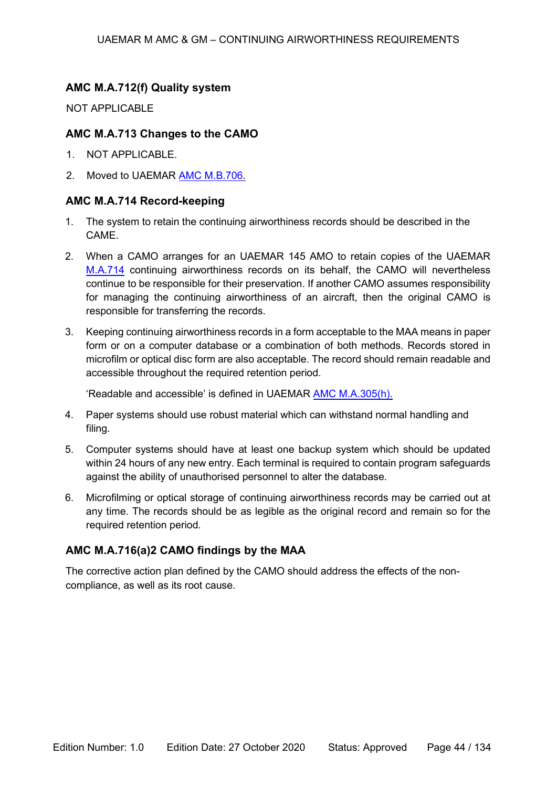### **AMC M.A.712(f) Quality system**

NOT APPLICABLE

#### **AMC M.A.713 Changes to the CAMO**

- 1. NOT APPLICABLE.
- 2. Moved to UAEMAR [AMC M.B.706.](#page-65-0)

### **AMC M.A.714 Record-keeping**

- 1. The system to retain the continuing airworthiness records should be described in the CAME.
- 2. When a CAMO arranges for an UAEMAR 145 AMO to retain copies of the UAEMAR M.A.714 continuing airworthiness records on its behalf, the CAMO will nevertheless continue to be responsible for their preservation. If another CAMO assumes responsibility for managing the continuing airworthiness of an aircraft, then the original CAMO is responsible for transferring the records.
- 3. Keeping continuing airworthiness records in a form acceptable to the MAA means in paper form or on a computer database or a combination of both methods. Records stored in microfilm or optical disc form are also acceptable. The record should remain readable and accessible throughout the required retention period.

'Readable and accessible' is defined in UAEMAR AMC M.A.305(h).

- 4. Paper systems should use robust material which can withstand normal handling and filing.
- 5. Computer systems should have at least one backup system which should be updated within 24 hours of any new entry. Each terminal is required to contain program safeguards against the ability of unauthorised personnel to alter the database.
- 6. Microfilming or optical storage of continuing airworthiness records may be carried out at any time. The records should be as legible as the original record and remain so for the required retention period.

## <span id="page-43-0"></span>**AMC M.A.716(a)2 CAMO findings by the MAA**

The corrective action plan defined by the CAMO should address the effects of the noncompliance, as well as its root cause.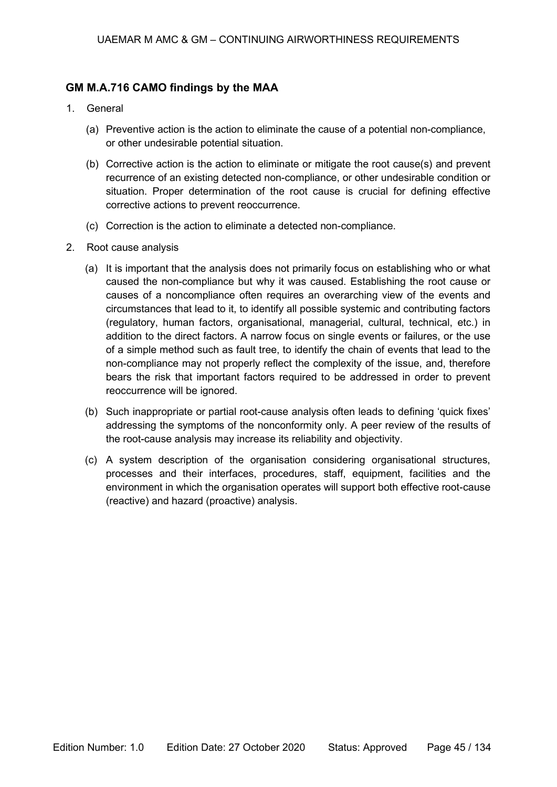### **GM M.A.716 CAMO findings by the MAA**

- 1. General
	- (a) Preventive action is the action to eliminate the cause of a potential non-compliance, or other undesirable potential situation.
	- (b) Corrective action is the action to eliminate or mitigate the root cause(s) and prevent recurrence of an existing detected non-compliance, or other undesirable condition or situation. Proper determination of the root cause is crucial for defining effective corrective actions to prevent reoccurrence.
	- (c) Correction is the action to eliminate a detected non-compliance.
- 2. Root cause analysis
	- (a) It is important that the analysis does not primarily focus on establishing who or what caused the non-compliance but why it was caused. Establishing the root cause or causes of a noncompliance often requires an overarching view of the events and circumstances that lead to it, to identify all possible systemic and contributing factors (regulatory, human factors, organisational, managerial, cultural, technical, etc.) in addition to the direct factors. A narrow focus on single events or failures, or the use of a simple method such as fault tree, to identify the chain of events that lead to the non-compliance may not properly reflect the complexity of the issue, and, therefore bears the risk that important factors required to be addressed in order to prevent reoccurrence will be ignored.
	- (b) Such inappropriate or partial root-cause analysis often leads to defining 'quick fixes' addressing the symptoms of the nonconformity only. A peer review of the results of the root-cause analysis may increase its reliability and objectivity.
	- (c) A system description of the organisation considering organisational structures, processes and their interfaces, procedures, staff, equipment, facilities and the environment in which the organisation operates will support both effective root-cause (reactive) and hazard (proactive) analysis.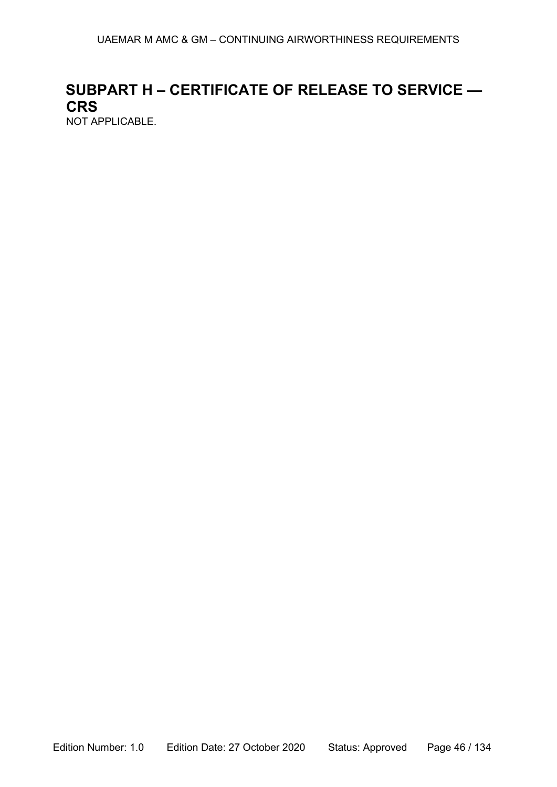## **SUBPART H – CERTIFICATE OF RELEASE TO SERVICE — CRS**

NOT APPLICABLE.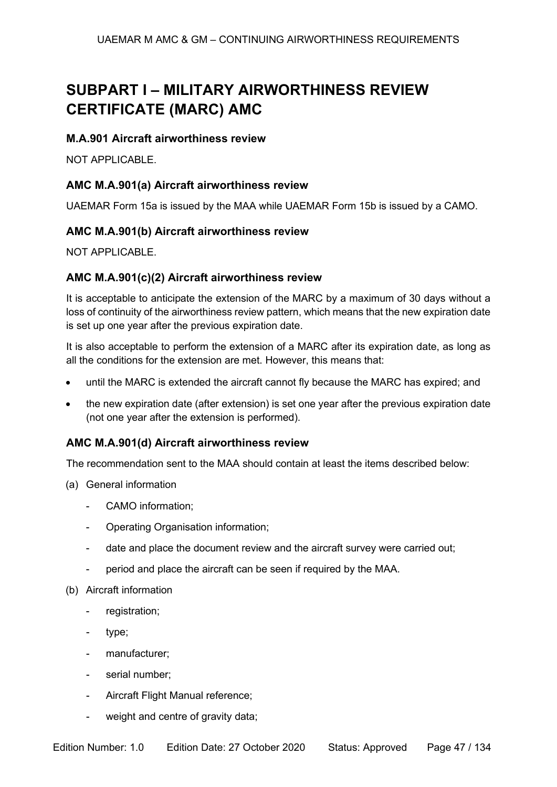## **SUBPART I – MILITARY AIRWORTHINESS REVIEW CERTIFICATE (MARC) AMC**

#### **M.A.901 Aircraft airworthiness review**

NOT APPLICABLE.

### **AMC M.A.901(a) Aircraft airworthiness review**

UAEMAR Form 15a is issued by the MAA while UAEMAR Form 15b is issued by a CAMO.

#### **AMC M.A.901(b) Aircraft airworthiness review**

NOT APPLICABLE.

#### **AMC M.A.901(c)(2) Aircraft airworthiness review**

It is acceptable to anticipate the extension of the MARC by a maximum of 30 days without a loss of continuity of the airworthiness review pattern, which means that the new expiration date is set up one year after the previous expiration date.

It is also acceptable to perform the extension of a MARC after its expiration date, as long as all the conditions for the extension are met. However, this means that:

- until the MARC is extended the aircraft cannot fly because the MARC has expired; and
- the new expiration date (after extension) is set one year after the previous expiration date (not one year after the extension is performed).

#### **AMC M.A.901(d) Aircraft airworthiness review**

The recommendation sent to the MAA should contain at least the items described below:

- (a) General information
	- CAMO information;
	- Operating Organisation information;
	- date and place the document review and the aircraft survey were carried out;
	- period and place the aircraft can be seen if required by the MAA.
- (b) Aircraft information
	- registration;
	- type;
	- manufacturer:
	- serial number;
	- Aircraft Flight Manual reference;
	- weight and centre of gravity data;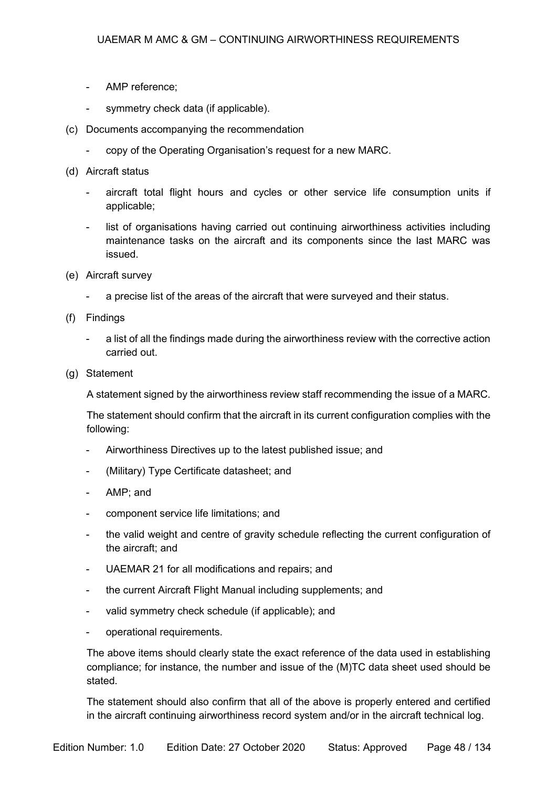- AMP reference:
- symmetry check data (if applicable).
- (c) Documents accompanying the recommendation
	- copy of the Operating Organisation's request for a new MARC.
- (d) Aircraft status
	- aircraft total flight hours and cycles or other service life consumption units if applicable;
	- list of organisations having carried out continuing airworthiness activities including maintenance tasks on the aircraft and its components since the last MARC was issued.
- (e) Aircraft survey
	- a precise list of the areas of the aircraft that were surveyed and their status.
- (f) Findings
	- a list of all the findings made during the airworthiness review with the corrective action carried out.
- (g) Statement

A statement signed by the airworthiness review staff recommending the issue of a MARC.

The statement should confirm that the aircraft in its current configuration complies with the following:

- Airworthiness Directives up to the latest published issue; and
- (Military) Type Certificate datasheet; and
- AMP; and
- component service life limitations; and
- the valid weight and centre of gravity schedule reflecting the current configuration of the aircraft; and
- UAEMAR 21 for all modifications and repairs; and
- the current Aircraft Flight Manual including supplements; and
- valid symmetry check schedule (if applicable); and
- operational requirements.

The above items should clearly state the exact reference of the data used in establishing compliance; for instance, the number and issue of the (M)TC data sheet used should be stated.

The statement should also confirm that all of the above is properly entered and certified in the aircraft continuing airworthiness record system and/or in the aircraft technical log.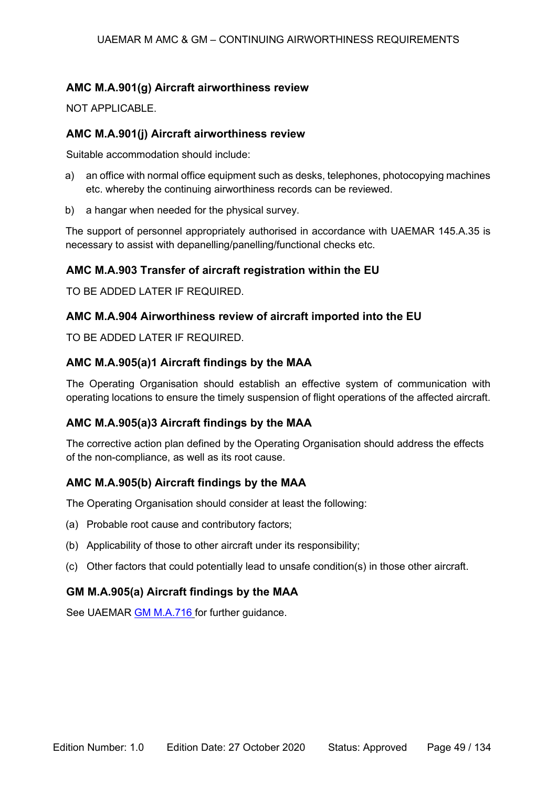### **AMC M.A.901(g) Aircraft airworthiness review**

NOT APPLICABLE.

#### **AMC M.A.901(j) Aircraft airworthiness review**

Suitable accommodation should include:

- a) an office with normal office equipment such as desks, telephones, photocopying machines etc. whereby the continuing airworthiness records can be reviewed.
- b) a hangar when needed for the physical survey.

The support of personnel appropriately authorised in accordance with UAEMAR 145.A.35 is necessary to assist with depanelling/panelling/functional checks etc.

#### **AMC M.A.903 Transfer of aircraft registration within the EU**

TO BE ADDED LATER IF REQUIRED.

#### **AMC M.A.904 Airworthiness review of aircraft imported into the EU**

TO BE ADDED LATER IF REQUIRED.

#### **AMC M.A.905(a)1 Aircraft findings by the MAA**

The Operating Organisation should establish an effective system of communication with operating locations to ensure the timely suspension of flight operations of the affected aircraft.

#### **AMC M.A.905(a)3 Aircraft findings by the MAA**

The corrective action plan defined by the Operating Organisation should address the effects of the non-compliance, as well as its root cause.

#### **AMC M.A.905(b) Aircraft findings by the MAA**

The Operating Organisation should consider at least the following:

- (a) Probable root cause and contributory factors;
- (b) Applicability of those to other aircraft under its responsibility;
- (c) Other factors that could potentially lead to unsafe condition(s) in those other aircraft.

#### **GM M.A.905(a) Aircraft findings by the MAA**

<span id="page-48-0"></span>See UAEMAR [GM M.A.716](#page-43-0) for further guidance.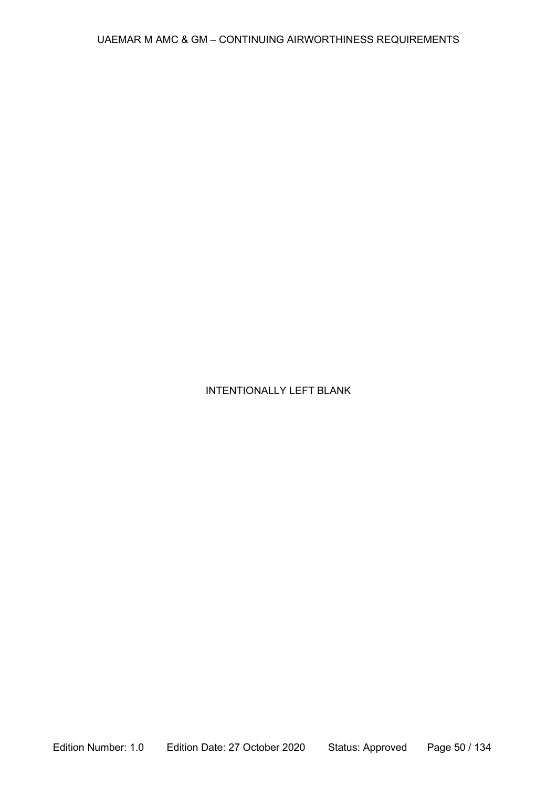## INTENTIONALLY LEFT BLANK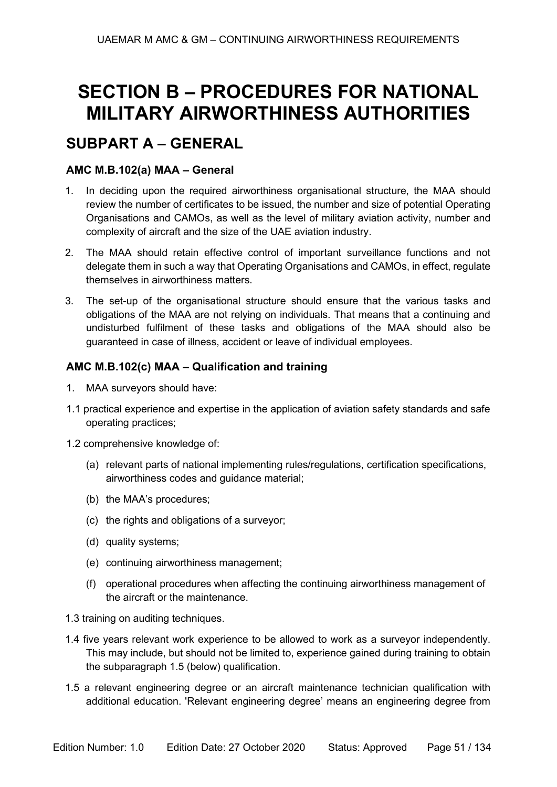# **SECTION B – PROCEDURES FOR NATIONAL MILITARY AIRWORTHINESS AUTHORITIES**

## **SUBPART A – GENERAL**

### **AMC M.B.102(a) MAA – General**

- 1. In deciding upon the required airworthiness organisational structure, the MAA should review the number of certificates to be issued, the number and size of potential Operating Organisations and CAMOs, as well as the level of military aviation activity, number and complexity of aircraft and the size of the UAE aviation industry.
- 2. The MAA should retain effective control of important surveillance functions and not delegate them in such a way that Operating Organisations and CAMOs, in effect, regulate themselves in airworthiness matters.
- 3. The set-up of the organisational structure should ensure that the various tasks and obligations of the MAA are not relying on individuals. That means that a continuing and undisturbed fulfilment of these tasks and obligations of the MAA should also be guaranteed in case of illness, accident or leave of individual employees.

## **AMC M.B.102(c) MAA – Qualification and training**

- 1. MAA surveyors should have:
- 1.1 practical experience and expertise in the application of aviation safety standards and safe operating practices;
- 1.2 comprehensive knowledge of:
	- (a) relevant parts of national implementing rules/regulations, certification specifications, airworthiness codes and guidance material;
	- (b) the MAA's procedures;
	- (c) the rights and obligations of a surveyor;
	- (d) quality systems;
	- (e) continuing airworthiness management;
	- (f) operational procedures when affecting the continuing airworthiness management of the aircraft or the maintenance.
- 1.3 training on auditing techniques.
- 1.4 five years relevant work experience to be allowed to work as a surveyor independently. This may include, but should not be limited to, experience gained during training to obtain the subparagraph 1.5 (below) qualification.
- 1.5 a relevant engineering degree or an aircraft maintenance technician qualification with additional education. 'Relevant engineering degree' means an engineering degree from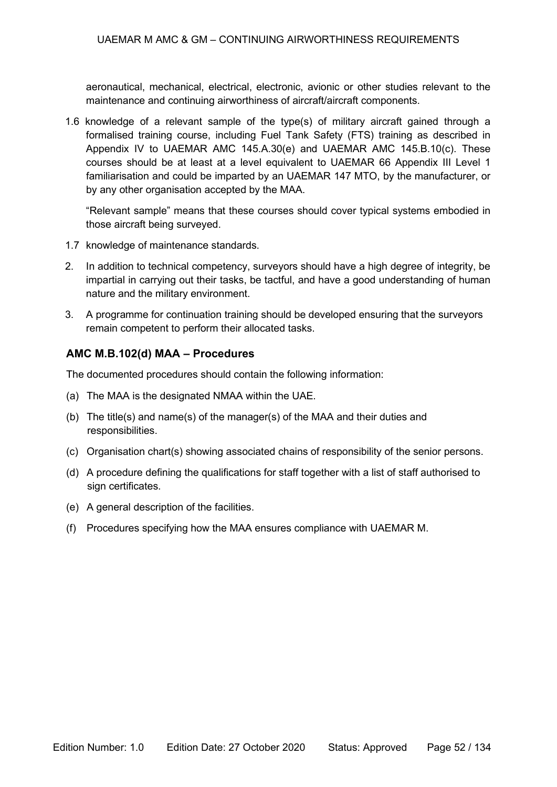aeronautical, mechanical, electrical, electronic, avionic or other studies relevant to the maintenance and continuing airworthiness of aircraft/aircraft components.

1.6 knowledge of a relevant sample of the type(s) of military aircraft gained through a formalised training course, including Fuel Tank Safety (FTS) training as described in Appendix IV to UAEMAR AMC 145.A.30(e) and UAEMAR AMC 145.B.10(c). These courses should be at least at a level equivalent to UAEMAR 66 Appendix III Level 1 familiarisation and could be imparted by an UAEMAR 147 MTO, by the manufacturer, or by any other organisation accepted by the MAA.

"Relevant sample" means that these courses should cover typical systems embodied in those aircraft being surveyed.

- 1.7 knowledge of maintenance standards.
- 2. In addition to technical competency, surveyors should have a high degree of integrity, be impartial in carrying out their tasks, be tactful, and have a good understanding of human nature and the military environment.
- 3. A programme for continuation training should be developed ensuring that the surveyors remain competent to perform their allocated tasks.

#### **AMC M.B.102(d) MAA – Procedures**

The documented procedures should contain the following information:

- (a) The MAA is the designated NMAA within the UAE.
- (b) The title(s) and name(s) of the manager(s) of the MAA and their duties and responsibilities.
- (c) Organisation chart(s) showing associated chains of responsibility of the senior persons.
- (d) A procedure defining the qualifications for staff together with a list of staff authorised to sign certificates.
- (e) A general description of the facilities.
- (f) Procedures specifying how the MAA ensures compliance with UAEMAR M.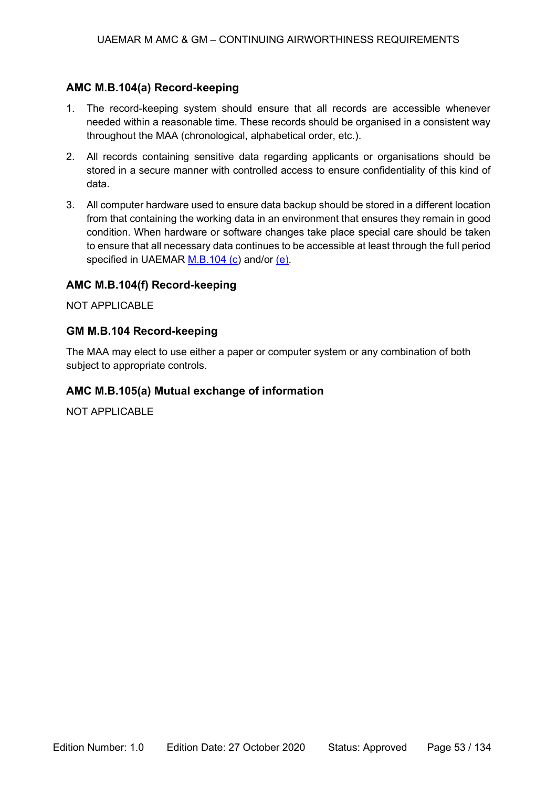#### **AMC M.B.104(a) Record-keeping**

- 1. The record-keeping system should ensure that all records are accessible whenever needed within a reasonable time. These records should be organised in a consistent way throughout the MAA (chronological, alphabetical order, etc.).
- 2. All records containing sensitive data regarding applicants or organisations should be stored in a secure manner with controlled access to ensure confidentiality of this kind of data.
- 3. All computer hardware used to ensure data backup should be stored in a different location from that containing the working data in an environment that ensures they remain in good condition. When hardware or software changes take place special care should be taken to ensure that all necessary data continues to be accessible at least through the full period specified in UAEMAR M.B.104 (c) and/or (e).

#### **AMC M.B.104(f) Record-keeping**

NOT APPLICABLE

#### **GM M.B.104 Record-keeping**

The MAA may elect to use either a paper or computer system or any combination of both subject to appropriate controls.

### **AMC M.B.105(a) Mutual exchange of information**

NOT APPLICABLE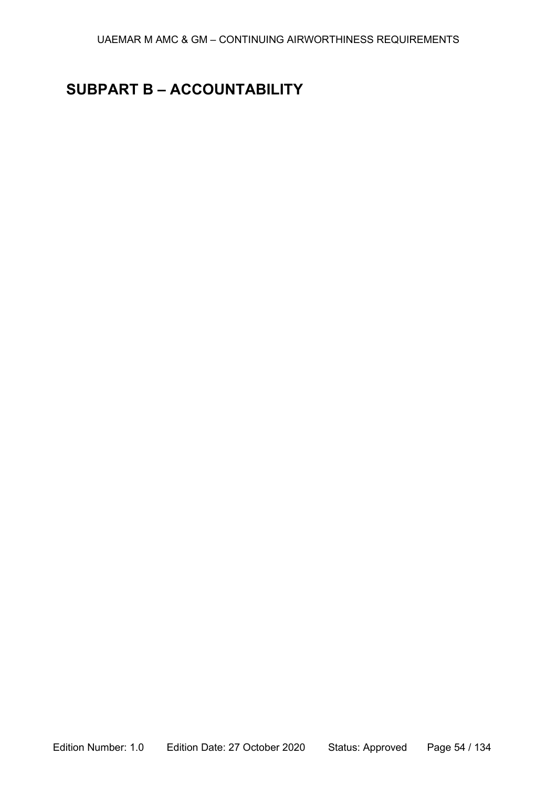## <span id="page-53-0"></span>**SUBPART B – ACCOUNTABILITY**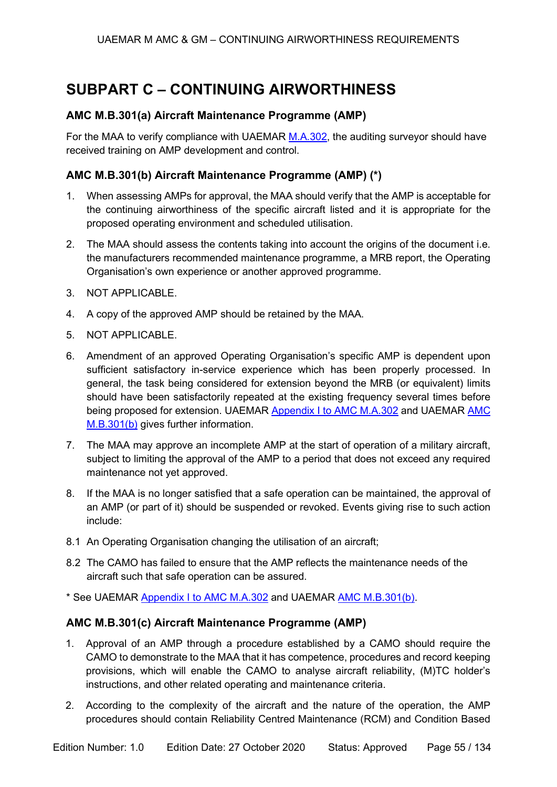## **SUBPART C – CONTINUING AIRWORTHINESS**

### **AMC M.B.301(a) Aircraft Maintenance Programme (AMP)**

For the MAA to verify compliance with UAEMAR M.A.302, the auditing surveyor should have received training on AMP development and control.

### **AMC M.B.301(b) Aircraft Maintenance Programme (AMP) (\*)**

- 1. When assessing AMPs for approval, the MAA should verify that the AMP is acceptable for the continuing airworthiness of the specific aircraft listed and it is appropriate for the proposed operating environment and scheduled utilisation.
- 2. The MAA should assess the contents taking into account the origins of the document i.e. the manufacturers recommended maintenance programme, a MRB report, the Operating Organisation's own experience or another approved programme.
- 3. NOT APPLICABLE.
- 4. A copy of the approved AMP should be retained by the MAA.
- 5. NOT APPLICABLE.
- 6. Amendment of an approved Operating Organisation's specific AMP is dependent upon sufficient satisfactory in-service experience which has been properly processed. In general, the task being considered for extension beyond the MRB (or equivalent) limits should have been satisfactorily repeated at the existing frequency several times before being proposed for extension. UAEMAR Appendix I to AMC M.A.302 and UAEMAR AMC M.B.301(b) gives further information.
- 7. The MAA may approve an incomplete AMP at the start of operation of a military aircraft, subject to limiting the approval of the AMP to a period that does not exceed any required maintenance not yet approved.
- 8. If the MAA is no longer satisfied that a safe operation can be maintained, the approval of an AMP (or part of it) should be suspended or revoked. Events giving rise to such action include:
- 8.1 An Operating Organisation changing the utilisation of an aircraft;
- 8.2 The CAMO has failed to ensure that the AMP reflects the maintenance needs of the aircraft such that safe operation can be assured.

\* See UAEMAR Appendix I to AMC M.A.302 and UAEMAR AMC M.B.301(b).

#### **AMC M.B.301(c) Aircraft Maintenance Programme (AMP)**

- 1. Approval of an AMP through a procedure established by a CAMO should require the CAMO to demonstrate to the MAA that it has competence, procedures and record keeping provisions, which will enable the CAMO to analyse aircraft reliability, (M)TC holder's instructions, and other related operating and maintenance criteria.
- 2. According to the complexity of the aircraft and the nature of the operation, the AMP procedures should contain Reliability Centred Maintenance (RCM) and Condition Based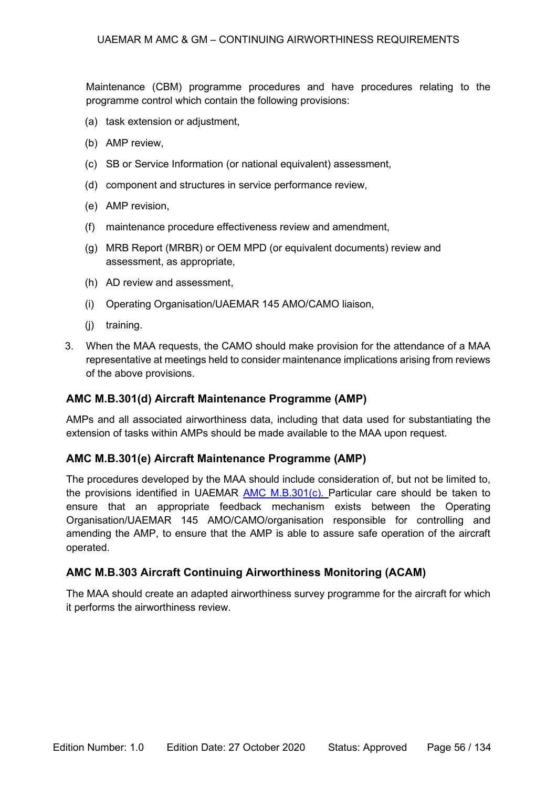Maintenance (CBM) programme procedures and have procedures relating to the programme control which contain the following provisions:

- (a) task extension or adjustment,
- (b) AMP review,
- (c) SB or Service Information (or national equivalent) assessment,
- (d) component and structures in service performance review,
- (e) AMP revision,
- (f) maintenance procedure effectiveness review and amendment,
- (g) MRB Report (MRBR) or OEM MPD (or equivalent documents) review and assessment, as appropriate,
- (h) AD review and assessment,
- (i) Operating Organisation/UAEMAR 145 AMO/CAMO liaison,
- (j) training.
- 3. When the MAA requests, the CAMO should make provision for the attendance of a MAA representative at meetings held to consider maintenance implications arising from reviews of the above provisions.

#### **AMC M.B.301(d) Aircraft Maintenance Programme (AMP)**

AMPs and all associated airworthiness data, including that data used for substantiating the extension of tasks within AMPs should be made available to the MAA upon request.

#### **AMC M.B.301(e) Aircraft Maintenance Programme (AMP)**

The procedures developed by the MAA should include consideration of, but not be limited to, the provisions identified in UAEMAR **AMC M.B.301(c)**. Particular care should be taken to ensure that an appropriate feedback mechanism exists between the Operating Organisation/UAEMAR 145 AMO/CAMO/organisation responsible for controlling and amending the AMP, to ensure that the AMP is able to assure safe operation of the aircraft operated.

#### **AMC M.B.303 Aircraft Continuing Airworthiness Monitoring (ACAM)**

<span id="page-55-0"></span>The MAA should create an adapted airworthiness survey programme for the aircraft for which it performs the airworthiness review.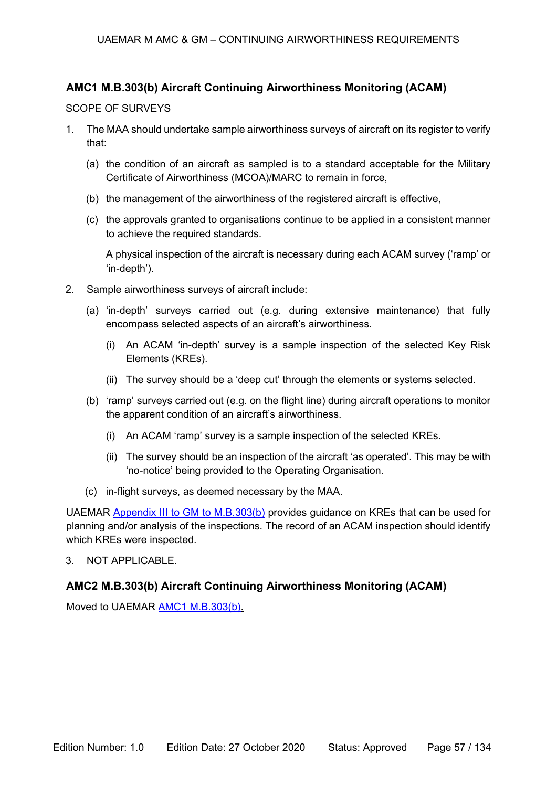### **AMC1 M.B.303(b) Aircraft Continuing Airworthiness Monitoring (ACAM)**

#### SCOPE OF SURVEYS

- 1. The MAA should undertake sample airworthiness surveys of aircraft on its register to verify that:
	- (a) the condition of an aircraft as sampled is to a standard acceptable for the Military Certificate of Airworthiness (MCOA)/MARC to remain in force,
	- (b) the management of the airworthiness of the registered aircraft is effective,
	- (c) the approvals granted to organisations continue to be applied in a consistent manner to achieve the required standards.

A physical inspection of the aircraft is necessary during each ACAM survey ('ramp' or 'in-depth').

- 2. Sample airworthiness surveys of aircraft include:
	- (a) 'in-depth' surveys carried out (e.g. during extensive maintenance) that fully encompass selected aspects of an aircraft's airworthiness.
		- (i) An ACAM 'in-depth' survey is a sample inspection of the selected Key Risk Elements (KREs).
		- (ii) The survey should be a 'deep cut' through the elements or systems selected.
	- (b) 'ramp' surveys carried out (e.g. on the flight line) during aircraft operations to monitor the apparent condition of an aircraft's airworthiness.
		- (i) An ACAM 'ramp' survey is a sample inspection of the selected KREs.
		- (ii) The survey should be an inspection of the aircraft 'as operated'. This may be with 'no-notice' being provided to the Operating Organisation.
	- (c) in-flight surveys, as deemed necessary by the MAA.

UAEMAR [Appendix III to GM to M.B.303\(b\)](#page-86-0) provides guidance on KREs that can be used for planning and/or analysis of the inspections. The record of an ACAM inspection should identify which KREs were inspected.

3. NOT APPLICABLE.

#### **AMC2 M.B.303(b) Aircraft Continuing Airworthiness Monitoring (ACAM)**

Moved to UAEMAR [AMC1 M.B.303\(b\).](#page-55-0)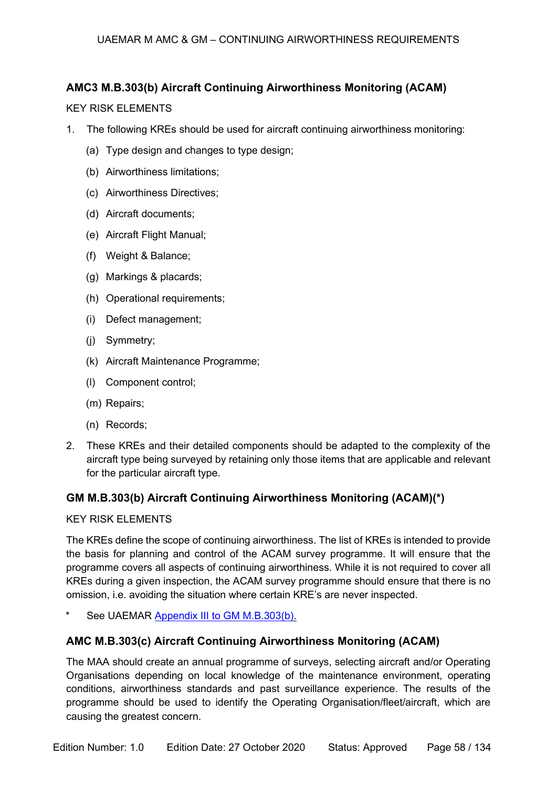### **AMC3 M.B.303(b) Aircraft Continuing Airworthiness Monitoring (ACAM)**

#### KEY RISK ELEMENTS

- 1. The following KREs should be used for aircraft continuing airworthiness monitoring:
	- (a) Type design and changes to type design;
	- (b) Airworthiness limitations;
	- (c) Airworthiness Directives;
	- (d) Aircraft documents;
	- (e) Aircraft Flight Manual;
	- (f) Weight & Balance;
	- (g) Markings & placards;
	- (h) Operational requirements;
	- (i) Defect management;
	- (j) Symmetry;
	- (k) Aircraft Maintenance Programme;
	- (l) Component control;
	- (m) Repairs;
	- (n) Records;
- 2. These KREs and their detailed components should be adapted to the complexity of the aircraft type being surveyed by retaining only those items that are applicable and relevant for the particular aircraft type.

## **GM M.B.303(b) Aircraft Continuing Airworthiness Monitoring (ACAM)(\*)**

KEY RISK ELEMENTS

The KREs define the scope of continuing airworthiness. The list of KREs is intended to provide the basis for planning and control of the ACAM survey programme. It will ensure that the programme covers all aspects of continuing airworthiness. While it is not required to cover all KREs during a given inspection, the ACAM survey programme should ensure that there is no omission, i.e. avoiding the situation where certain KRE's are never inspected.

See UAEMAR [Appendix III to GM M.B.303\(b\).](#page-86-0)

#### **AMC M.B.303(c) Aircraft Continuing Airworthiness Monitoring (ACAM)**

The MAA should create an annual programme of surveys, selecting aircraft and/or Operating Organisations depending on local knowledge of the maintenance environment, operating conditions, airworthiness standards and past surveillance experience. The results of the programme should be used to identify the Operating Organisation/fleet/aircraft, which are causing the greatest concern.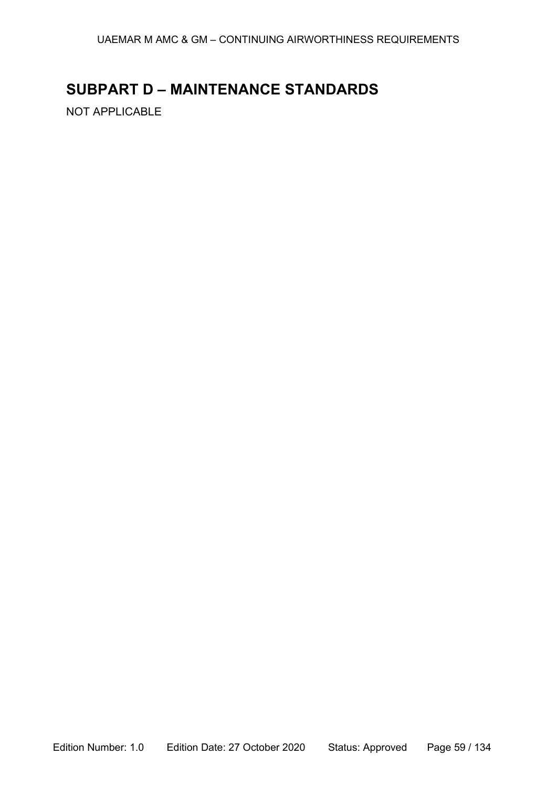## **SUBPART D – MAINTENANCE STANDARDS**

NOT APPLICABLE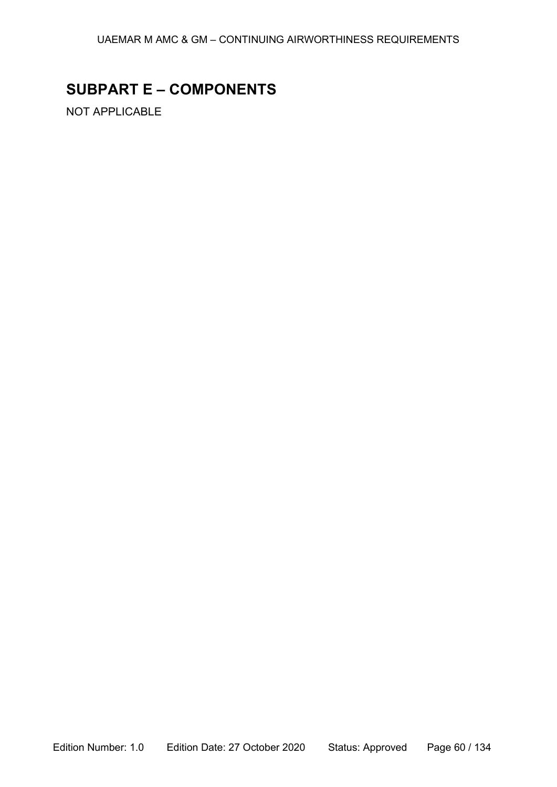## **SUBPART E – COMPONENTS**

NOT APPLICABLE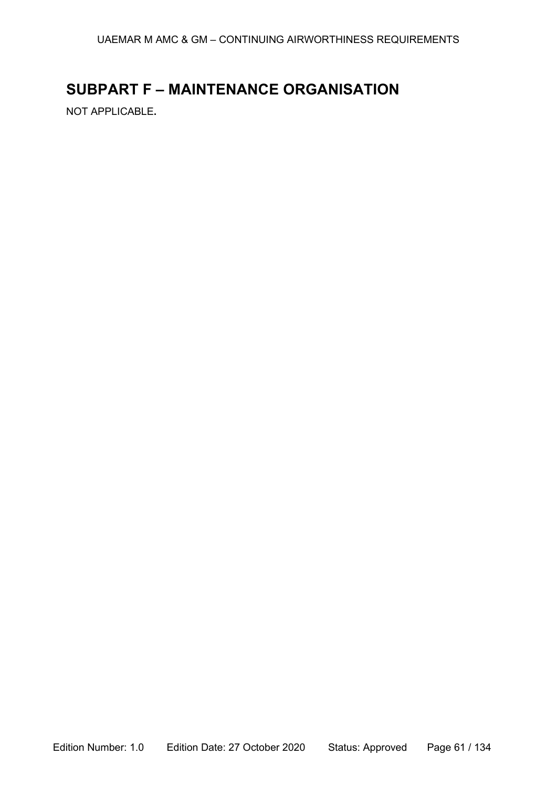## **SUBPART F – MAINTENANCE ORGANISATION**

NOT APPLICABLE**.**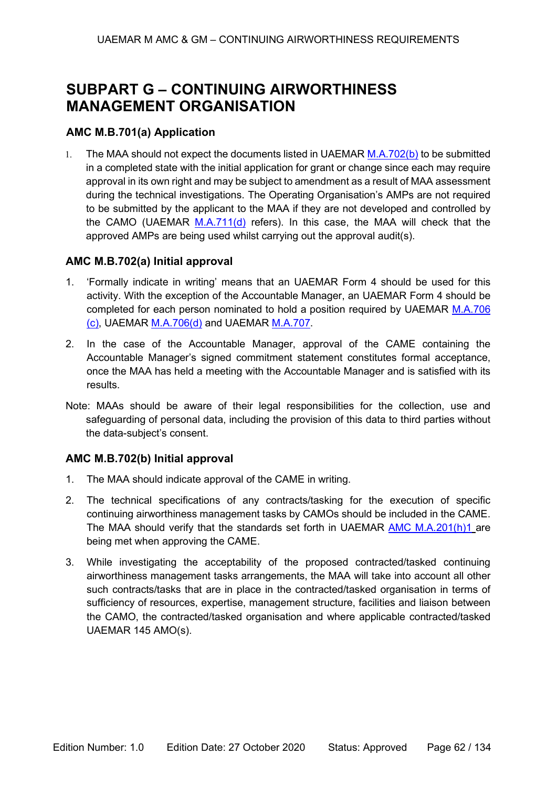## **SUBPART G – CONTINUING AIRWORTHINESS MANAGEMENT ORGANISATION**

#### **AMC M.B.701(a) Application**

1. The MAA should not expect the documents listed in UAEMAR M.A.702(b) to be submitted in a completed state with the initial application for grant or change since each may require approval in its own right and may be subject to amendment as a result of MAA assessment during the technical investigations. The Operating Organisation's AMPs are not required to be submitted by the applicant to the MAA if they are not developed and controlled by the CAMO (UAEMAR M.A.711(d) refers). In this case, the MAA will check that the approved AMPs are being used whilst carrying out the approval audit(s).

### **AMC M.B.702(a) Initial approval**

- 1. 'Formally indicate in writing' means that an UAEMAR Form 4 should be used for this activity. With the exception of the Accountable Manager, an UAEMAR Form 4 should be completed for each person nominated to hold a position required by UAEMAR M.A.706 (c), UAEMAR M.A.706(d) and UAEMAR M.A.707.
- 2. In the case of the Accountable Manager, approval of the CAME containing the Accountable Manager's signed commitment statement constitutes formal acceptance, once the MAA has held a meeting with the Accountable Manager and is satisfied with its results.
- Note: MAAs should be aware of their legal responsibilities for the collection, use and safeguarding of personal data, including the provision of this data to third parties without the data-subject's consent.

## **AMC M.B.702(b) Initial approval**

- 1. The MAA should indicate approval of the CAME in writing.
- 2. The technical specifications of any contracts/tasking for the execution of specific continuing airworthiness management tasks by CAMOs should be included in the CAME. The MAA should verify that the standards set forth in UAEMAR AMC M.A.201(h)1 are being met when approving the CAME.
- 3. While investigating the acceptability of the proposed contracted/tasked continuing airworthiness management tasks arrangements, the MAA will take into account all other such contracts/tasks that are in place in the contracted/tasked organisation in terms of sufficiency of resources, expertise, management structure, facilities and liaison between the CAMO, the contracted/tasked organisation and where applicable contracted/tasked UAEMAR 145 AMO(s).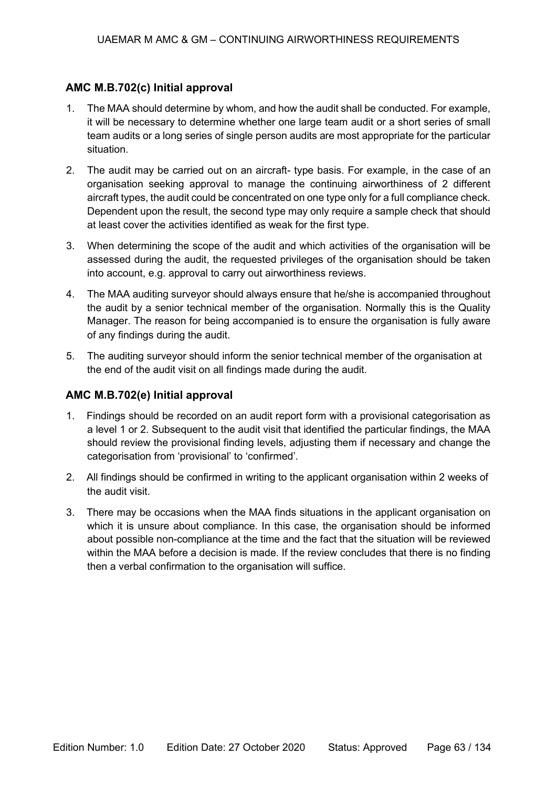### **AMC M.B.702(c) Initial approval**

- 1. The MAA should determine by whom, and how the audit shall be conducted. For example, it will be necessary to determine whether one large team audit or a short series of small team audits or a long series of single person audits are most appropriate for the particular situation.
- 2. The audit may be carried out on an aircraft- type basis. For example, in the case of an organisation seeking approval to manage the continuing airworthiness of 2 different aircraft types, the audit could be concentrated on one type only for a full compliance check. Dependent upon the result, the second type may only require a sample check that should at least cover the activities identified as weak for the first type.
- 3. When determining the scope of the audit and which activities of the organisation will be assessed during the audit, the requested privileges of the organisation should be taken into account, e.g. approval to carry out airworthiness reviews.
- 4. The MAA auditing surveyor should always ensure that he/she is accompanied throughout the audit by a senior technical member of the organisation. Normally this is the Quality Manager. The reason for being accompanied is to ensure the organisation is fully aware of any findings during the audit.
- 5. The auditing surveyor should inform the senior technical member of the organisation at the end of the audit visit on all findings made during the audit.

#### **AMC M.B.702(e) Initial approval**

- 1. Findings should be recorded on an audit report form with a provisional categorisation as a level 1 or 2. Subsequent to the audit visit that identified the particular findings, the MAA should review the provisional finding levels, adjusting them if necessary and change the categorisation from 'provisional' to 'confirmed'.
- 2. All findings should be confirmed in writing to the applicant organisation within 2 weeks of the audit visit.
- 3. There may be occasions when the MAA finds situations in the applicant organisation on which it is unsure about compliance. In this case, the organisation should be informed about possible non-compliance at the time and the fact that the situation will be reviewed within the MAA before a decision is made. If the review concludes that there is no finding then a verbal confirmation to the organisation will suffice.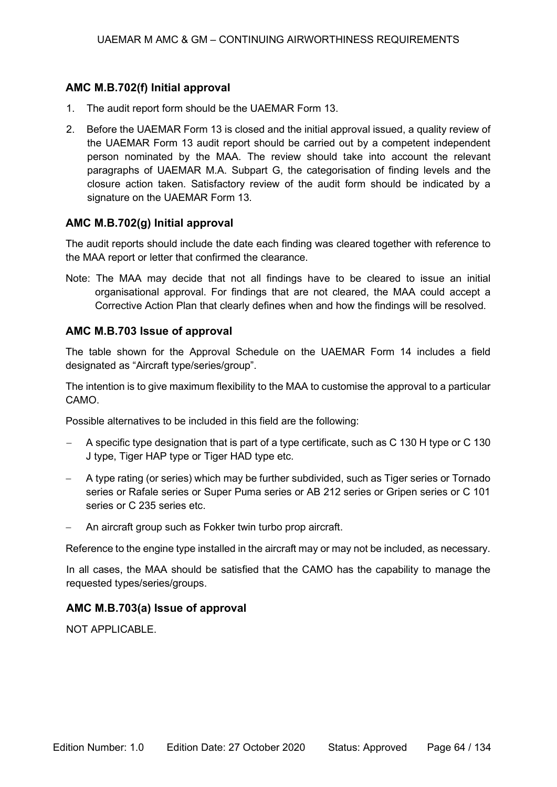#### **AMC M.B.702(f) Initial approval**

- 1. The audit report form should be the UAEMAR Form 13.
- 2. Before the UAEMAR Form 13 is closed and the initial approval issued, a quality review of the UAEMAR Form 13 audit report should be carried out by a competent independent person nominated by the MAA. The review should take into account the relevant paragraphs of UAEMAR M.A. Subpart G, the categorisation of finding levels and the closure action taken. Satisfactory review of the audit form should be indicated by a signature on the UAEMAR Form 13.

#### **AMC M.B.702(g) Initial approval**

The audit reports should include the date each finding was cleared together with reference to the MAA report or letter that confirmed the clearance.

Note: The MAA may decide that not all findings have to be cleared to issue an initial organisational approval. For findings that are not cleared, the MAA could accept a Corrective Action Plan that clearly defines when and how the findings will be resolved.

#### **AMC M.B.703 Issue of approval**

The table shown for the Approval Schedule on the UAEMAR Form 14 includes a field designated as "Aircraft type/series/group".

The intention is to give maximum flexibility to the MAA to customise the approval to a particular CAMO.

Possible alternatives to be included in this field are the following:

- − A specific type designation that is part of a type certificate, such as C 130 H type or C 130 J type, Tiger HAP type or Tiger HAD type etc.
- − A type rating (or series) which may be further subdivided, such as Tiger series or Tornado series or Rafale series or Super Puma series or AB 212 series or Gripen series or C 101 series or C 235 series etc.
- An aircraft group such as Fokker twin turbo prop aircraft.

Reference to the engine type installed in the aircraft may or may not be included, as necessary.

In all cases, the MAA should be satisfied that the CAMO has the capability to manage the requested types/series/groups.

#### **AMC M.B.703(a) Issue of approval**

NOT APPLICABLE.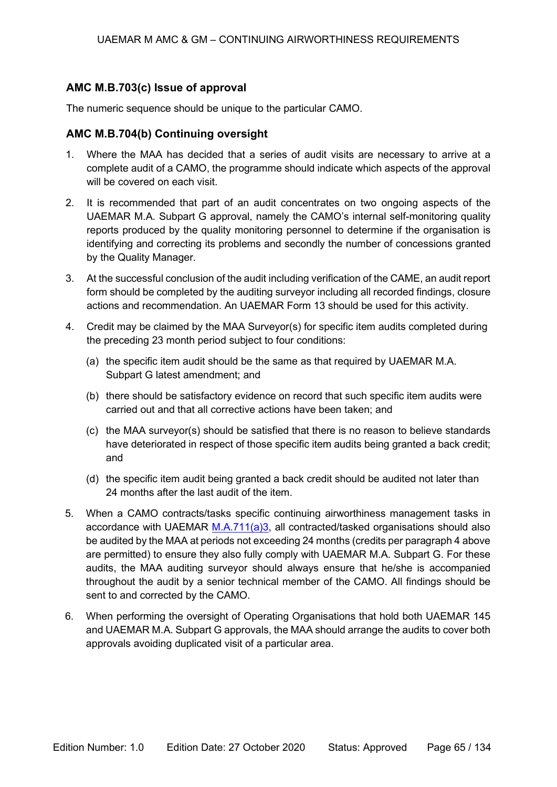### **AMC M.B.703(c) Issue of approval**

The numeric sequence should be unique to the particular CAMO.

#### **AMC M.B.704(b) Continuing oversight**

- 1. Where the MAA has decided that a series of audit visits are necessary to arrive at a complete audit of a CAMO, the programme should indicate which aspects of the approval will be covered on each visit.
- 2. It is recommended that part of an audit concentrates on two ongoing aspects of the UAEMAR M.A. Subpart G approval, namely the CAMO's internal self-monitoring quality reports produced by the quality monitoring personnel to determine if the organisation is identifying and correcting its problems and secondly the number of concessions granted by the Quality Manager.
- 3. At the successful conclusion of the audit including verification of the CAME, an audit report form should be completed by the auditing surveyor including all recorded findings, closure actions and recommendation. An UAEMAR Form 13 should be used for this activity.
- 4. Credit may be claimed by the MAA Surveyor(s) for specific item audits completed during the preceding 23 month period subject to four conditions:
	- (a) the specific item audit should be the same as that required by UAEMAR M.A. Subpart G latest amendment; and
	- (b) there should be satisfactory evidence on record that such specific item audits were carried out and that all corrective actions have been taken; and
	- (c) the MAA surveyor(s) should be satisfied that there is no reason to believe standards have deteriorated in respect of those specific item audits being granted a back credit; and
	- (d) the specific item audit being granted a back credit should be audited not later than 24 months after the last audit of the item.
- 5. When a CAMO contracts/tasks specific continuing airworthiness management tasks in accordance with UAEMAR M.A.711(a)3, all contracted/tasked organisations should also be audited by the MAA at periods not exceeding 24 months (credits per paragraph 4 above are permitted) to ensure they also fully comply with UAEMAR M.A. Subpart G. For these audits, the MAA auditing surveyor should always ensure that he/she is accompanied throughout the audit by a senior technical member of the CAMO. All findings should be sent to and corrected by the CAMO.
- 6. When performing the oversight of Operating Organisations that hold both UAEMAR 145 and UAEMAR M.A. Subpart G approvals, the MAA should arrange the audits to cover both approvals avoiding duplicated visit of a particular area.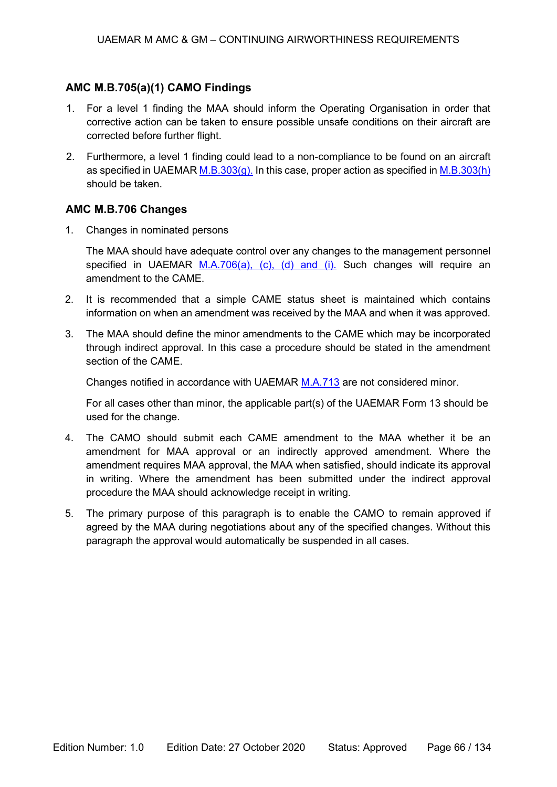### **AMC M.B.705(a)(1) CAMO Findings**

- 1. For a level 1 finding the MAA should inform the Operating Organisation in order that corrective action can be taken to ensure possible unsafe conditions on their aircraft are corrected before further flight.
- <span id="page-65-0"></span>2. Furthermore, a level 1 finding could lead to a non-compliance to be found on an aircraft as specified in UAEMAR M.B.303(g). In this case, proper action as specified in M.B.303(h) should be taken.

#### **AMC M.B.706 Changes**

1. Changes in nominated persons

The MAA should have adequate control over any changes to the management personnel specified in UAEMAR M.A.706(a), (c), (d) and (i). Such changes will require an amendment to the CAME.

- 2. It is recommended that a simple CAME status sheet is maintained which contains information on when an amendment was received by the MAA and when it was approved.
- 3. The MAA should define the minor amendments to the CAME which may be incorporated through indirect approval. In this case a procedure should be stated in the amendment section of the CAME.

Changes notified in accordance with UAEMAR M.A.713 are not considered minor.

For all cases other than minor, the applicable part(s) of the UAEMAR Form 13 should be used for the change.

- 4. The CAMO should submit each CAME amendment to the MAA whether it be an amendment for MAA approval or an indirectly approved amendment. Where the amendment requires MAA approval, the MAA when satisfied, should indicate its approval in writing. Where the amendment has been submitted under the indirect approval procedure the MAA should acknowledge receipt in writing.
- 5. The primary purpose of this paragraph is to enable the CAMO to remain approved if agreed by the MAA during negotiations about any of the specified changes. Without this paragraph the approval would automatically be suspended in all cases.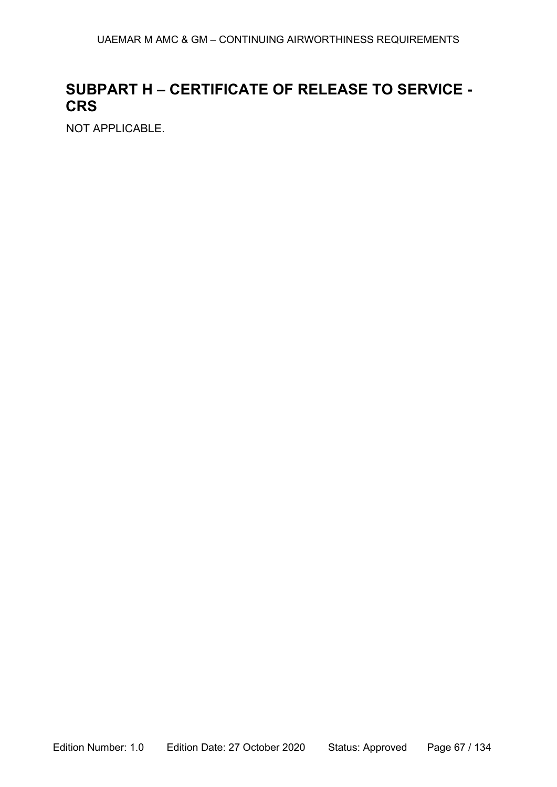## **SUBPART H – CERTIFICATE OF RELEASE TO SERVICE - CRS**

NOT APPLICABLE.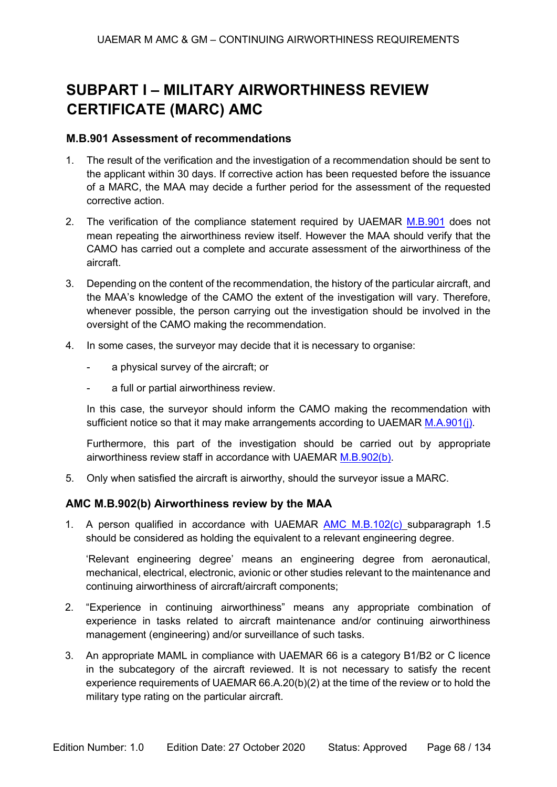## **SUBPART I – MILITARY AIRWORTHINESS REVIEW CERTIFICATE (MARC) AMC**

#### **M.B.901 Assessment of recommendations**

- 1. The result of the verification and the investigation of a recommendation should be sent to the applicant within 30 days. If corrective action has been requested before the issuance of a MARC, the MAA may decide a further period for the assessment of the requested corrective action.
- 2. The verification of the compliance statement required by UAEMAR M.B.901 does not mean repeating the airworthiness review itself. However the MAA should verify that the CAMO has carried out a complete and accurate assessment of the airworthiness of the aircraft.
- 3. Depending on the content of the recommendation, the history of the particular aircraft, and the MAA's knowledge of the CAMO the extent of the investigation will vary. Therefore, whenever possible, the person carrying out the investigation should be involved in the oversight of the CAMO making the recommendation.
- 4. In some cases, the surveyor may decide that it is necessary to organise:
	- a physical survey of the aircraft; or
	- a full or partial airworthiness review.

In this case, the surveyor should inform the CAMO making the recommendation with sufficient notice so that it may make arrangements according to UAEMAR M.A.901(j).

Furthermore, this part of the investigation should be carried out by appropriate airworthiness review staff in accordance with UAEMAR M.B.902(b).

5. Only when satisfied the aircraft is airworthy, should the surveyor issue a MARC.

#### **AMC M.B.902(b) Airworthiness review by the MAA**

1. A person qualified in accordance with UAEMAR [AMC M.B.102\(c\)](#page-48-0) subparagraph 1.5 should be considered as holding the equivalent to a relevant engineering degree.

'Relevant engineering degree' means an engineering degree from aeronautical, mechanical, electrical, electronic, avionic or other studies relevant to the maintenance and continuing airworthiness of aircraft/aircraft components;

- 2. "Experience in continuing airworthiness" means any appropriate combination of experience in tasks related to aircraft maintenance and/or continuing airworthiness management (engineering) and/or surveillance of such tasks.
- 3. An appropriate MAML in compliance with UAEMAR 66 is a category B1/B2 or C licence in the subcategory of the aircraft reviewed. It is not necessary to satisfy the recent experience requirements of UAEMAR 66.A.20(b)(2) at the time of the review or to hold the military type rating on the particular aircraft.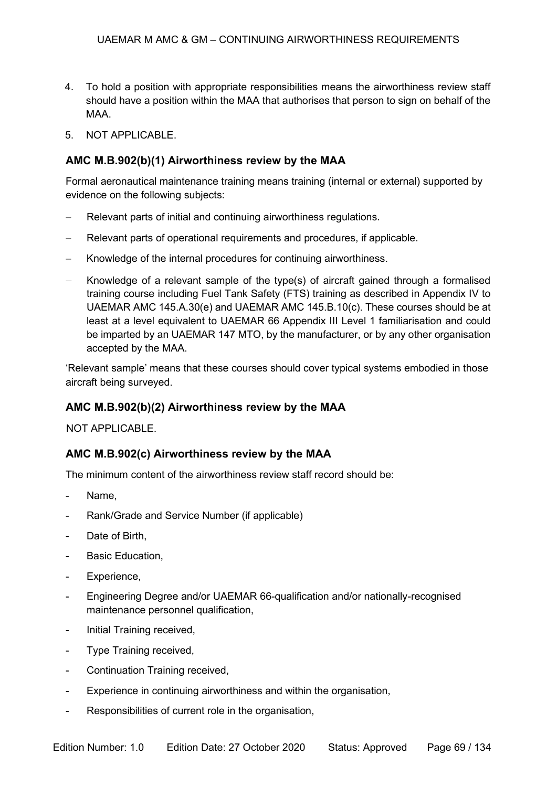- 4. To hold a position with appropriate responsibilities means the airworthiness review staff should have a position within the MAA that authorises that person to sign on behalf of the MAA.
- 5. NOT APPLICABLE.

#### **AMC M.B.902(b)(1) Airworthiness review by the MAA**

Formal aeronautical maintenance training means training (internal or external) supported by evidence on the following subjects:

- − Relevant parts of initial and continuing airworthiness regulations.
- − Relevant parts of operational requirements and procedures, if applicable.
- Knowledge of the internal procedures for continuing airworthiness.
- Knowledge of a relevant sample of the type(s) of aircraft gained through a formalised training course including Fuel Tank Safety (FTS) training as described in Appendix IV to UAEMAR AMC 145.A.30(e) and UAEMAR AMC 145.B.10(c). These courses should be at least at a level equivalent to UAEMAR 66 Appendix III Level 1 familiarisation and could be imparted by an UAEMAR 147 MTO, by the manufacturer, or by any other organisation accepted by the MAA.

'Relevant sample' means that these courses should cover typical systems embodied in those aircraft being surveyed.

#### **AMC M.B.902(b)(2) Airworthiness review by the MAA**

NOT APPLICABLE.

#### **AMC M.B.902(c) Airworthiness review by the MAA**

The minimum content of the airworthiness review staff record should be:

- Name.
- Rank/Grade and Service Number (if applicable)
- Date of Birth,
- Basic Education.
- Experience.
- Engineering Degree and/or UAEMAR 66-qualification and/or nationally-recognised maintenance personnel qualification,
- Initial Training received,
- Type Training received,
- Continuation Training received,
- Experience in continuing airworthiness and within the organisation,
- Responsibilities of current role in the organisation,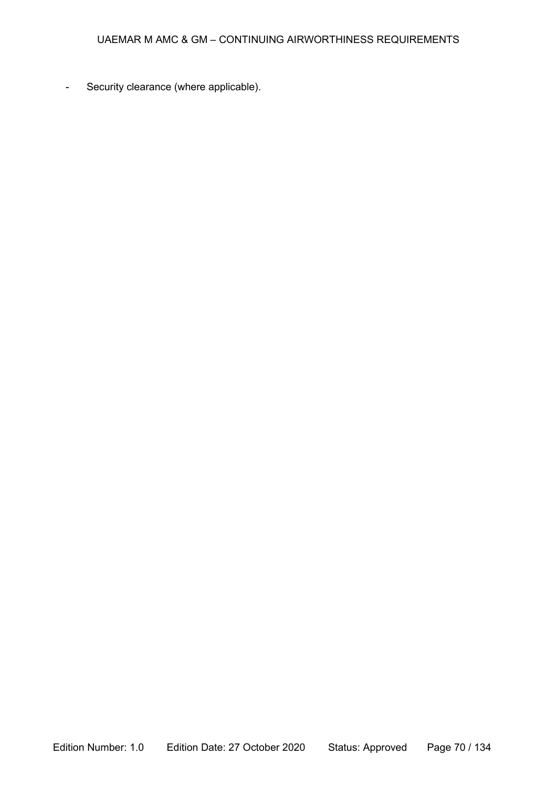- Security clearance (where applicable).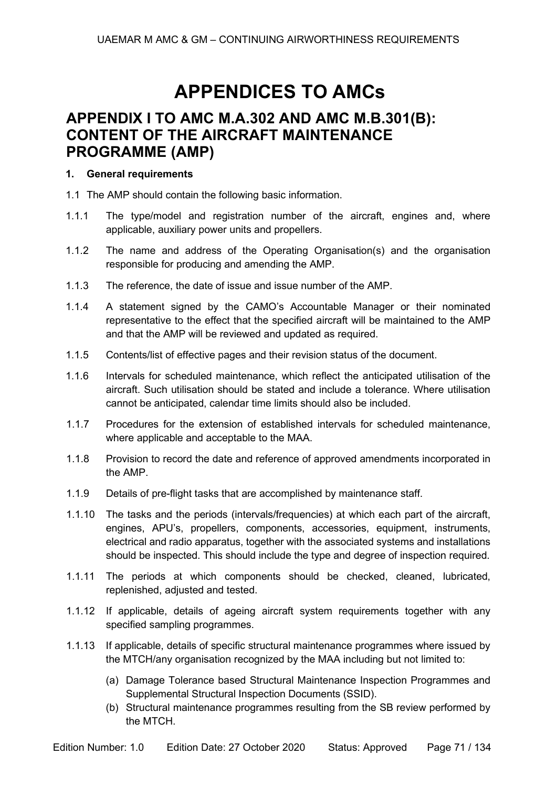# **APPENDICES TO AMCs**

## **APPENDIX I TO AMC M.A.302 AND AMC M.B.301(B): CONTENT OF THE AIRCRAFT MAINTENANCE PROGRAMME (AMP)**

#### **1. General requirements**

- 1.1 The AMP should contain the following basic information.
- 1.1.1 The type/model and registration number of the aircraft, engines and, where applicable, auxiliary power units and propellers.
- 1.1.2 The name and address of the Operating Organisation(s) and the organisation responsible for producing and amending the AMP.
- 1.1.3 The reference, the date of issue and issue number of the AMP.
- 1.1.4 A statement signed by the CAMO's Accountable Manager or their nominated representative to the effect that the specified aircraft will be maintained to the AMP and that the AMP will be reviewed and updated as required.
- 1.1.5 Contents/list of effective pages and their revision status of the document.
- 1.1.6 Intervals for scheduled maintenance, which reflect the anticipated utilisation of the aircraft. Such utilisation should be stated and include a tolerance. Where utilisation cannot be anticipated, calendar time limits should also be included.
- 1.1.7 Procedures for the extension of established intervals for scheduled maintenance, where applicable and acceptable to the MAA.
- 1.1.8 Provision to record the date and reference of approved amendments incorporated in the AMP.
- 1.1.9 Details of pre-flight tasks that are accomplished by maintenance staff.
- 1.1.10 The tasks and the periods (intervals/frequencies) at which each part of the aircraft, engines, APU's, propellers, components, accessories, equipment, instruments, electrical and radio apparatus, together with the associated systems and installations should be inspected. This should include the type and degree of inspection required.
- 1.1.11 The periods at which components should be checked, cleaned, lubricated, replenished, adjusted and tested.
- 1.1.12 If applicable, details of ageing aircraft system requirements together with any specified sampling programmes.
- 1.1.13 If applicable, details of specific structural maintenance programmes where issued by the MTCH/any organisation recognized by the MAA including but not limited to:
	- (a) Damage Tolerance based Structural Maintenance Inspection Programmes and Supplemental Structural Inspection Documents (SSID).
	- (b) Structural maintenance programmes resulting from the SB review performed by the MTCH.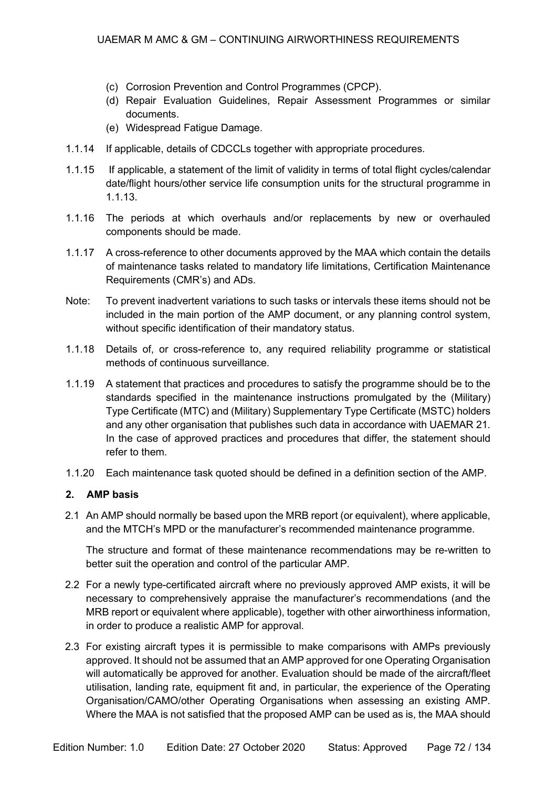- (c) Corrosion Prevention and Control Programmes (CPCP).
- (d) Repair Evaluation Guidelines, Repair Assessment Programmes or similar documents.
- (e) Widespread Fatigue Damage.
- 1.1.14 If applicable, details of CDCCLs together with appropriate procedures.
- 1.1.15 If applicable, a statement of the limit of validity in terms of total flight cycles/calendar date/flight hours/other service life consumption units for the structural programme in 1.1.13.
- 1.1.16 The periods at which overhauls and/or replacements by new or overhauled components should be made.
- 1.1.17 A cross-reference to other documents approved by the MAA which contain the details of maintenance tasks related to mandatory life limitations, Certification Maintenance Requirements (CMR's) and ADs.
- Note: To prevent inadvertent variations to such tasks or intervals these items should not be included in the main portion of the AMP document, or any planning control system, without specific identification of their mandatory status.
- 1.1.18 Details of, or cross-reference to, any required reliability programme or statistical methods of continuous surveillance.
- 1.1.19 A statement that practices and procedures to satisfy the programme should be to the standards specified in the maintenance instructions promulgated by the (Military) Type Certificate (MTC) and (Military) Supplementary Type Certificate (MSTC) holders and any other organisation that publishes such data in accordance with UAEMAR 21. In the case of approved practices and procedures that differ, the statement should refer to them.
- 1.1.20 Each maintenance task quoted should be defined in a definition section of the AMP.

#### **2. AMP basis**

2.1 An AMP should normally be based upon the MRB report (or equivalent), where applicable, and the MTCH's MPD or the manufacturer's recommended maintenance programme.

The structure and format of these maintenance recommendations may be re-written to better suit the operation and control of the particular AMP.

- 2.2 For a newly type-certificated aircraft where no previously approved AMP exists, it will be necessary to comprehensively appraise the manufacturer's recommendations (and the MRB report or equivalent where applicable), together with other airworthiness information, in order to produce a realistic AMP for approval.
- 2.3 For existing aircraft types it is permissible to make comparisons with AMPs previously approved. It should not be assumed that an AMP approved for one Operating Organisation will automatically be approved for another. Evaluation should be made of the aircraft/fleet utilisation, landing rate, equipment fit and, in particular, the experience of the Operating Organisation/CAMO/other Operating Organisations when assessing an existing AMP. Where the MAA is not satisfied that the proposed AMP can be used as is, the MAA should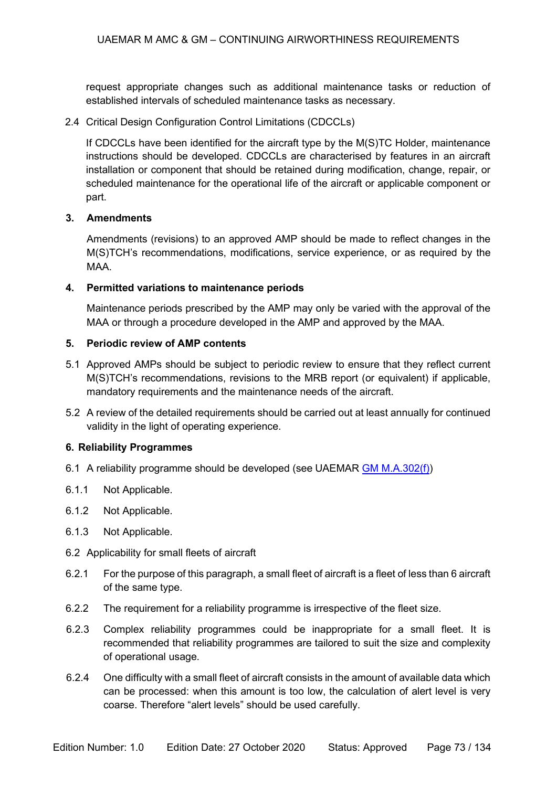request appropriate changes such as additional maintenance tasks or reduction of established intervals of scheduled maintenance tasks as necessary.

2.4 Critical Design Configuration Control Limitations (CDCCLs)

If CDCCLs have been identified for the aircraft type by the M(S)TC Holder, maintenance instructions should be developed. CDCCLs are characterised by features in an aircraft installation or component that should be retained during modification, change, repair, or scheduled maintenance for the operational life of the aircraft or applicable component or part.

## **3. Amendments**

Amendments (revisions) to an approved AMP should be made to reflect changes in the M(S)TCH's recommendations, modifications, service experience, or as required by the MAA.

## **4. Permitted variations to maintenance periods**

Maintenance periods prescribed by the AMP may only be varied with the approval of the MAA or through a procedure developed in the AMP and approved by the MAA.

## **5. Periodic review of AMP contents**

- 5.1 Approved AMPs should be subject to periodic review to ensure that they reflect current M(S)TCH's recommendations, revisions to the MRB report (or equivalent) if applicable, mandatory requirements and the maintenance needs of the aircraft.
- 5.2 A review of the detailed requirements should be carried out at least annually for continued validity in the light of operating experience.

### **6. Reliability Programmes**

- 6.1 A reliability programme should be developed (see UAEMAR GM M.A.302(f))
- 6.1.1 Not Applicable.
- 6.1.2 Not Applicable.
- 6.1.3 Not Applicable.
- 6.2 Applicability for small fleets of aircraft
- 6.2.1 For the purpose of this paragraph, a small fleet of aircraft is a fleet of less than 6 aircraft of the same type.
- 6.2.2 The requirement for a reliability programme is irrespective of the fleet size.
- 6.2.3 Complex reliability programmes could be inappropriate for a small fleet. It is recommended that reliability programmes are tailored to suit the size and complexity of operational usage.
- 6.2.4 One difficulty with a small fleet of aircraft consists in the amount of available data which can be processed: when this amount is too low, the calculation of alert level is very coarse. Therefore "alert levels" should be used carefully.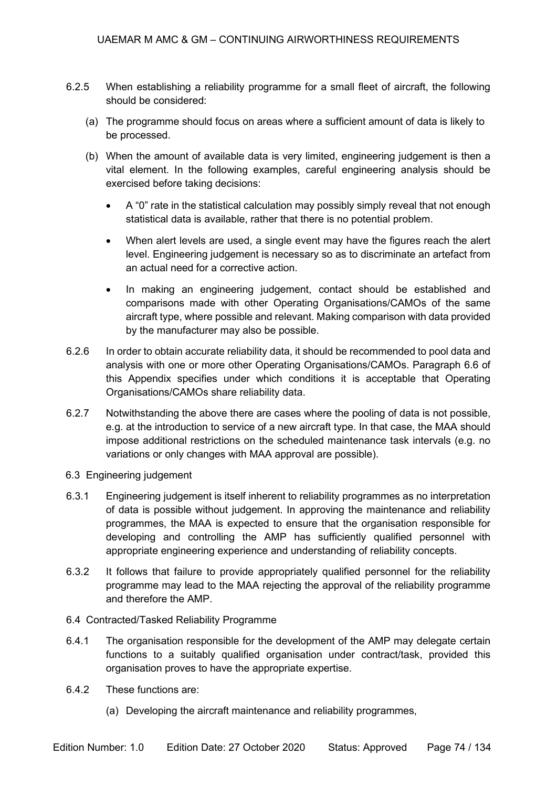- 6.2.5 When establishing a reliability programme for a small fleet of aircraft, the following should be considered:
	- (a) The programme should focus on areas where a sufficient amount of data is likely to be processed.
	- (b) When the amount of available data is very limited, engineering judgement is then a vital element. In the following examples, careful engineering analysis should be exercised before taking decisions:
		- A "0" rate in the statistical calculation may possibly simply reveal that not enough statistical data is available, rather that there is no potential problem.
		- When alert levels are used, a single event may have the figures reach the alert level. Engineering judgement is necessary so as to discriminate an artefact from an actual need for a corrective action.
		- In making an engineering judgement, contact should be established and comparisons made with other Operating Organisations/CAMOs of the same aircraft type, where possible and relevant. Making comparison with data provided by the manufacturer may also be possible.
- 6.2.6 In order to obtain accurate reliability data, it should be recommended to pool data and analysis with one or more other Operating Organisations/CAMOs. Paragraph 6.6 of this Appendix specifies under which conditions it is acceptable that Operating Organisations/CAMOs share reliability data.
- 6.2.7 Notwithstanding the above there are cases where the pooling of data is not possible, e.g. at the introduction to service of a new aircraft type. In that case, the MAA should impose additional restrictions on the scheduled maintenance task intervals (e.g. no variations or only changes with MAA approval are possible).
- 6.3 Engineering judgement
- 6.3.1 Engineering judgement is itself inherent to reliability programmes as no interpretation of data is possible without judgement. In approving the maintenance and reliability programmes, the MAA is expected to ensure that the organisation responsible for developing and controlling the AMP has sufficiently qualified personnel with appropriate engineering experience and understanding of reliability concepts.
- 6.3.2 It follows that failure to provide appropriately qualified personnel for the reliability programme may lead to the MAA rejecting the approval of the reliability programme and therefore the AMP.
- 6.4 Contracted/Tasked Reliability Programme
- 6.4.1 The organisation responsible for the development of the AMP may delegate certain functions to a suitably qualified organisation under contract/task, provided this organisation proves to have the appropriate expertise.
- 6.4.2 These functions are:
	- (a) Developing the aircraft maintenance and reliability programmes,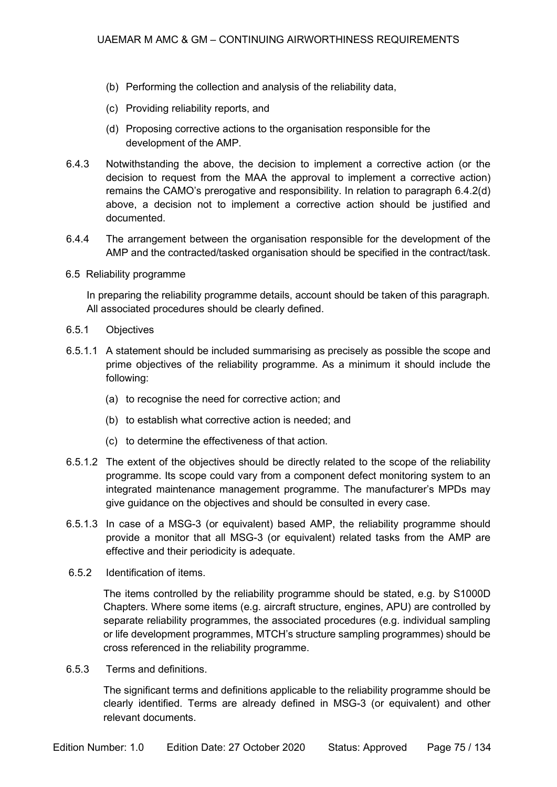- (b) Performing the collection and analysis of the reliability data,
- (c) Providing reliability reports, and
- (d) Proposing corrective actions to the organisation responsible for the development of the AMP.
- 6.4.3 Notwithstanding the above, the decision to implement a corrective action (or the decision to request from the MAA the approval to implement a corrective action) remains the CAMO's prerogative and responsibility. In relation to paragraph 6.4.2(d) above, a decision not to implement a corrective action should be justified and documented.
- 6.4.4 The arrangement between the organisation responsible for the development of the AMP and the contracted/tasked organisation should be specified in the contract/task.
- 6.5 Reliability programme

In preparing the reliability programme details, account should be taken of this paragraph. All associated procedures should be clearly defined.

- 6.5.1 Objectives
- 6.5.1.1 A statement should be included summarising as precisely as possible the scope and prime objectives of the reliability programme. As a minimum it should include the following:
	- (a) to recognise the need for corrective action; and
	- (b) to establish what corrective action is needed; and
	- (c) to determine the effectiveness of that action.
- 6.5.1.2 The extent of the objectives should be directly related to the scope of the reliability programme. Its scope could vary from a component defect monitoring system to an integrated maintenance management programme. The manufacturer's MPDs may give guidance on the objectives and should be consulted in every case.
- 6.5.1.3 In case of a MSG-3 (or equivalent) based AMP, the reliability programme should provide a monitor that all MSG-3 (or equivalent) related tasks from the AMP are effective and their periodicity is adequate.
- 6.5.2 Identification of items.

The items controlled by the reliability programme should be stated, e.g. by S1000D Chapters. Where some items (e.g. aircraft structure, engines, APU) are controlled by separate reliability programmes, the associated procedures (e.g. individual sampling or life development programmes, MTCH's structure sampling programmes) should be cross referenced in the reliability programme.

6.5.3 Terms and definitions.

The significant terms and definitions applicable to the reliability programme should be clearly identified. Terms are already defined in MSG-3 (or equivalent) and other relevant documents.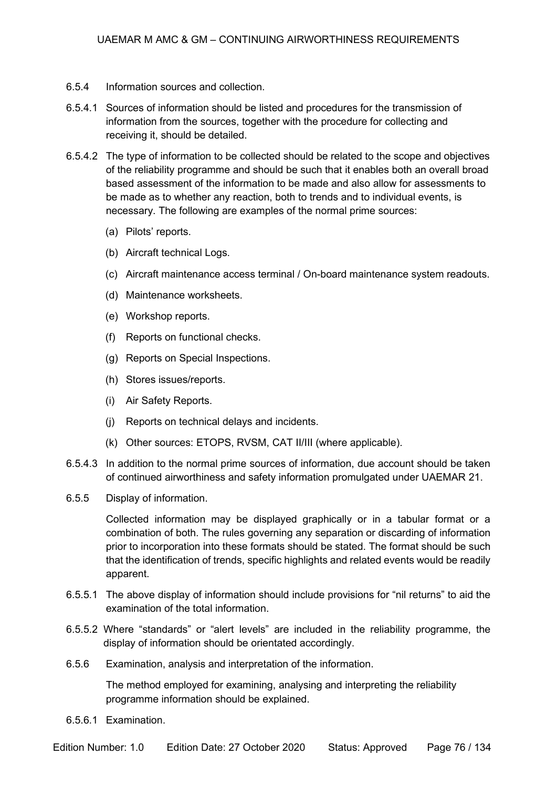- 6.5.4 Information sources and collection.
- 6.5.4.1 Sources of information should be listed and procedures for the transmission of information from the sources, together with the procedure for collecting and receiving it, should be detailed.
- 6.5.4.2 The type of information to be collected should be related to the scope and objectives of the reliability programme and should be such that it enables both an overall broad based assessment of the information to be made and also allow for assessments to be made as to whether any reaction, both to trends and to individual events, is necessary. The following are examples of the normal prime sources:
	- (a) Pilots' reports.
	- (b) Aircraft technical Logs.
	- (c) Aircraft maintenance access terminal / On-board maintenance system readouts.
	- (d) Maintenance worksheets.
	- (e) Workshop reports.
	- (f) Reports on functional checks.
	- (g) Reports on Special Inspections.
	- (h) Stores issues/reports.
	- (i) Air Safety Reports.
	- (j) Reports on technical delays and incidents.
	- (k) Other sources: ETOPS, RVSM, CAT II/III (where applicable).
- 6.5.4.3 In addition to the normal prime sources of information, due account should be taken of continued airworthiness and safety information promulgated under UAEMAR 21.
- 6.5.5 Display of information.

Collected information may be displayed graphically or in a tabular format or a combination of both. The rules governing any separation or discarding of information prior to incorporation into these formats should be stated. The format should be such that the identification of trends, specific highlights and related events would be readily apparent.

- 6.5.5.1 The above display of information should include provisions for "nil returns" to aid the examination of the total information.
- 6.5.5.2 Where "standards" or "alert levels" are included in the reliability programme, the display of information should be orientated accordingly.
- 6.5.6 Examination, analysis and interpretation of the information.

The method employed for examining, analysing and interpreting the reliability programme information should be explained.

6.5.6.1 Examination.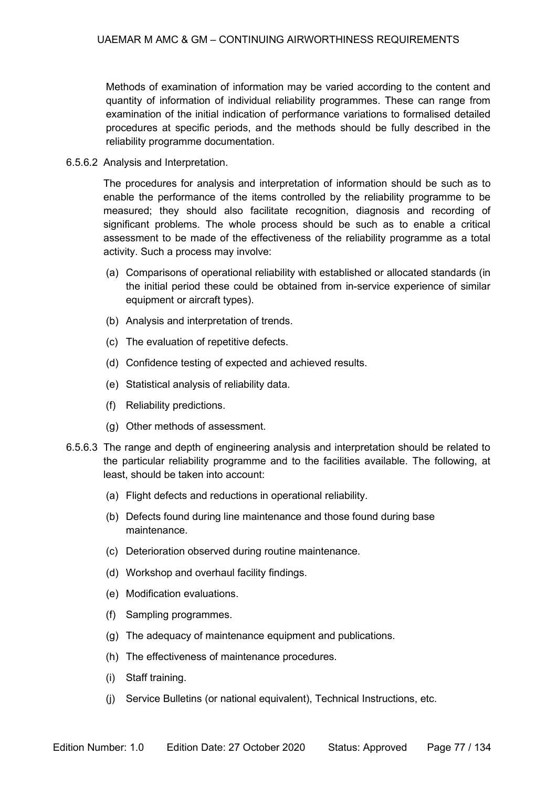Methods of examination of information may be varied according to the content and quantity of information of individual reliability programmes. These can range from examination of the initial indication of performance variations to formalised detailed procedures at specific periods, and the methods should be fully described in the reliability programme documentation.

6.5.6.2 Analysis and Interpretation.

The procedures for analysis and interpretation of information should be such as to enable the performance of the items controlled by the reliability programme to be measured; they should also facilitate recognition, diagnosis and recording of significant problems. The whole process should be such as to enable a critical assessment to be made of the effectiveness of the reliability programme as a total activity. Such a process may involve:

- (a) Comparisons of operational reliability with established or allocated standards (in the initial period these could be obtained from in-service experience of similar equipment or aircraft types).
- (b) Analysis and interpretation of trends.
- (c) The evaluation of repetitive defects.
- (d) Confidence testing of expected and achieved results.
- (e) Statistical analysis of reliability data.
- (f) Reliability predictions.
- (g) Other methods of assessment.
- 6.5.6.3 The range and depth of engineering analysis and interpretation should be related to the particular reliability programme and to the facilities available. The following, at least, should be taken into account:
	- (a) Flight defects and reductions in operational reliability.
	- (b) Defects found during line maintenance and those found during base maintenance.
	- (c) Deterioration observed during routine maintenance.
	- (d) Workshop and overhaul facility findings.
	- (e) Modification evaluations.
	- (f) Sampling programmes.
	- (g) The adequacy of maintenance equipment and publications.
	- (h) The effectiveness of maintenance procedures.
	- (i) Staff training.
	- (j) Service Bulletins (or national equivalent), Technical Instructions, etc.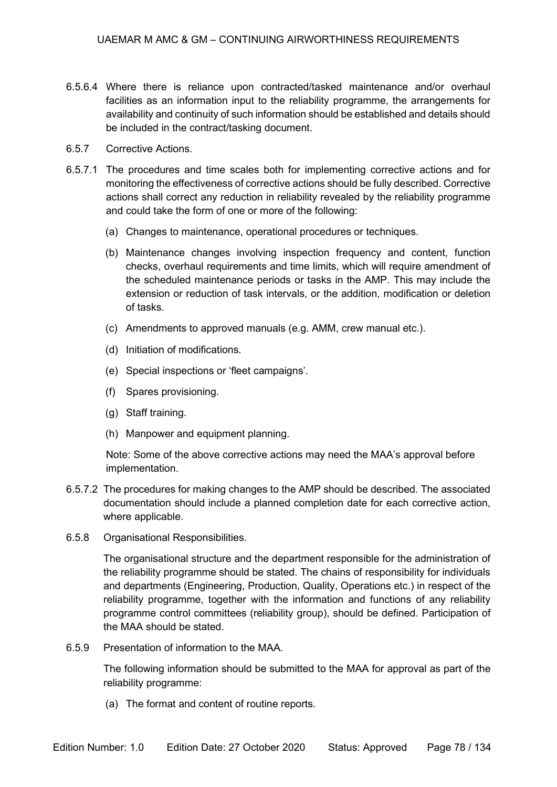- 6.5.6.4 Where there is reliance upon contracted/tasked maintenance and/or overhaul facilities as an information input to the reliability programme, the arrangements for availability and continuity of such information should be established and details should be included in the contract/tasking document.
- 6.5.7 Corrective Actions.
- 6.5.7.1 The procedures and time scales both for implementing corrective actions and for monitoring the effectiveness of corrective actions should be fully described. Corrective actions shall correct any reduction in reliability revealed by the reliability programme and could take the form of one or more of the following:
	- (a) Changes to maintenance, operational procedures or techniques.
	- (b) Maintenance changes involving inspection frequency and content, function checks, overhaul requirements and time limits, which will require amendment of the scheduled maintenance periods or tasks in the AMP. This may include the extension or reduction of task intervals, or the addition, modification or deletion of tasks.
	- (c) Amendments to approved manuals (e.g. AMM, crew manual etc.).
	- (d) Initiation of modifications.
	- (e) Special inspections or 'fleet campaigns'.
	- (f) Spares provisioning.
	- (g) Staff training.
	- (h) Manpower and equipment planning.

Note: Some of the above corrective actions may need the MAA's approval before implementation.

- 6.5.7.2 The procedures for making changes to the AMP should be described. The associated documentation should include a planned completion date for each corrective action, where applicable.
- 6.5.8 Organisational Responsibilities.

The organisational structure and the department responsible for the administration of the reliability programme should be stated. The chains of responsibility for individuals and departments (Engineering, Production, Quality, Operations etc.) in respect of the reliability programme, together with the information and functions of any reliability programme control committees (reliability group), should be defined. Participation of the MAA should be stated.

6.5.9 Presentation of information to the MAA.

The following information should be submitted to the MAA for approval as part of the reliability programme:

(a) The format and content of routine reports.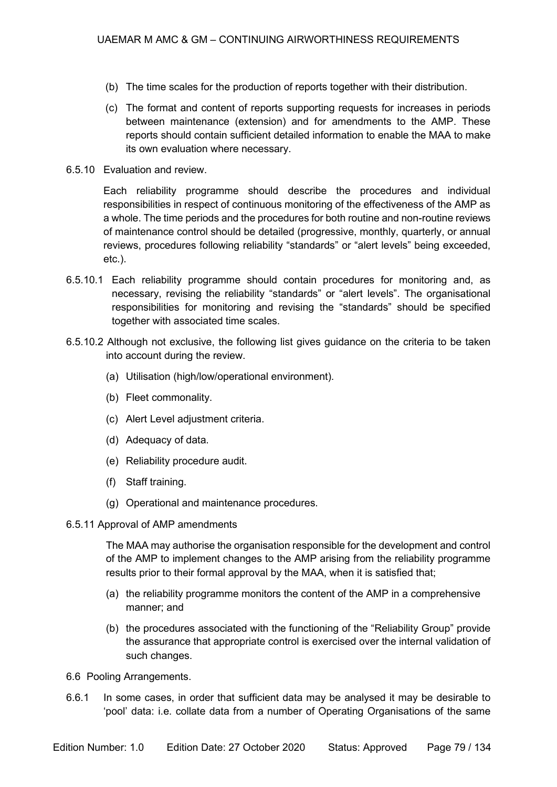- (b) The time scales for the production of reports together with their distribution.
- (c) The format and content of reports supporting requests for increases in periods between maintenance (extension) and for amendments to the AMP. These reports should contain sufficient detailed information to enable the MAA to make its own evaluation where necessary.
- 6.5.10 Evaluation and review.

Each reliability programme should describe the procedures and individual responsibilities in respect of continuous monitoring of the effectiveness of the AMP as a whole. The time periods and the procedures for both routine and non-routine reviews of maintenance control should be detailed (progressive, monthly, quarterly, or annual reviews, procedures following reliability "standards" or "alert levels" being exceeded, etc.).

- 6.5.10.1 Each reliability programme should contain procedures for monitoring and, as necessary, revising the reliability "standards" or "alert levels". The organisational responsibilities for monitoring and revising the "standards" should be specified together with associated time scales.
- 6.5.10.2 Although not exclusive, the following list gives guidance on the criteria to be taken into account during the review.
	- (a) Utilisation (high/low/operational environment).
	- (b) Fleet commonality.
	- (c) Alert Level adjustment criteria.
	- (d) Adequacy of data.
	- (e) Reliability procedure audit.
	- (f) Staff training.
	- (g) Operational and maintenance procedures.
- 6.5.11 Approval of AMP amendments

The MAA may authorise the organisation responsible for the development and control of the AMP to implement changes to the AMP arising from the reliability programme results prior to their formal approval by the MAA, when it is satisfied that;

- (a) the reliability programme monitors the content of the AMP in a comprehensive manner; and
- (b) the procedures associated with the functioning of the "Reliability Group" provide the assurance that appropriate control is exercised over the internal validation of such changes.
- 6.6 Pooling Arrangements.
- 6.6.1 In some cases, in order that sufficient data may be analysed it may be desirable to 'pool' data: i.e. collate data from a number of Operating Organisations of the same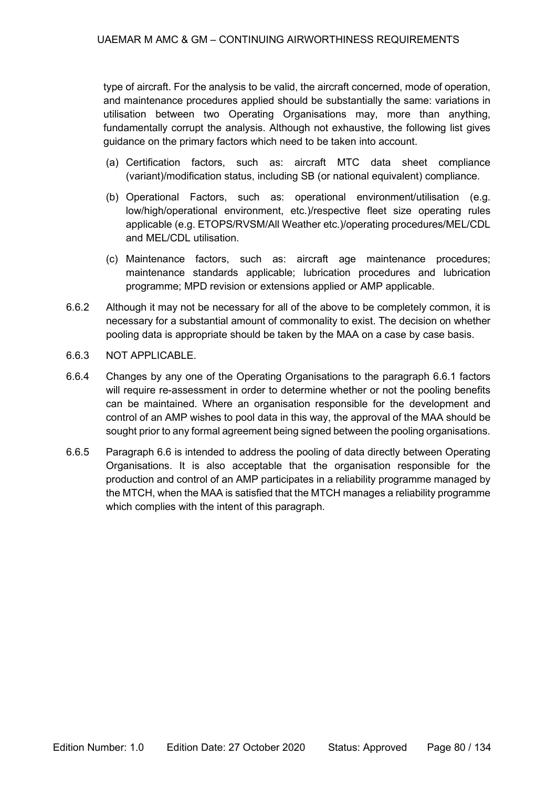type of aircraft. For the analysis to be valid, the aircraft concerned, mode of operation, and maintenance procedures applied should be substantially the same: variations in utilisation between two Operating Organisations may, more than anything, fundamentally corrupt the analysis. Although not exhaustive, the following list gives guidance on the primary factors which need to be taken into account.

- (a) Certification factors, such as: aircraft MTC data sheet compliance (variant)/modification status, including SB (or national equivalent) compliance.
- (b) Operational Factors, such as: operational environment/utilisation (e.g. low/high/operational environment, etc.)/respective fleet size operating rules applicable (e.g. ETOPS/RVSM/All Weather etc.)/operating procedures/MEL/CDL and MEL/CDL utilisation.
- (c) Maintenance factors, such as: aircraft age maintenance procedures; maintenance standards applicable; lubrication procedures and lubrication programme; MPD revision or extensions applied or AMP applicable.
- 6.6.2 Although it may not be necessary for all of the above to be completely common, it is necessary for a substantial amount of commonality to exist. The decision on whether pooling data is appropriate should be taken by the MAA on a case by case basis.
- 6.6.3 NOT APPLICABLE.
- 6.6.4 Changes by any one of the Operating Organisations to the paragraph 6.6.1 factors will require re-assessment in order to determine whether or not the pooling benefits can be maintained. Where an organisation responsible for the development and control of an AMP wishes to pool data in this way, the approval of the MAA should be sought prior to any formal agreement being signed between the pooling organisations.
- <span id="page-79-0"></span>6.6.5 Paragraph 6.6 is intended to address the pooling of data directly between Operating Organisations. It is also acceptable that the organisation responsible for the production and control of an AMP participates in a reliability programme managed by the MTCH, when the MAA is satisfied that the MTCH manages a reliability programme which complies with the intent of this paragraph.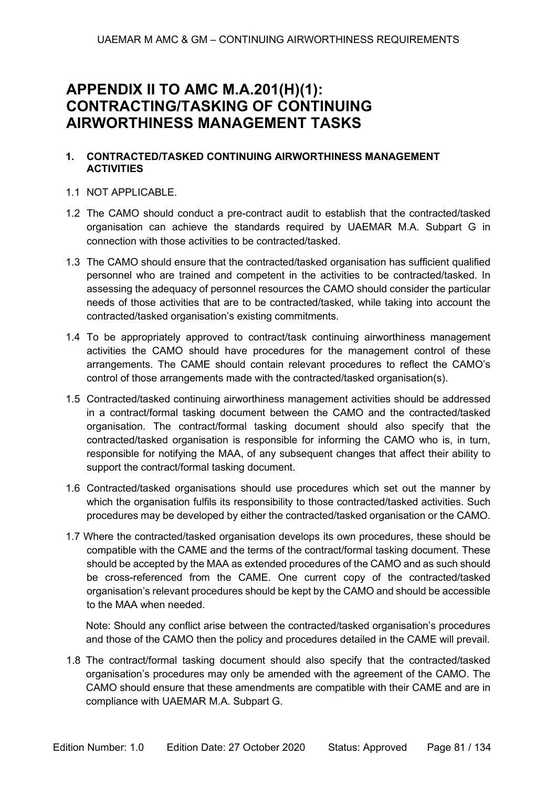## **APPENDIX II TO AMC M.A.201(H)(1): CONTRACTING/TASKING OF CONTINUING AIRWORTHINESS MANAGEMENT TASKS**

### **1. CONTRACTED/TASKED CONTINUING AIRWORTHINESS MANAGEMENT ACTIVITIES**

### 1.1 NOT APPLICABLE.

- 1.2 The CAMO should conduct a pre-contract audit to establish that the contracted/tasked organisation can achieve the standards required by UAEMAR M.A. Subpart G in connection with those activities to be contracted/tasked.
- 1.3 The CAMO should ensure that the contracted/tasked organisation has sufficient qualified personnel who are trained and competent in the activities to be contracted/tasked. In assessing the adequacy of personnel resources the CAMO should consider the particular needs of those activities that are to be contracted/tasked, while taking into account the contracted/tasked organisation's existing commitments.
- 1.4 To be appropriately approved to contract/task continuing airworthiness management activities the CAMO should have procedures for the management control of these arrangements. The CAME should contain relevant procedures to reflect the CAMO's control of those arrangements made with the contracted/tasked organisation(s).
- 1.5 Contracted/tasked continuing airworthiness management activities should be addressed in a contract/formal tasking document between the CAMO and the contracted/tasked organisation. The contract/formal tasking document should also specify that the contracted/tasked organisation is responsible for informing the CAMO who is, in turn, responsible for notifying the MAA, of any subsequent changes that affect their ability to support the contract/formal tasking document.
- 1.6 Contracted/tasked organisations should use procedures which set out the manner by which the organisation fulfils its responsibility to those contracted/tasked activities. Such procedures may be developed by either the contracted/tasked organisation or the CAMO.
- 1.7 Where the contracted/tasked organisation develops its own procedures, these should be compatible with the CAME and the terms of the contract/formal tasking document. These should be accepted by the MAA as extended procedures of the CAMO and as such should be cross-referenced from the CAME. One current copy of the contracted/tasked organisation's relevant procedures should be kept by the CAMO and should be accessible to the MAA when needed.

Note: Should any conflict arise between the contracted/tasked organisation's procedures and those of the CAMO then the policy and procedures detailed in the CAME will prevail.

1.8 The contract/formal tasking document should also specify that the contracted/tasked organisation's procedures may only be amended with the agreement of the CAMO. The CAMO should ensure that these amendments are compatible with their CAME and are in compliance with UAEMAR M.A. Subpart G.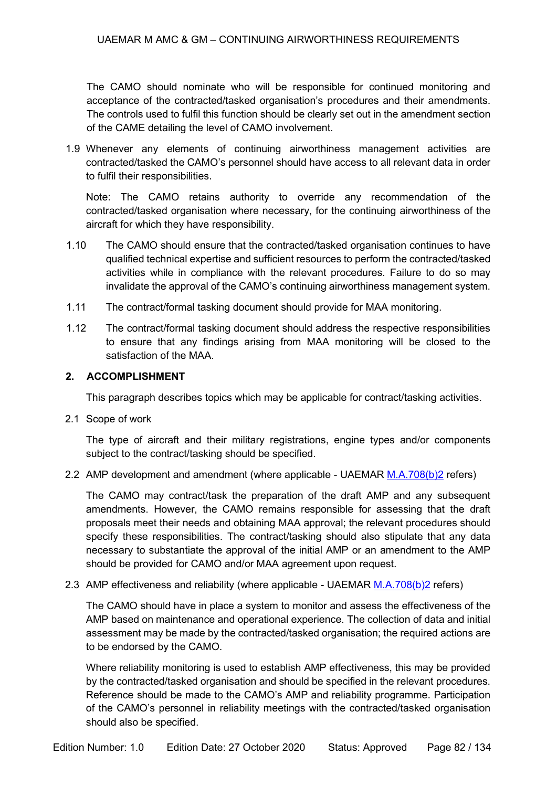The CAMO should nominate who will be responsible for continued monitoring and acceptance of the contracted/tasked organisation's procedures and their amendments. The controls used to fulfil this function should be clearly set out in the amendment section of the CAME detailing the level of CAMO involvement.

1.9 Whenever any elements of continuing airworthiness management activities are contracted/tasked the CAMO's personnel should have access to all relevant data in order to fulfil their responsibilities.

Note: The CAMO retains authority to override any recommendation of the contracted/tasked organisation where necessary, for the continuing airworthiness of the aircraft for which they have responsibility.

- 1.10 The CAMO should ensure that the contracted/tasked organisation continues to have qualified technical expertise and sufficient resources to perform the contracted/tasked activities while in compliance with the relevant procedures. Failure to do so may invalidate the approval of the CAMO's continuing airworthiness management system.
- 1.11 The contract/formal tasking document should provide for MAA monitoring.
- 1.12 The contract/formal tasking document should address the respective responsibilities to ensure that any findings arising from MAA monitoring will be closed to the satisfaction of the MAA.

## **2. ACCOMPLISHMENT**

This paragraph describes topics which may be applicable for contract/tasking activities.

2.1 Scope of work

The type of aircraft and their military registrations, engine types and/or components subject to the contract/tasking should be specified.

2.2 AMP development and amendment (where applicable - UAEMAR M.A.708(b)2 refers)

The CAMO may contract/task the preparation of the draft AMP and any subsequent amendments. However, the CAMO remains responsible for assessing that the draft proposals meet their needs and obtaining MAA approval; the relevant procedures should specify these responsibilities. The contract/tasking should also stipulate that any data necessary to substantiate the approval of the initial AMP or an amendment to the AMP should be provided for CAMO and/or MAA agreement upon request.

### 2.3 AMP effectiveness and reliability (where applicable - UAEMAR M.A.708(b)2 refers)

The CAMO should have in place a system to monitor and assess the effectiveness of the AMP based on maintenance and operational experience. The collection of data and initial assessment may be made by the contracted/tasked organisation; the required actions are to be endorsed by the CAMO.

Where reliability monitoring is used to establish AMP effectiveness, this may be provided by the contracted/tasked organisation and should be specified in the relevant procedures. Reference should be made to the CAMO's AMP and reliability programme. Participation of the CAMO's personnel in reliability meetings with the contracted/tasked organisation should also be specified.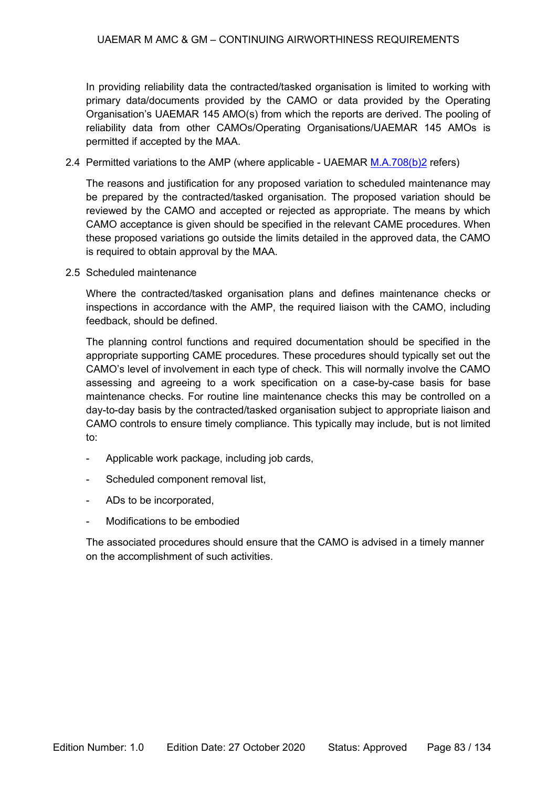In providing reliability data the contracted/tasked organisation is limited to working with primary data/documents provided by the CAMO or data provided by the Operating Organisation's UAEMAR 145 AMO(s) from which the reports are derived. The pooling of reliability data from other CAMOs/Operating Organisations/UAEMAR 145 AMOs is permitted if accepted by the MAA.

2.4 Permitted variations to the AMP (where applicable - UAEMAR M.A.708(b)2 refers)

The reasons and justification for any proposed variation to scheduled maintenance may be prepared by the contracted/tasked organisation. The proposed variation should be reviewed by the CAMO and accepted or rejected as appropriate. The means by which CAMO acceptance is given should be specified in the relevant CAME procedures. When these proposed variations go outside the limits detailed in the approved data, the CAMO is required to obtain approval by the MAA.

2.5 Scheduled maintenance

Where the contracted/tasked organisation plans and defines maintenance checks or inspections in accordance with the AMP, the required liaison with the CAMO, including feedback, should be defined.

The planning control functions and required documentation should be specified in the appropriate supporting CAME procedures. These procedures should typically set out the CAMO's level of involvement in each type of check. This will normally involve the CAMO assessing and agreeing to a work specification on a case-by-case basis for base maintenance checks. For routine line maintenance checks this may be controlled on a day-to-day basis by the contracted/tasked organisation subject to appropriate liaison and CAMO controls to ensure timely compliance. This typically may include, but is not limited to:

- Applicable work package, including job cards,
- Scheduled component removal list,
- ADs to be incorporated.
- Modifications to be embodied

The associated procedures should ensure that the CAMO is advised in a timely manner on the accomplishment of such activities.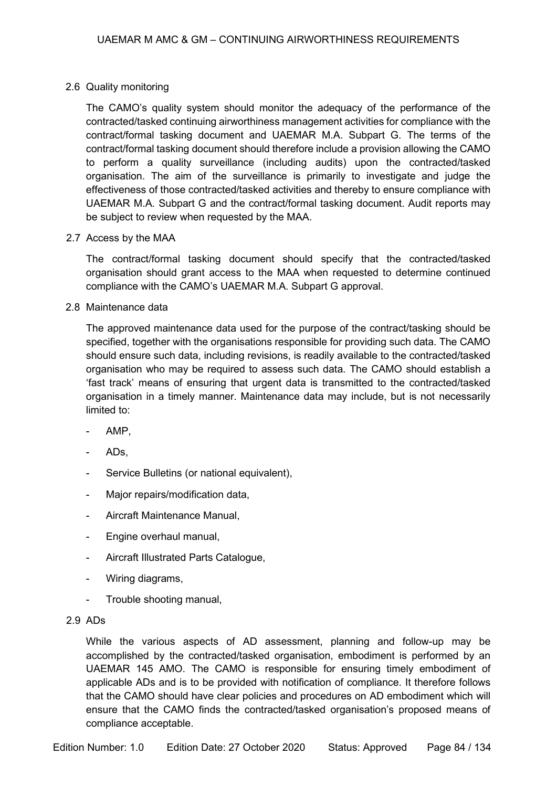### 2.6 Quality monitoring

The CAMO's quality system should monitor the adequacy of the performance of the contracted/tasked continuing airworthiness management activities for compliance with the contract/formal tasking document and UAEMAR M.A. Subpart G. The terms of the contract/formal tasking document should therefore include a provision allowing the CAMO to perform a quality surveillance (including audits) upon the contracted/tasked organisation. The aim of the surveillance is primarily to investigate and judge the effectiveness of those contracted/tasked activities and thereby to ensure compliance with UAEMAR M.A. Subpart G and the contract/formal tasking document. Audit reports may be subject to review when requested by the MAA.

### 2.7 Access by the MAA

The contract/formal tasking document should specify that the contracted/tasked organisation should grant access to the MAA when requested to determine continued compliance with the CAMO's UAEMAR M.A. Subpart G approval.

### 2.8 Maintenance data

The approved maintenance data used for the purpose of the contract/tasking should be specified, together with the organisations responsible for providing such data. The CAMO should ensure such data, including revisions, is readily available to the contracted/tasked organisation who may be required to assess such data. The CAMO should establish a 'fast track' means of ensuring that urgent data is transmitted to the contracted/tasked organisation in a timely manner. Maintenance data may include, but is not necessarily limited to:

- AMP
- ADs,
- Service Bulletins (or national equivalent),
- Major repairs/modification data,
- Aircraft Maintenance Manual,
- Engine overhaul manual,
- Aircraft Illustrated Parts Catalogue,
- Wiring diagrams,
- Trouble shooting manual,
- 2.9 ADs

While the various aspects of AD assessment, planning and follow-up may be accomplished by the contracted/tasked organisation, embodiment is performed by an UAEMAR 145 AMO. The CAMO is responsible for ensuring timely embodiment of applicable ADs and is to be provided with notification of compliance. It therefore follows that the CAMO should have clear policies and procedures on AD embodiment which will ensure that the CAMO finds the contracted/tasked organisation's proposed means of compliance acceptable.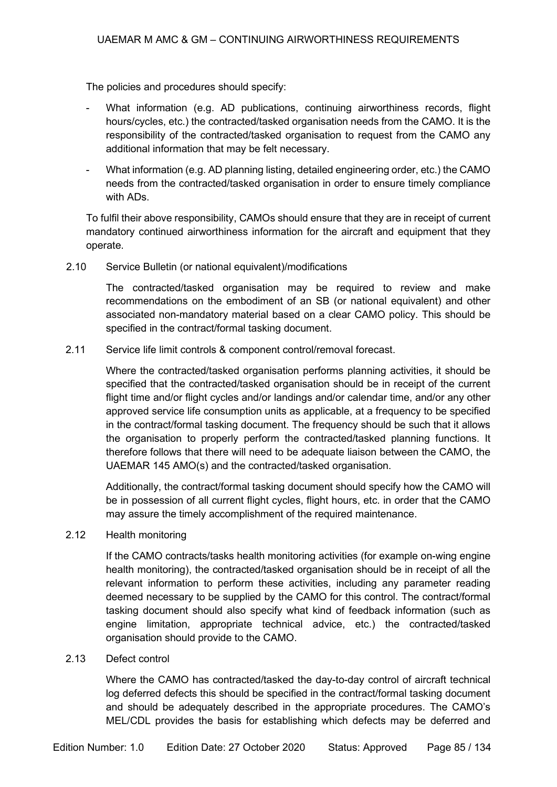The policies and procedures should specify:

- What information (e.g. AD publications, continuing airworthiness records, flight hours/cycles, etc.) the contracted/tasked organisation needs from the CAMO. It is the responsibility of the contracted/tasked organisation to request from the CAMO any additional information that may be felt necessary.
- What information (e.g. AD planning listing, detailed engineering order, etc.) the CAMO needs from the contracted/tasked organisation in order to ensure timely compliance with ADs.

To fulfil their above responsibility, CAMOs should ensure that they are in receipt of current mandatory continued airworthiness information for the aircraft and equipment that they operate.

2.10 Service Bulletin (or national equivalent)/modifications

The contracted/tasked organisation may be required to review and make recommendations on the embodiment of an SB (or national equivalent) and other associated non-mandatory material based on a clear CAMO policy. This should be specified in the contract/formal tasking document.

2.11 Service life limit controls & component control/removal forecast.

Where the contracted/tasked organisation performs planning activities, it should be specified that the contracted/tasked organisation should be in receipt of the current flight time and/or flight cycles and/or landings and/or calendar time, and/or any other approved service life consumption units as applicable, at a frequency to be specified in the contract/formal tasking document. The frequency should be such that it allows the organisation to properly perform the contracted/tasked planning functions. It therefore follows that there will need to be adequate liaison between the CAMO, the UAEMAR 145 AMO(s) and the contracted/tasked organisation.

Additionally, the contract/formal tasking document should specify how the CAMO will be in possession of all current flight cycles, flight hours, etc. in order that the CAMO may assure the timely accomplishment of the required maintenance.

2.12 Health monitoring

If the CAMO contracts/tasks health monitoring activities (for example on-wing engine health monitoring), the contracted/tasked organisation should be in receipt of all the relevant information to perform these activities, including any parameter reading deemed necessary to be supplied by the CAMO for this control. The contract/formal tasking document should also specify what kind of feedback information (such as engine limitation, appropriate technical advice, etc.) the contracted/tasked organisation should provide to the CAMO.

## 2.13 Defect control

Where the CAMO has contracted/tasked the day-to-day control of aircraft technical log deferred defects this should be specified in the contract/formal tasking document and should be adequately described in the appropriate procedures. The CAMO's MEL/CDL provides the basis for establishing which defects may be deferred and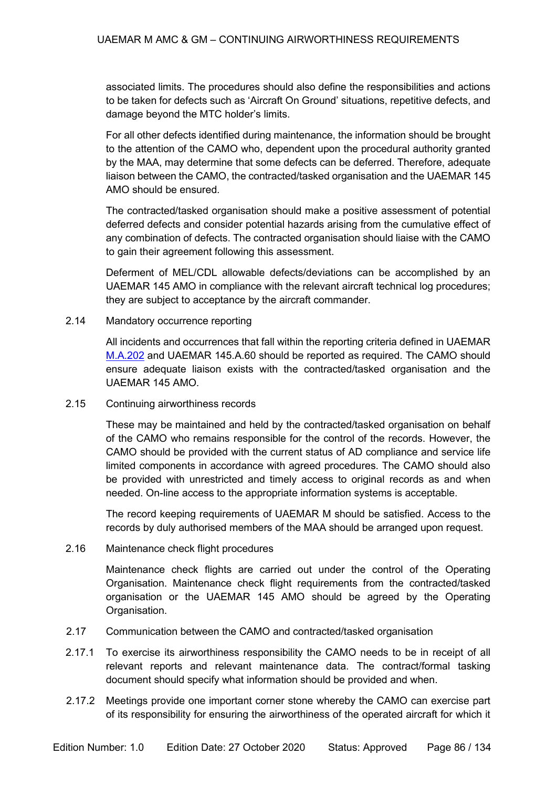associated limits. The procedures should also define the responsibilities and actions to be taken for defects such as 'Aircraft On Ground' situations, repetitive defects, and damage beyond the MTC holder's limits.

For all other defects identified during maintenance, the information should be brought to the attention of the CAMO who, dependent upon the procedural authority granted by the MAA, may determine that some defects can be deferred. Therefore, adequate liaison between the CAMO, the contracted/tasked organisation and the UAEMAR 145 AMO should be ensured.

The contracted/tasked organisation should make a positive assessment of potential deferred defects and consider potential hazards arising from the cumulative effect of any combination of defects. The contracted organisation should liaise with the CAMO to gain their agreement following this assessment.

Deferment of MEL/CDL allowable defects/deviations can be accomplished by an UAEMAR 145 AMO in compliance with the relevant aircraft technical log procedures; they are subject to acceptance by the aircraft commander.

2.14 Mandatory occurrence reporting

All incidents and occurrences that fall within the reporting criteria defined in UAEMAR M.A.202 and UAEMAR 145.A.60 should be reported as required. The CAMO should ensure adequate liaison exists with the contracted/tasked organisation and the UAEMAR 145 AMO.

2.15 Continuing airworthiness records

These may be maintained and held by the contracted/tasked organisation on behalf of the CAMO who remains responsible for the control of the records. However, the CAMO should be provided with the current status of AD compliance and service life limited components in accordance with agreed procedures. The CAMO should also be provided with unrestricted and timely access to original records as and when needed. On-line access to the appropriate information systems is acceptable.

The record keeping requirements of UAEMAR M should be satisfied. Access to the records by duly authorised members of the MAA should be arranged upon request.

2.16 Maintenance check flight procedures

Maintenance check flights are carried out under the control of the Operating Organisation. Maintenance check flight requirements from the contracted/tasked organisation or the UAEMAR 145 AMO should be agreed by the Operating Organisation.

- 2.17 Communication between the CAMO and contracted/tasked organisation
- 2.17.1 To exercise its airworthiness responsibility the CAMO needs to be in receipt of all relevant reports and relevant maintenance data. The contract/formal tasking document should specify what information should be provided and when.
- 2.17.2 Meetings provide one important corner stone whereby the CAMO can exercise part of its responsibility for ensuring the airworthiness of the operated aircraft for which it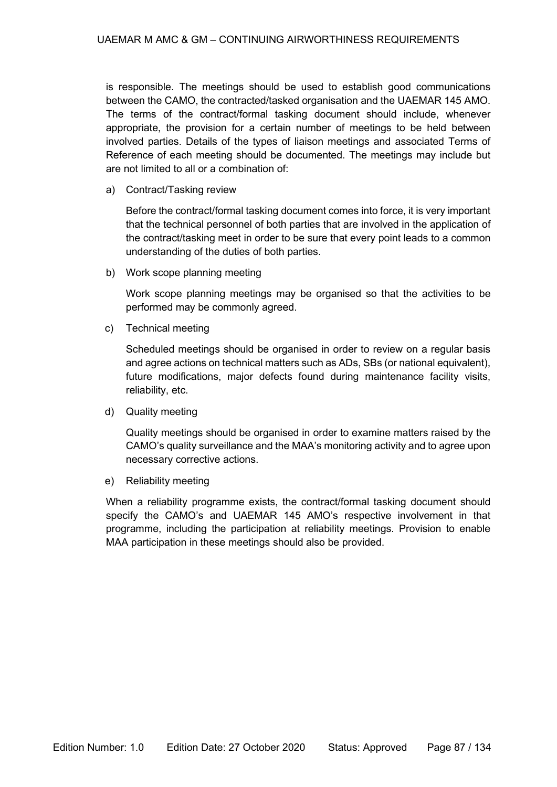is responsible. The meetings should be used to establish good communications between the CAMO, the contracted/tasked organisation and the UAEMAR 145 AMO. The terms of the contract/formal tasking document should include, whenever appropriate, the provision for a certain number of meetings to be held between involved parties. Details of the types of liaison meetings and associated Terms of Reference of each meeting should be documented. The meetings may include but are not limited to all or a combination of:

a) Contract/Tasking review

Before the contract/formal tasking document comes into force, it is very important that the technical personnel of both parties that are involved in the application of the contract/tasking meet in order to be sure that every point leads to a common understanding of the duties of both parties.

b) Work scope planning meeting

Work scope planning meetings may be organised so that the activities to be performed may be commonly agreed.

c) Technical meeting

Scheduled meetings should be organised in order to review on a regular basis and agree actions on technical matters such as ADs, SBs (or national equivalent), future modifications, major defects found during maintenance facility visits, reliability, etc.

d) Quality meeting

Quality meetings should be organised in order to examine matters raised by the CAMO's quality surveillance and the MAA's monitoring activity and to agree upon necessary corrective actions.

e) Reliability meeting

When a reliability programme exists, the contract/formal tasking document should specify the CAMO's and UAEMAR 145 AMO's respective involvement in that programme, including the participation at reliability meetings. Provision to enable MAA participation in these meetings should also be provided.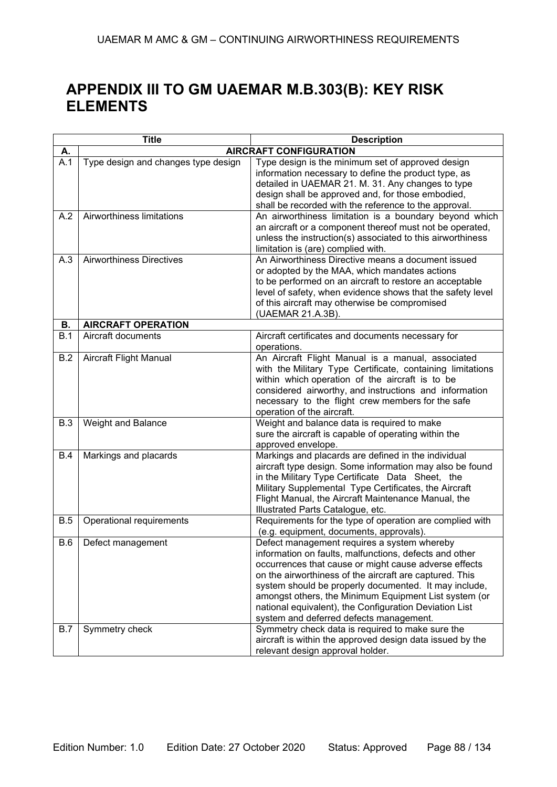# **APPENDIX III TO GM UAEMAR M.B.303(B): KEY RISK ELEMENTS**

|            | <b>Title</b>                        | <b>Description</b>                                                                                                                                                                                                                                                                                                                                                                                                                               |  |  |  |
|------------|-------------------------------------|--------------------------------------------------------------------------------------------------------------------------------------------------------------------------------------------------------------------------------------------------------------------------------------------------------------------------------------------------------------------------------------------------------------------------------------------------|--|--|--|
| А.         | <b>AIRCRAFT CONFIGURATION</b>       |                                                                                                                                                                                                                                                                                                                                                                                                                                                  |  |  |  |
| A.1        | Type design and changes type design | Type design is the minimum set of approved design<br>information necessary to define the product type, as<br>detailed in UAEMAR 21. M. 31. Any changes to type<br>design shall be approved and, for those embodied,<br>shall be recorded with the reference to the approval.                                                                                                                                                                     |  |  |  |
| A.2        | Airworthiness limitations           | An airworthiness limitation is a boundary beyond which<br>an aircraft or a component thereof must not be operated,<br>unless the instruction(s) associated to this airworthiness<br>limitation is (are) complied with.                                                                                                                                                                                                                           |  |  |  |
| A.3        | <b>Airworthiness Directives</b>     | An Airworthiness Directive means a document issued<br>or adopted by the MAA, which mandates actions<br>to be performed on an aircraft to restore an acceptable<br>level of safety, when evidence shows that the safety level<br>of this aircraft may otherwise be compromised<br>(UAEMAR 21.A.3B).                                                                                                                                               |  |  |  |
| В.         | <b>AIRCRAFT OPERATION</b>           |                                                                                                                                                                                                                                                                                                                                                                                                                                                  |  |  |  |
| B.1        | Aircraft documents                  | Aircraft certificates and documents necessary for<br>operations.                                                                                                                                                                                                                                                                                                                                                                                 |  |  |  |
| B.2        | <b>Aircraft Flight Manual</b>       | An Aircraft Flight Manual is a manual, associated<br>with the Military Type Certificate, containing limitations<br>within which operation of the aircraft is to be<br>considered airworthy, and instructions and information<br>necessary to the flight crew members for the safe<br>operation of the aircraft.                                                                                                                                  |  |  |  |
| B.3        | Weight and Balance                  | Weight and balance data is required to make<br>sure the aircraft is capable of operating within the<br>approved envelope.                                                                                                                                                                                                                                                                                                                        |  |  |  |
| <b>B.4</b> | Markings and placards               | Markings and placards are defined in the individual<br>aircraft type design. Some information may also be found<br>in the Military Type Certificate Data Sheet, the<br>Military Supplemental Type Certificates, the Aircraft<br>Flight Manual, the Aircraft Maintenance Manual, the<br>Illustrated Parts Catalogue, etc.                                                                                                                         |  |  |  |
| B.5        | Operational requirements            | Requirements for the type of operation are complied with<br>(e.g. equipment, documents, approvals).                                                                                                                                                                                                                                                                                                                                              |  |  |  |
| <b>B.6</b> | Defect management                   | Defect management requires a system whereby<br>information on faults, malfunctions, defects and other<br>occurrences that cause or might cause adverse effects<br>on the airworthiness of the aircraft are captured. This<br>system should be properly documented. It may include,<br>amongst others, the Minimum Equipment List system (or<br>national equivalent), the Configuration Deviation List<br>system and deferred defects management. |  |  |  |
| <b>B.7</b> | Symmetry check                      | Symmetry check data is required to make sure the<br>aircraft is within the approved design data issued by the<br>relevant design approval holder.                                                                                                                                                                                                                                                                                                |  |  |  |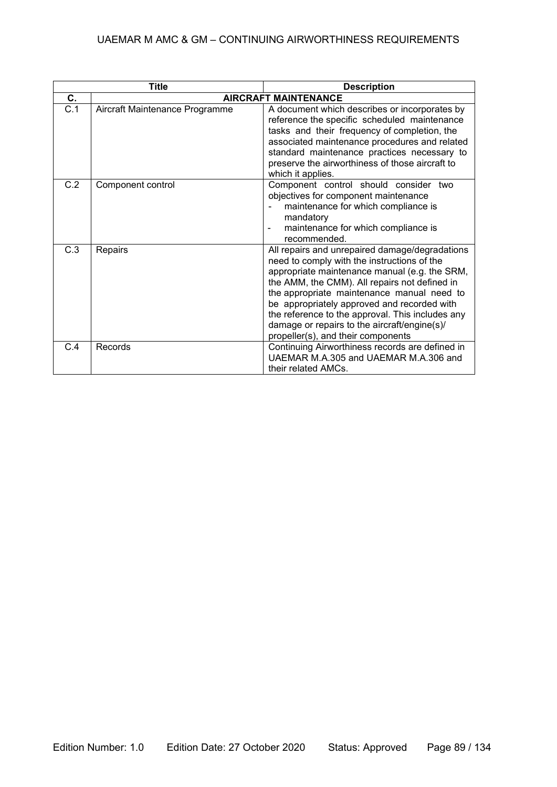|     | <b>Title</b>                   | <b>Description</b>                                                                                                                                                                                                                                                                                                                                                                                                                     |  |
|-----|--------------------------------|----------------------------------------------------------------------------------------------------------------------------------------------------------------------------------------------------------------------------------------------------------------------------------------------------------------------------------------------------------------------------------------------------------------------------------------|--|
| C.  | <b>AIRCRAFT MAINTENANCE</b>    |                                                                                                                                                                                                                                                                                                                                                                                                                                        |  |
| C.1 | Aircraft Maintenance Programme | A document which describes or incorporates by<br>reference the specific scheduled maintenance<br>tasks and their frequency of completion, the<br>associated maintenance procedures and related<br>standard maintenance practices necessary to<br>preserve the airworthiness of those aircraft to<br>which it applies.                                                                                                                  |  |
| C.2 | Component control              | Component control should consider two<br>objectives for component maintenance<br>maintenance for which compliance is<br>mandatory<br>maintenance for which compliance is<br>recommended.                                                                                                                                                                                                                                               |  |
| C.3 | Repairs                        | All repairs and unrepaired damage/degradations<br>need to comply with the instructions of the<br>appropriate maintenance manual (e.g. the SRM,<br>the AMM, the CMM). All repairs not defined in<br>the appropriate maintenance manual need to<br>be appropriately approved and recorded with<br>the reference to the approval. This includes any<br>damage or repairs to the aircraft/engine(s)/<br>propeller(s), and their components |  |
| C.4 | Records                        | Continuing Airworthiness records are defined in<br>UAEMAR M.A.305 and UAEMAR M.A.306 and<br>their related AMCs.                                                                                                                                                                                                                                                                                                                        |  |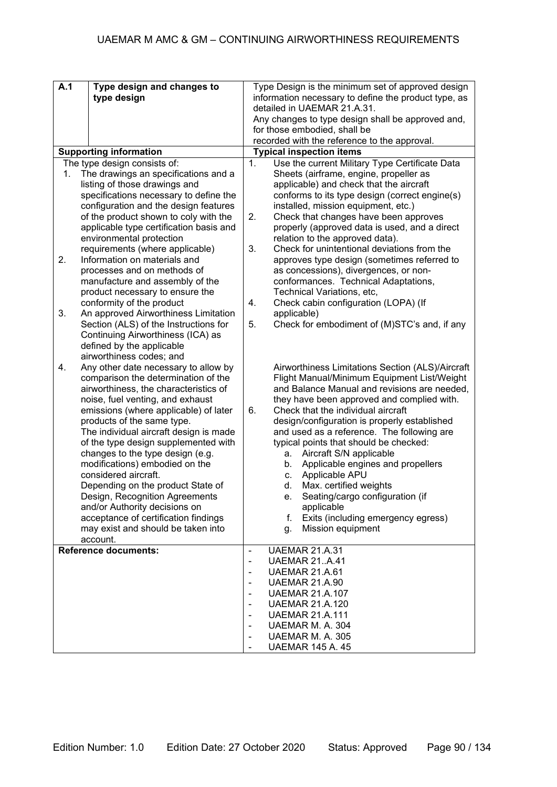| A.1<br>Type design and changes to<br>Type Design is the minimum set of approved design<br>information necessary to define the product type, as<br>type design<br>detailed in UAEMAR 21.A.31. |  |
|----------------------------------------------------------------------------------------------------------------------------------------------------------------------------------------------|--|
|                                                                                                                                                                                              |  |
|                                                                                                                                                                                              |  |
| Any changes to type design shall be approved and,                                                                                                                                            |  |
| for those embodied, shall be                                                                                                                                                                 |  |
| recorded with the reference to the approval.                                                                                                                                                 |  |
| <b>Typical inspection items</b><br><b>Supporting information</b>                                                                                                                             |  |
| 1.<br>The type design consists of:<br>Use the current Military Type Certificate Data                                                                                                         |  |
| The drawings an specifications and a<br>Sheets (airframe, engine, propeller as<br>1.                                                                                                         |  |
| listing of those drawings and<br>applicable) and check that the aircraft                                                                                                                     |  |
| specifications necessary to define the<br>conforms to its type design (correct engine(s)                                                                                                     |  |
| configuration and the design features<br>installed, mission equipment, etc.)                                                                                                                 |  |
| of the product shown to coly with the<br>2.<br>Check that changes have been approves                                                                                                         |  |
| applicable type certification basis and<br>properly (approved data is used, and a direct                                                                                                     |  |
| environmental protection<br>relation to the approved data).                                                                                                                                  |  |
| Check for unintentional deviations from the<br>requirements (where applicable)<br>3.                                                                                                         |  |
| 2.<br>Information on materials and<br>approves type design (sometimes referred to                                                                                                            |  |
| processes and on methods of<br>as concessions), divergences, or non-                                                                                                                         |  |
| manufacture and assembly of the<br>conformances. Technical Adaptations,                                                                                                                      |  |
| product necessary to ensure the<br>Technical Variations, etc,                                                                                                                                |  |
| Check cabin configuration (LOPA) (If<br>conformity of the product<br>4.                                                                                                                      |  |
| 3.<br>An approved Airworthiness Limitation<br>applicable)                                                                                                                                    |  |
| Section (ALS) of the Instructions for<br>5.<br>Check for embodiment of (M)STC's and, if any                                                                                                  |  |
| Continuing Airworthiness (ICA) as                                                                                                                                                            |  |
| defined by the applicable                                                                                                                                                                    |  |
| airworthiness codes; and<br>Any other date necessary to allow by<br>Airworthiness Limitations Section (ALS)/Aircraft<br>4.                                                                   |  |
| comparison the determination of the<br>Flight Manual/Minimum Equipment List/Weight                                                                                                           |  |
| and Balance Manual and revisions are needed,<br>airworthiness, the characteristics of                                                                                                        |  |
| noise, fuel venting, and exhaust<br>they have been approved and complied with.                                                                                                               |  |
| emissions (where applicable) of later<br>Check that the individual aircraft<br>6.                                                                                                            |  |
| design/configuration is properly established<br>products of the same type.                                                                                                                   |  |
| The individual aircraft design is made<br>and used as a reference. The following are                                                                                                         |  |
| of the type design supplemented with<br>typical points that should be checked:                                                                                                               |  |
| Aircraft S/N applicable<br>changes to the type design (e.g.<br>а.                                                                                                                            |  |
| modifications) embodied on the<br>Applicable engines and propellers<br>b.                                                                                                                    |  |
| considered aircraft.<br>Applicable APU<br>C.                                                                                                                                                 |  |
| Depending on the product State of<br>Max. certified weights<br>d.                                                                                                                            |  |
| Design, Recognition Agreements<br>Seating/cargo configuration (if<br>е.                                                                                                                      |  |
| and/or Authority decisions on<br>applicable                                                                                                                                                  |  |
| acceptance of certification findings<br>Exits (including emergency egress)<br>f.                                                                                                             |  |
| may exist and should be taken into<br>Mission equipment<br>g.                                                                                                                                |  |
| account.                                                                                                                                                                                     |  |
| <b>Reference documents:</b><br><b>UAEMAR 21.A.31</b><br>÷                                                                                                                                    |  |
| <b>UAEMAR 21A.41</b><br>$\overline{\phantom{0}}$                                                                                                                                             |  |
| <b>UAEMAR 21.A.61</b><br><b>UAEMAR 21.A.90</b>                                                                                                                                               |  |
| <b>UAEMAR 21.A.107</b>                                                                                                                                                                       |  |
| <b>UAEMAR 21.A.120</b>                                                                                                                                                                       |  |
| <b>UAEMAR 21.A.111</b>                                                                                                                                                                       |  |
| UAEMAR M. A. 304                                                                                                                                                                             |  |
| UAEMAR M. A. 305                                                                                                                                                                             |  |
| <b>UAEMAR 145 A. 45</b>                                                                                                                                                                      |  |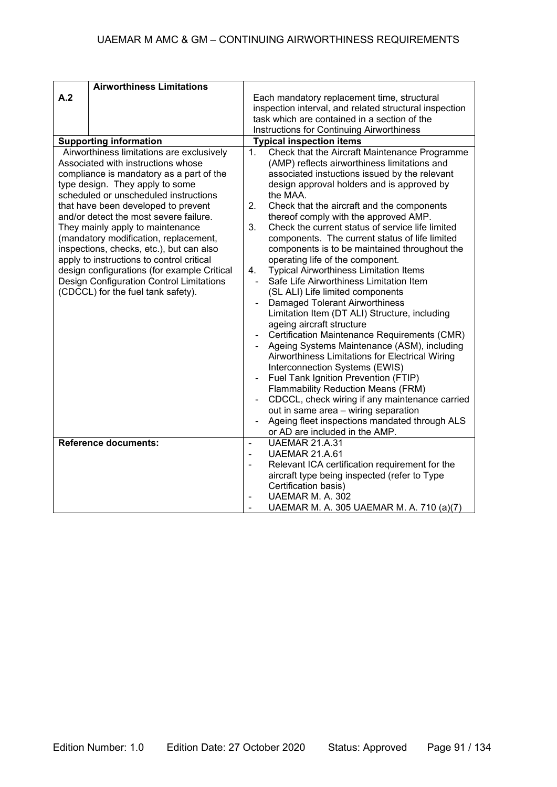|     | <b>Airworthiness Limitations</b>            |                |                                                                                   |
|-----|---------------------------------------------|----------------|-----------------------------------------------------------------------------------|
| A.2 |                                             |                | Each mandatory replacement time, structural                                       |
|     |                                             |                | inspection interval, and related structural inspection                            |
|     |                                             |                | task which are contained in a section of the                                      |
|     |                                             |                | <b>Instructions for Continuing Airworthiness</b>                                  |
|     | <b>Supporting information</b>               |                | <b>Typical inspection items</b>                                                   |
|     | Airworthiness limitations are exclusively   | 1.             | Check that the Aircraft Maintenance Programme                                     |
|     | Associated with instructions whose          |                | (AMP) reflects airworthiness limitations and                                      |
|     | compliance is mandatory as a part of the    |                | associated instuctions issued by the relevant                                     |
|     | type design. They apply to some             |                | design approval holders and is approved by                                        |
|     | scheduled or unscheduled instructions       |                | the MAA.                                                                          |
|     | that have been developed to prevent         | 2.             | Check that the aircraft and the components                                        |
|     | and/or detect the most severe failure.      |                | thereof comply with the approved AMP.                                             |
|     | They mainly apply to maintenance            | 3.             | Check the current status of service life limited                                  |
|     | (mandatory modification, replacement,       |                | components. The current status of life limited                                    |
|     | inspections, checks, etc.), but can also    |                | components is to be maintained throughout the                                     |
|     | apply to instructions to control critical   |                | operating life of the component.                                                  |
|     | design configurations (for example Critical | 4.             | <b>Typical Airworthiness Limitation Items</b>                                     |
|     | Design Configuration Control Limitations    |                | Safe Life Airworthiness Limitation Item                                           |
|     | (CDCCL) for the fuel tank safety).          |                | (SL ALI) Life limited components                                                  |
|     |                                             |                | <b>Damaged Tolerant Airworthiness</b>                                             |
|     |                                             |                | Limitation Item (DT ALI) Structure, including                                     |
|     |                                             |                | ageing aircraft structure                                                         |
|     |                                             |                | Certification Maintenance Requirements (CMR)                                      |
|     |                                             |                | Ageing Systems Maintenance (ASM), including                                       |
|     |                                             |                | Airworthiness Limitations for Electrical Wiring<br>Interconnection Systems (EWIS) |
|     |                                             |                | Fuel Tank Ignition Prevention (FTIP)                                              |
|     |                                             |                | <b>Flammability Reduction Means (FRM)</b>                                         |
|     |                                             | $\blacksquare$ | CDCCL, check wiring if any maintenance carried                                    |
|     |                                             |                | out in same area - wiring separation                                              |
|     |                                             |                | Ageing fleet inspections mandated through ALS                                     |
|     |                                             |                | or AD are included in the AMP.                                                    |
|     | <b>Reference documents:</b>                 | ä,             | <b>UAEMAR 21.A.31</b>                                                             |
|     |                                             | $\blacksquare$ | <b>UAEMAR 21.A.61</b>                                                             |
|     |                                             | $\blacksquare$ | Relevant ICA certification requirement for the                                    |
|     |                                             |                | aircraft type being inspected (refer to Type                                      |
|     |                                             |                | Certification basis)                                                              |
|     |                                             |                | UAEMAR M. A. 302                                                                  |
|     |                                             |                | UAEMAR M. A. 305 UAEMAR M. A. 710 (a)(7)                                          |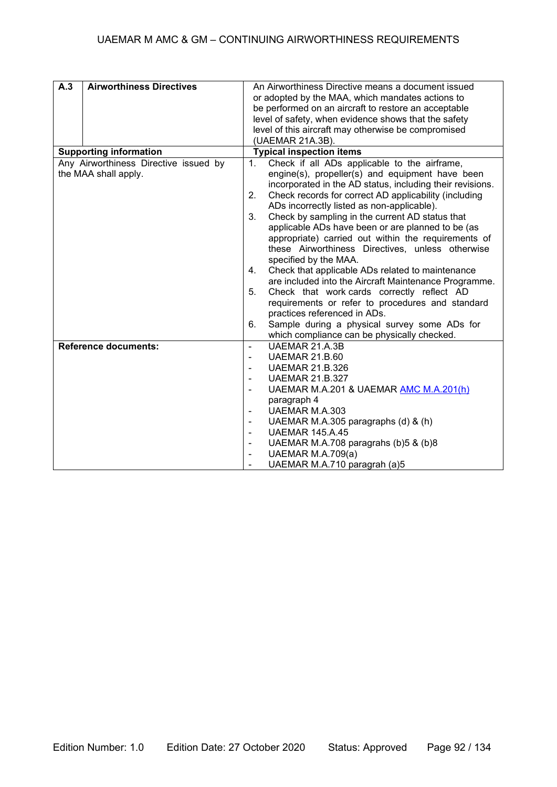| <b>Airworthiness Directives</b><br>A.3 | An Airworthiness Directive means a document issued                 |
|----------------------------------------|--------------------------------------------------------------------|
|                                        |                                                                    |
|                                        | or adopted by the MAA, which mandates actions to                   |
|                                        | be performed on an aircraft to restore an acceptable               |
|                                        | level of safety, when evidence shows that the safety               |
|                                        | level of this aircraft may otherwise be compromised                |
|                                        | (UAEMAR 21A.3B).                                                   |
| <b>Supporting information</b>          | <b>Typical inspection items</b>                                    |
| Any Airworthiness Directive issued by  | Check if all ADs applicable to the airframe,<br>$1_{-}$            |
| the MAA shall apply.                   | engine(s), propeller(s) and equipment have been                    |
|                                        | incorporated in the AD status, including their revisions.          |
|                                        | Check records for correct AD applicability (including<br>2.        |
|                                        | ADs incorrectly listed as non-applicable).                         |
|                                        | Check by sampling in the current AD status that<br>3.              |
|                                        | applicable ADs have been or are planned to be (as                  |
|                                        | appropriate) carried out within the requirements of                |
|                                        | these Airworthiness Directives, unless otherwise                   |
|                                        | specified by the MAA.                                              |
|                                        | Check that applicable ADs related to maintenance<br>4.             |
|                                        | are included into the Aircraft Maintenance Programme.              |
|                                        | Check that work cards correctly reflect AD<br>5.                   |
|                                        | requirements or refer to procedures and standard                   |
|                                        |                                                                    |
|                                        | practices referenced in ADs.                                       |
|                                        | Sample during a physical survey some ADs for<br>6.                 |
|                                        | which compliance can be physically checked.                        |
| <b>Reference documents:</b>            | UAEMAR 21.A.3B<br>$\blacksquare$                                   |
|                                        | <b>UAEMAR 21.B.60</b><br>$\blacksquare$                            |
|                                        | <b>UAEMAR 21.B.326</b><br>$\overline{\phantom{a}}$                 |
|                                        | <b>UAEMAR 21.B.327</b><br>$\blacksquare$                           |
|                                        | UAEMAR M.A.201 & UAEMAR AMC M.A.201(h)<br>$\overline{\phantom{a}}$ |
|                                        | paragraph 4                                                        |
|                                        | UAEMAR M.A.303                                                     |
|                                        | UAEMAR M.A.305 paragraphs (d) & (h)<br>$\blacksquare$              |
|                                        | <b>UAEMAR 145.A.45</b><br>$\blacksquare$                           |
|                                        | UAEMAR M.A.708 paragrahs (b)5 & (b)8<br>$\blacksquare$             |
|                                        | UAEMAR M.A.709(a)                                                  |
|                                        | UAEMAR M.A.710 paragrah (a)5                                       |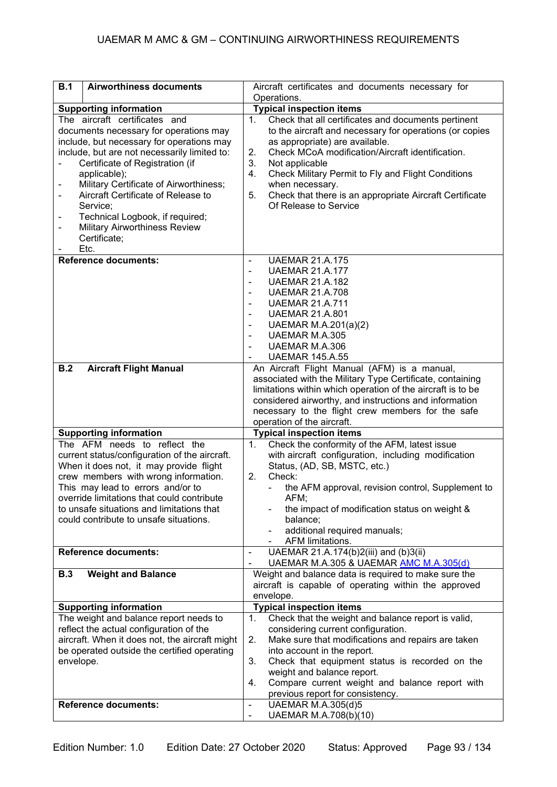| B.1        | <b>Airworthiness documents</b>                                                                                                                                                                                                                                                                                                                                                                                  | Aircraft certificates and documents necessary for<br>Operations.                                                                                                                                                                                                                                                                                                                                                       |
|------------|-----------------------------------------------------------------------------------------------------------------------------------------------------------------------------------------------------------------------------------------------------------------------------------------------------------------------------------------------------------------------------------------------------------------|------------------------------------------------------------------------------------------------------------------------------------------------------------------------------------------------------------------------------------------------------------------------------------------------------------------------------------------------------------------------------------------------------------------------|
|            | <b>Supporting information</b>                                                                                                                                                                                                                                                                                                                                                                                   | <b>Typical inspection items</b>                                                                                                                                                                                                                                                                                                                                                                                        |
|            | The aircraft certificates and<br>documents necessary for operations may<br>include, but necessary for operations may<br>include, but are not necessarily limited to:<br>Certificate of Registration (if<br>applicable);<br>Military Certificate of Airworthiness;<br>Aircraft Certificate of Release to<br>Service;<br>Technical Logbook, if required;<br>Military Airworthiness Review<br>Certificate;<br>Etc. | Check that all certificates and documents pertinent<br>$1_{-}$<br>to the aircraft and necessary for operations (or copies<br>as appropriate) are available.<br>Check MCoA modification/Aircraft identification.<br>2.<br>3.<br>Not applicable<br>4.<br>Check Military Permit to Fly and Flight Conditions<br>when necessary.<br>Check that there is an appropriate Aircraft Certificate<br>5.<br>Of Release to Service |
|            | <b>Reference documents:</b>                                                                                                                                                                                                                                                                                                                                                                                     | <b>UAEMAR 21.A.175</b><br>$\blacksquare$<br><b>UAEMAR 21.A.177</b><br>$\blacksquare$<br><b>UAEMAR 21.A.182</b><br>۰<br><b>UAEMAR 21.A.708</b><br>$\blacksquare$<br><b>UAEMAR 21.A.711</b><br>$\blacksquare$<br><b>UAEMAR 21.A.801</b><br>UAEMAR M.A.201(a)(2)<br>UAEMAR M.A.305<br>UAEMAR M.A.306<br><b>UAEMAR 145.A.55</b>                                                                                            |
| B.2        | <b>Aircraft Flight Manual</b>                                                                                                                                                                                                                                                                                                                                                                                   | An Aircraft Flight Manual (AFM) is a manual,<br>associated with the Military Type Certificate, containing<br>limitations within which operation of the aircraft is to be<br>considered airworthy, and instructions and information<br>necessary to the flight crew members for the safe<br>operation of the aircraft.                                                                                                  |
|            | <b>Supporting information</b>                                                                                                                                                                                                                                                                                                                                                                                   | <b>Typical inspection items</b>                                                                                                                                                                                                                                                                                                                                                                                        |
|            | The AFM needs to reflect the<br>current status/configuration of the aircraft.<br>When it does not, it may provide flight<br>crew members with wrong information.<br>This may lead to errors and/or to<br>override limitations that could contribute<br>to unsafe situations and limitations that<br>could contribute to unsafe situations.                                                                      | Check the conformity of the AFM, latest issue<br>1.<br>with aircraft configuration, including modification<br>Status, (AD, SB, MSTC, etc.)<br>2.<br>Check:<br>the AFM approval, revision control, Supplement to<br>AFM;<br>the impact of modification status on weight &<br>balance;<br>additional required manuals;<br>AFM limitations.                                                                               |
|            | <b>Reference documents:</b>                                                                                                                                                                                                                                                                                                                                                                                     | UAEMAR 21.A.174(b)2(iii) and (b)3(ii)<br>UAEMAR M.A.305 & UAEMAR AMC M.A.305(d)                                                                                                                                                                                                                                                                                                                                        |
| <b>B.3</b> | <b>Weight and Balance</b>                                                                                                                                                                                                                                                                                                                                                                                       | Weight and balance data is required to make sure the<br>aircraft is capable of operating within the approved<br>envelope.                                                                                                                                                                                                                                                                                              |
|            | <b>Supporting information</b>                                                                                                                                                                                                                                                                                                                                                                                   | <b>Typical inspection items</b>                                                                                                                                                                                                                                                                                                                                                                                        |
| envelope.  | The weight and balance report needs to<br>reflect the actual configuration of the<br>aircraft. When it does not, the aircraft might<br>be operated outside the certified operating                                                                                                                                                                                                                              | Check that the weight and balance report is valid,<br>1.<br>considering current configuration.<br>Make sure that modifications and repairs are taken<br>2.<br>into account in the report.<br>Check that equipment status is recorded on the<br>3.<br>weight and balance report.<br>Compare current weight and balance report with<br>4.<br>previous report for consistency.                                            |
|            | <b>Reference documents:</b>                                                                                                                                                                                                                                                                                                                                                                                     | UAEMAR M.A.305(d)5<br>UAEMAR M.A.708(b)(10)                                                                                                                                                                                                                                                                                                                                                                            |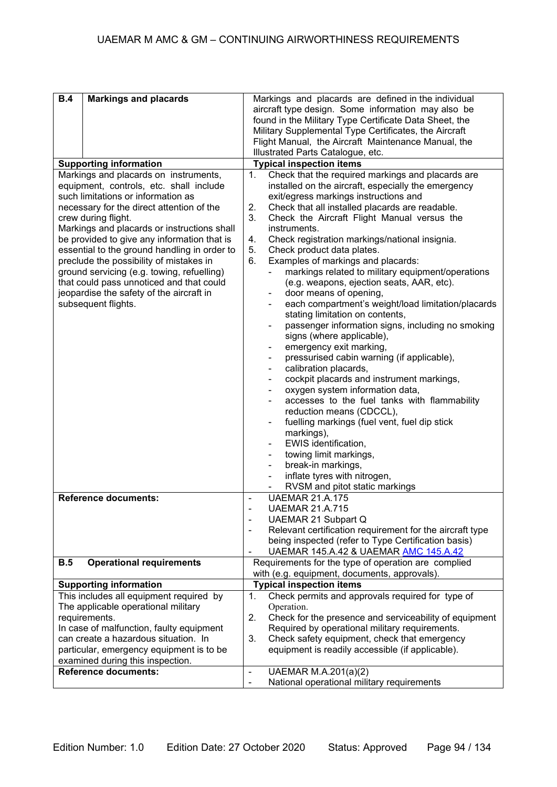| B.4 |                                              |    |                                                                                                           |
|-----|----------------------------------------------|----|-----------------------------------------------------------------------------------------------------------|
|     | <b>Markings and placards</b>                 |    | Markings and placards are defined in the individual<br>aircraft type design. Some information may also be |
|     |                                              |    | found in the Military Type Certificate Data Sheet, the                                                    |
|     |                                              |    | Military Supplemental Type Certificates, the Aircraft                                                     |
|     |                                              |    | Flight Manual, the Aircraft Maintenance Manual, the                                                       |
|     |                                              |    | Illustrated Parts Catalogue, etc.                                                                         |
|     | <b>Supporting information</b>                |    | <b>Typical inspection items</b>                                                                           |
|     | Markings and placards on instruments,        | 1. | Check that the required markings and placards are                                                         |
|     | equipment, controls, etc. shall include      |    | installed on the aircraft, especially the emergency                                                       |
|     | such limitations or information as           |    | exit/egress markings instructions and                                                                     |
|     | necessary for the direct attention of the    | 2. | Check that all installed placards are readable.                                                           |
|     | crew during flight.                          | 3. | Check the Aircraft Flight Manual versus the                                                               |
|     | Markings and placards or instructions shall  |    | instruments.                                                                                              |
|     | be provided to give any information that is  | 4. | Check registration markings/national insignia.                                                            |
|     | essential to the ground handling in order to | 5. | Check product data plates.                                                                                |
|     | preclude the possibility of mistakes in      | 6. | Examples of markings and placards:                                                                        |
|     | ground servicing (e.g. towing, refuelling)   |    | markings related to military equipment/operations                                                         |
|     | that could pass unnoticed and that could     |    | (e.g. weapons, ejection seats, AAR, etc).                                                                 |
|     | jeopardise the safety of the aircraft in     |    | door means of opening,<br>each compartment's weight/load limitation/placards                              |
|     | subsequent flights.                          |    | $\overline{\phantom{0}}$<br>stating limitation on contents,                                               |
|     |                                              |    | passenger information signs, including no smoking<br>۰                                                    |
|     |                                              |    | signs (where applicable),                                                                                 |
|     |                                              |    | emergency exit marking,<br>۰                                                                              |
|     |                                              |    | pressurised cabin warning (if applicable),                                                                |
|     |                                              |    | calibration placards,                                                                                     |
|     |                                              |    | cockpit placards and instrument markings,                                                                 |
|     |                                              |    | oxygen system information data,                                                                           |
|     |                                              |    | accesses to the fuel tanks with flammability                                                              |
|     |                                              |    | reduction means (CDCCL),                                                                                  |
|     |                                              |    | fuelling markings (fuel vent, fuel dip stick                                                              |
|     |                                              |    | markings),                                                                                                |
|     |                                              |    | EWIS identification,                                                                                      |
|     |                                              |    | towing limit markings,<br>۰                                                                               |
|     |                                              |    | break-in markings,<br>$\overline{\phantom{0}}$                                                            |
|     |                                              |    | inflate tyres with nitrogen,                                                                              |
|     |                                              |    | RVSM and pitot static markings                                                                            |
|     | <b>Reference documents:</b>                  |    | <b>UAEMAR 21.A.175</b>                                                                                    |
|     |                                              |    | <b>UAEMAR 21.A.715</b>                                                                                    |
|     |                                              |    | UAEMAR 21 Subpart Q                                                                                       |
|     |                                              |    | Relevant certification requirement for the aircraft type                                                  |
|     |                                              |    | being inspected (refer to Type Certification basis)                                                       |
| B.5 | <b>Operational requirements</b>              |    | UAEMAR 145.A.42 & UAEMAR AMC 145.A.42<br>Requirements for the type of operation are complied              |
|     |                                              |    | with (e.g. equipment, documents, approvals).                                                              |
|     | <b>Supporting information</b>                |    | <b>Typical inspection items</b>                                                                           |
|     | This includes all equipment required by      | 1. | Check permits and approvals required for type of                                                          |
|     | The applicable operational military          |    | Operation.                                                                                                |
|     | requirements.                                | 2. | Check for the presence and serviceability of equipment                                                    |
|     | In case of malfunction, faulty equipment     |    | Required by operational military requirements.                                                            |
|     | can create a hazardous situation. In         | 3. | Check safety equipment, check that emergency                                                              |
|     | particular, emergency equipment is to be     |    | equipment is readily accessible (if applicable).                                                          |
|     | examined during this inspection.             |    |                                                                                                           |
|     | <b>Reference documents:</b>                  |    | UAEMAR M.A.201(a)(2)                                                                                      |
|     |                                              |    | National operational military requirements                                                                |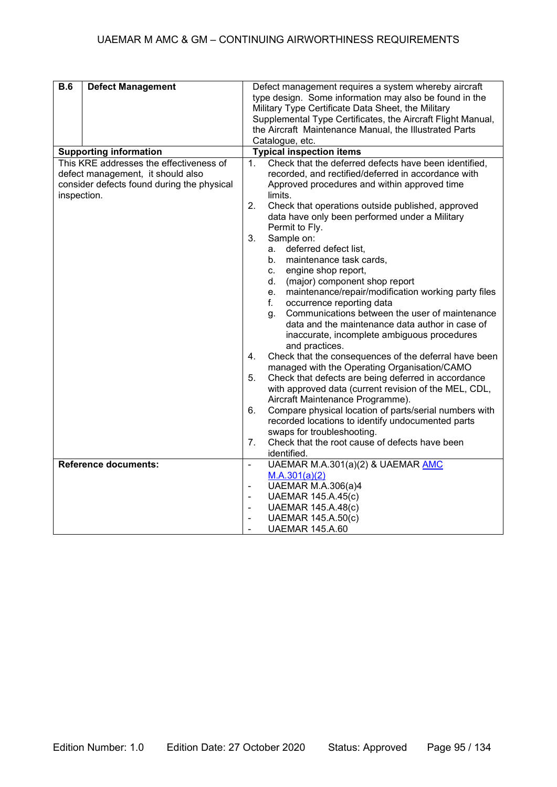| B.6         | <b>Defect Management</b>                   |                          | Defect management requires a system whereby aircraft        |
|-------------|--------------------------------------------|--------------------------|-------------------------------------------------------------|
|             |                                            |                          | type design. Some information may also be found in the      |
|             |                                            |                          | Military Type Certificate Data Sheet, the Military          |
|             |                                            |                          | Supplemental Type Certificates, the Aircraft Flight Manual, |
|             |                                            |                          | the Aircraft Maintenance Manual, the Illustrated Parts      |
|             |                                            |                          | Catalogue, etc.                                             |
|             | <b>Supporting information</b>              |                          | <b>Typical inspection items</b>                             |
|             | This KRE addresses the effectiveness of    | 1 <sub>1</sub>           | Check that the deferred defects have been identified,       |
|             | defect management, it should also          |                          | recorded, and rectified/deferred in accordance with         |
|             |                                            |                          |                                                             |
|             | consider defects found during the physical |                          | Approved procedures and within approved time<br>limits.     |
| inspection. |                                            | 2.                       |                                                             |
|             |                                            |                          | Check that operations outside published, approved           |
|             |                                            |                          | data have only been performed under a Military              |
|             |                                            |                          | Permit to Fly.                                              |
|             |                                            | 3.                       | Sample on:                                                  |
|             |                                            |                          | a. deferred defect list,                                    |
|             |                                            |                          | b. maintenance task cards,                                  |
|             |                                            |                          | engine shop report,<br>C.                                   |
|             |                                            |                          | (major) component shop report<br>d.                         |
|             |                                            |                          | maintenance/repair/modification working party files<br>e.   |
|             |                                            |                          | occurrence reporting data<br>f.                             |
|             |                                            |                          | Communications between the user of maintenance<br>g.        |
|             |                                            |                          | data and the maintenance data author in case of             |
|             |                                            |                          | inaccurate, incomplete ambiguous procedures                 |
|             |                                            |                          | and practices.                                              |
|             |                                            | 4.                       | Check that the consequences of the deferral have been       |
|             |                                            |                          | managed with the Operating Organisation/CAMO                |
|             |                                            | 5.                       | Check that defects are being deferred in accordance         |
|             |                                            |                          | with approved data (current revision of the MEL, CDL,       |
|             |                                            |                          | Aircraft Maintenance Programme).                            |
|             |                                            | 6.                       | Compare physical location of parts/serial numbers with      |
|             |                                            |                          | recorded locations to identify undocumented parts           |
|             |                                            |                          | swaps for troubleshooting.                                  |
|             |                                            | 7 <sub>1</sub>           | Check that the root cause of defects have been              |
|             |                                            |                          | identified.                                                 |
|             | <b>Reference documents:</b>                | $\blacksquare$           | UAEMAR M.A.301(a)(2) & UAEMAR AMC                           |
|             |                                            |                          | M.A.301(a)(2)                                               |
|             |                                            | $\overline{\phantom{0}}$ | UAEMAR M.A.306(a)4                                          |
|             |                                            | $\blacksquare$           | <b>UAEMAR 145.A.45(c)</b>                                   |
|             |                                            | $\overline{\phantom{a}}$ | UAEMAR 145.A.48(c)                                          |
|             |                                            | ÷                        | UAEMAR 145.A.50(c)                                          |
|             |                                            |                          | <b>UAEMAR 145.A.60</b>                                      |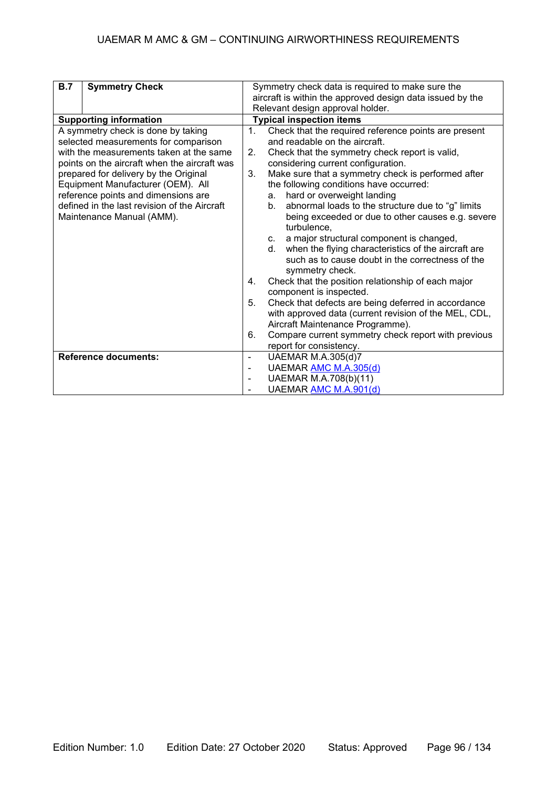| <b>Symmetry Check</b><br><b>B.7</b>                                                                                                                                                                                                                                                                                                                                     |                              |                                                    | Symmetry check data is required to make sure the                                                                                                                                                                                                                                                                                                                                                                                                                                                                                                                                                                                                                                                                                                                                                                                                     |
|-------------------------------------------------------------------------------------------------------------------------------------------------------------------------------------------------------------------------------------------------------------------------------------------------------------------------------------------------------------------------|------------------------------|----------------------------------------------------|------------------------------------------------------------------------------------------------------------------------------------------------------------------------------------------------------------------------------------------------------------------------------------------------------------------------------------------------------------------------------------------------------------------------------------------------------------------------------------------------------------------------------------------------------------------------------------------------------------------------------------------------------------------------------------------------------------------------------------------------------------------------------------------------------------------------------------------------------|
|                                                                                                                                                                                                                                                                                                                                                                         |                              |                                                    | aircraft is within the approved design data issued by the                                                                                                                                                                                                                                                                                                                                                                                                                                                                                                                                                                                                                                                                                                                                                                                            |
|                                                                                                                                                                                                                                                                                                                                                                         |                              |                                                    | Relevant design approval holder.                                                                                                                                                                                                                                                                                                                                                                                                                                                                                                                                                                                                                                                                                                                                                                                                                     |
| <b>Supporting information</b>                                                                                                                                                                                                                                                                                                                                           |                              |                                                    | <b>Typical inspection items</b>                                                                                                                                                                                                                                                                                                                                                                                                                                                                                                                                                                                                                                                                                                                                                                                                                      |
| A symmetry check is done by taking<br>selected measurements for comparison<br>with the measurements taken at the same<br>points on the aircraft when the aircraft was<br>prepared for delivery by the Original<br>Equipment Manufacturer (OEM). All<br>reference points and dimensions are<br>defined in the last revision of the Aircraft<br>Maintenance Manual (AMM). |                              | 1.<br>2.<br>3.<br>a.<br>b.<br>C.<br>d.<br>4.<br>5. | Check that the required reference points are present<br>and readable on the aircraft.<br>Check that the symmetry check report is valid,<br>considering current configuration.<br>Make sure that a symmetry check is performed after<br>the following conditions have occurred:<br>hard or overweight landing<br>abnormal loads to the structure due to "g" limits<br>being exceeded or due to other causes e.g. severe<br>turbulence,<br>a major structural component is changed,<br>when the flying characteristics of the aircraft are<br>such as to cause doubt in the correctness of the<br>symmetry check.<br>Check that the position relationship of each major<br>component is inspected.<br>Check that defects are being deferred in accordance<br>with approved data (current revision of the MEL, CDL,<br>Aircraft Maintenance Programme). |
|                                                                                                                                                                                                                                                                                                                                                                         | 6.                           |                                                    | Compare current symmetry check report with previous                                                                                                                                                                                                                                                                                                                                                                                                                                                                                                                                                                                                                                                                                                                                                                                                  |
|                                                                                                                                                                                                                                                                                                                                                                         |                              |                                                    | report for consistency.                                                                                                                                                                                                                                                                                                                                                                                                                                                                                                                                                                                                                                                                                                                                                                                                                              |
| <b>Reference documents:</b>                                                                                                                                                                                                                                                                                                                                             | $\qquad \qquad \blacksquare$ |                                                    | <b>UAEMAR M.A.305(d)7</b>                                                                                                                                                                                                                                                                                                                                                                                                                                                                                                                                                                                                                                                                                                                                                                                                                            |
|                                                                                                                                                                                                                                                                                                                                                                         | $\blacksquare$               |                                                    | UAEMAR AMC M.A.305(d)                                                                                                                                                                                                                                                                                                                                                                                                                                                                                                                                                                                                                                                                                                                                                                                                                                |
|                                                                                                                                                                                                                                                                                                                                                                         | $\overline{a}$               |                                                    | UAEMAR M.A.708(b)(11)                                                                                                                                                                                                                                                                                                                                                                                                                                                                                                                                                                                                                                                                                                                                                                                                                                |
|                                                                                                                                                                                                                                                                                                                                                                         |                              |                                                    | UAEMAR AMC M.A.901(d)                                                                                                                                                                                                                                                                                                                                                                                                                                                                                                                                                                                                                                                                                                                                                                                                                                |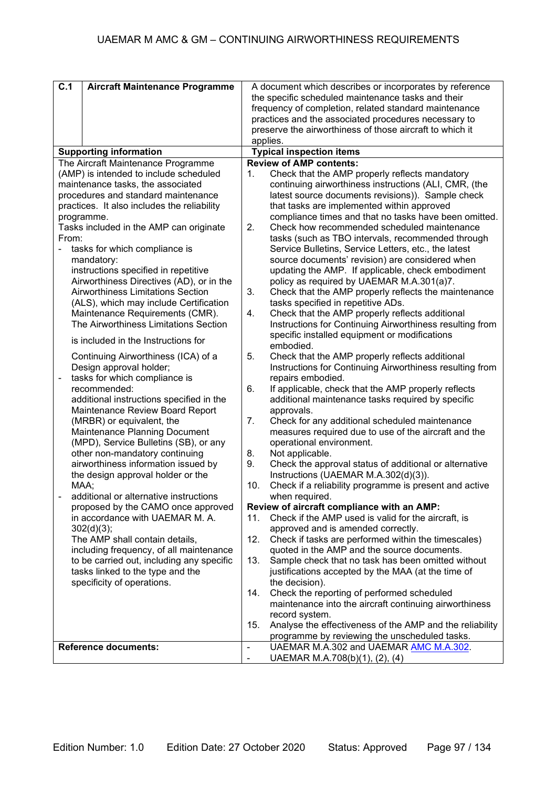| C.1                               | <b>Aircraft Maintenance Programme</b>       |     | A document which describes or incorporates by reference  |
|-----------------------------------|---------------------------------------------|-----|----------------------------------------------------------|
|                                   |                                             |     |                                                          |
|                                   |                                             |     | the specific scheduled maintenance tasks and their       |
|                                   |                                             |     | frequency of completion, related standard maintenance    |
|                                   |                                             |     | practices and the associated procedures necessary to     |
|                                   |                                             |     | preserve the airworthiness of those aircraft to which it |
|                                   |                                             |     | applies.                                                 |
| <b>Supporting information</b>     |                                             |     | <b>Typical inspection items</b>                          |
|                                   | The Aircraft Maintenance Programme          |     | <b>Review of AMP contents:</b>                           |
|                                   | (AMP) is intended to include scheduled      | 1.  | Check that the AMP properly reflects mandatory           |
| maintenance tasks, the associated |                                             |     | continuing airworthiness instructions (ALI, CMR, (the    |
|                                   | procedures and standard maintenance         |     | latest source documents revisions)). Sample check        |
|                                   | practices. It also includes the reliability |     | that tasks are implemented within approved               |
| programme.                        |                                             |     | compliance times and that no tasks have been omitted.    |
|                                   | Tasks included in the AMP can originate     | 2.  | Check how recommended scheduled maintenance              |
| From:                             |                                             |     | tasks (such as TBO intervals, recommended through        |
| tasks for which compliance is     |                                             |     | Service Bulletins, Service Letters, etc., the latest     |
| mandatory:                        |                                             |     | source documents' revision) are considered when          |
|                                   | instructions specified in repetitive        |     | updating the AMP. If applicable, check embodiment        |
|                                   | Airworthiness Directives (AD), or in the    |     | policy as required by UAEMAR M.A.301(a)7.                |
|                                   | <b>Airworthiness Limitations Section</b>    | 3.  | Check that the AMP properly reflects the maintenance     |
|                                   | (ALS), which may include Certification      |     | tasks specified in repetitive ADs.                       |
|                                   | Maintenance Requirements (CMR).             | 4.  | Check that the AMP properly reflects additional          |
|                                   | The Airworthiness Limitations Section       |     | Instructions for Continuing Airworthiness resulting from |
|                                   | is included in the Instructions for         |     | specific installed equipment or modifications            |
|                                   |                                             |     | embodied.                                                |
|                                   | Continuing Airworthiness (ICA) of a         | 5.  | Check that the AMP properly reflects additional          |
| Design approval holder;           |                                             |     | Instructions for Continuing Airworthiness resulting from |
| tasks for which compliance is     |                                             |     | repairs embodied.                                        |
| recommended:                      |                                             | 6.  | If applicable, check that the AMP properly reflects      |
|                                   | additional instructions specified in the    |     | additional maintenance tasks required by specific        |
|                                   | Maintenance Review Board Report             |     | approvals.                                               |
| (MRBR) or equivalent, the         |                                             | 7.  | Check for any additional scheduled maintenance           |
|                                   | Maintenance Planning Document               |     | measures required due to use of the aircraft and the     |
|                                   | (MPD), Service Bulletins (SB), or any       |     | operational environment.                                 |
|                                   | other non-mandatory continuing              | 8.  | Not applicable.                                          |
|                                   | airworthiness information issued by         | 9.  | Check the approval status of additional or alternative   |
|                                   | the design approval holder or the           |     | Instructions (UAEMAR M.A.302(d)(3)).                     |
| MAA;                              |                                             | 10. | Check if a reliability programme is present and active   |
|                                   | additional or alternative instructions      |     | when required.                                           |
|                                   | proposed by the CAMO once approved          |     | Review of aircraft compliance with an AMP:               |
|                                   | in accordance with UAEMAR M. A.             | 11. | Check if the AMP used is valid for the aircraft, is      |
| 302(d)(3);                        |                                             |     | approved and is amended correctly.                       |
| The AMP shall contain details,    |                                             | 12. | Check if tasks are performed within the timescales)      |
|                                   | including frequency, of all maintenance     |     | quoted in the AMP and the source documents.              |
|                                   | to be carried out, including any specific   | 13. | Sample check that no task has been omitted without       |
| tasks linked to the type and the  |                                             |     | justifications accepted by the MAA (at the time of       |
| specificity of operations.        |                                             |     | the decision).                                           |
|                                   |                                             | 14. | Check the reporting of performed scheduled               |
|                                   |                                             |     | maintenance into the aircraft continuing airworthiness   |
|                                   |                                             |     | record system.                                           |
|                                   |                                             | 15. | Analyse the effectiveness of the AMP and the reliability |
|                                   |                                             |     | programme by reviewing the unscheduled tasks.            |
| <b>Reference documents:</b>       |                                             |     | UAEMAR M.A.302 and UAEMAR AMC M.A.302.                   |
|                                   |                                             |     | UAEMAR M.A.708(b)(1), (2), (4)                           |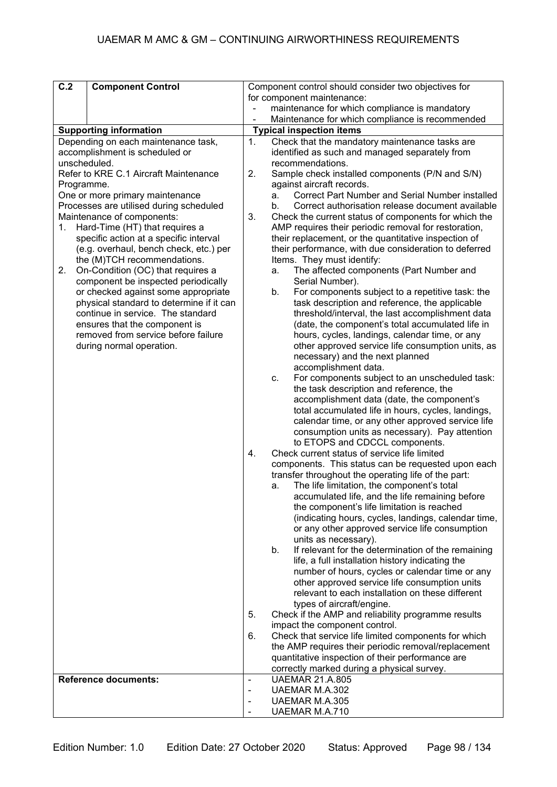| C.2<br><b>Component Control</b>                                                  | Component control should consider two objectives for                                                          |
|----------------------------------------------------------------------------------|---------------------------------------------------------------------------------------------------------------|
|                                                                                  | for component maintenance:                                                                                    |
|                                                                                  | maintenance for which compliance is mandatory<br>$\overline{a}$                                               |
|                                                                                  | Maintenance for which compliance is recommended<br>$\blacksquare$                                             |
| <b>Supporting information</b>                                                    | <b>Typical inspection items</b>                                                                               |
| Depending on each maintenance task,<br>accomplishment is scheduled or            | Check that the mandatory maintenance tasks are<br>1.<br>identified as such and managed separately from        |
| unscheduled.                                                                     | recommendations.                                                                                              |
| Refer to KRE C.1 Aircraft Maintenance                                            | 2.<br>Sample check installed components (P/N and S/N)                                                         |
| Programme.                                                                       | against aircraft records.                                                                                     |
| One or more primary maintenance                                                  | Correct Part Number and Serial Number installed<br>a.                                                         |
| Processes are utilised during scheduled                                          | Correct authorisation release document available<br>b.                                                        |
| Maintenance of components:                                                       | Check the current status of components for which the<br>3.                                                    |
| Hard-Time (HT) that requires a<br>1.                                             | AMP requires their periodic removal for restoration,                                                          |
| specific action at a specific interval<br>(e.g. overhaul, bench check, etc.) per | their replacement, or the quantitative inspection of<br>their performance, with due consideration to deferred |
| the (M)TCH recommendations.                                                      | Items. They must identify:                                                                                    |
| On-Condition (OC) that requires a<br>2.                                          | The affected components (Part Number and<br>a.                                                                |
| component be inspected periodically                                              | Serial Number).                                                                                               |
| or checked against some appropriate                                              | For components subject to a repetitive task: the<br>b.                                                        |
| physical standard to determine if it can                                         | task description and reference, the applicable                                                                |
| continue in service. The standard<br>ensures that the component is               | threshold/interval, the last accomplishment data<br>(date, the component's total accumulated life in          |
| removed from service before failure                                              | hours, cycles, landings, calendar time, or any                                                                |
| during normal operation.                                                         | other approved service life consumption units, as                                                             |
|                                                                                  | necessary) and the next planned                                                                               |
|                                                                                  | accomplishment data.                                                                                          |
|                                                                                  | For components subject to an unscheduled task:<br>C.                                                          |
|                                                                                  | the task description and reference, the                                                                       |
|                                                                                  | accomplishment data (date, the component's<br>total accumulated life in hours, cycles, landings,              |
|                                                                                  | calendar time, or any other approved service life                                                             |
|                                                                                  | consumption units as necessary). Pay attention                                                                |
|                                                                                  | to ETOPS and CDCCL components.                                                                                |
|                                                                                  | Check current status of service life limited<br>4.                                                            |
|                                                                                  | components. This status can be requested upon each                                                            |
|                                                                                  | transfer throughout the operating life of the part:                                                           |
|                                                                                  | The life limitation, the component's total<br>а.                                                              |
|                                                                                  | accumulated life, and the life remaining before<br>the component's life limitation is reached                 |
|                                                                                  | (indicating hours, cycles, landings, calendar time,                                                           |
|                                                                                  | or any other approved service life consumption                                                                |
|                                                                                  | units as necessary).                                                                                          |
|                                                                                  | If relevant for the determination of the remaining<br>b.                                                      |
|                                                                                  | life, a full installation history indicating the                                                              |
|                                                                                  | number of hours, cycles or calendar time or any<br>other approved service life consumption units              |
|                                                                                  | relevant to each installation on these different                                                              |
|                                                                                  | types of aircraft/engine.                                                                                     |
|                                                                                  | Check if the AMP and reliability programme results<br>5.                                                      |
|                                                                                  | impact the component control.                                                                                 |
|                                                                                  | Check that service life limited components for which<br>6.                                                    |
|                                                                                  | the AMP requires their periodic removal/replacement                                                           |
|                                                                                  | quantitative inspection of their performance are<br>correctly marked during a physical survey.                |
| <b>Reference documents:</b>                                                      | <b>UAEMAR 21.A.805</b>                                                                                        |
|                                                                                  | UAEMAR M.A.302                                                                                                |
|                                                                                  | UAEMAR M.A.305                                                                                                |
|                                                                                  | UAEMAR M.A.710                                                                                                |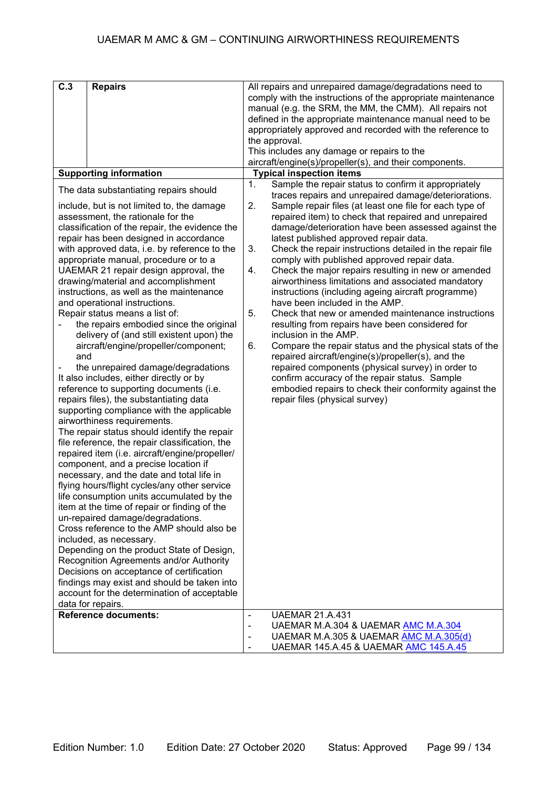| C.3<br><b>Repairs</b><br><b>Supporting information</b>                                                                                                                                                                                                                                                                                                                                                                                                                                                                                                                                                                                                                                                                                                                                                                                                                                                                                                                                                                                                                                                                                                                                                                                                                                                                                                                                                                                                                                                                                                                                                                                                                                          | All repairs and unrepaired damage/degradations need to<br>comply with the instructions of the appropriate maintenance<br>manual (e.g. the SRM, the MM, the CMM). All repairs not<br>defined in the appropriate maintenance manual need to be<br>appropriately approved and recorded with the reference to<br>the approval.<br>This includes any damage or repairs to the<br>aircraft/engine(s)/propeller(s), and their components.<br><b>Typical inspection items</b>                                                                                                                                                                                                                                                                                                                                                                                                                                                                                                                                                                                                                                                   |
|-------------------------------------------------------------------------------------------------------------------------------------------------------------------------------------------------------------------------------------------------------------------------------------------------------------------------------------------------------------------------------------------------------------------------------------------------------------------------------------------------------------------------------------------------------------------------------------------------------------------------------------------------------------------------------------------------------------------------------------------------------------------------------------------------------------------------------------------------------------------------------------------------------------------------------------------------------------------------------------------------------------------------------------------------------------------------------------------------------------------------------------------------------------------------------------------------------------------------------------------------------------------------------------------------------------------------------------------------------------------------------------------------------------------------------------------------------------------------------------------------------------------------------------------------------------------------------------------------------------------------------------------------------------------------------------------------|-------------------------------------------------------------------------------------------------------------------------------------------------------------------------------------------------------------------------------------------------------------------------------------------------------------------------------------------------------------------------------------------------------------------------------------------------------------------------------------------------------------------------------------------------------------------------------------------------------------------------------------------------------------------------------------------------------------------------------------------------------------------------------------------------------------------------------------------------------------------------------------------------------------------------------------------------------------------------------------------------------------------------------------------------------------------------------------------------------------------------|
|                                                                                                                                                                                                                                                                                                                                                                                                                                                                                                                                                                                                                                                                                                                                                                                                                                                                                                                                                                                                                                                                                                                                                                                                                                                                                                                                                                                                                                                                                                                                                                                                                                                                                                 | Sample the repair status to confirm it appropriately<br>1.                                                                                                                                                                                                                                                                                                                                                                                                                                                                                                                                                                                                                                                                                                                                                                                                                                                                                                                                                                                                                                                              |
| The data substantiating repairs should<br>include, but is not limited to, the damage<br>assessment, the rationale for the<br>classification of the repair, the evidence the<br>repair has been designed in accordance<br>with approved data, i.e. by reference to the<br>appropriate manual, procedure or to a<br>UAEMAR 21 repair design approval, the<br>drawing/material and accomplishment<br>instructions, as well as the maintenance<br>and operational instructions.<br>Repair status means a list of:<br>the repairs embodied since the original<br>delivery of (and still existent upon) the<br>aircraft/engine/propeller/component;<br>and<br>the unrepaired damage/degradations<br>It also includes, either directly or by<br>reference to supporting documents (i.e.<br>repairs files), the substantiating data<br>supporting compliance with the applicable<br>airworthiness requirements.<br>The repair status should identify the repair<br>file reference, the repair classification, the<br>repaired item (i.e. aircraft/engine/propeller/<br>component, and a precise location if<br>necessary, and the date and total life in<br>flying hours/flight cycles/any other service<br>life consumption units accumulated by the<br>item at the time of repair or finding of the<br>un-repaired damage/degradations.<br>Cross reference to the AMP should also be<br>included, as necessary.<br>Depending on the product State of Design,<br>Recognition Agreements and/or Authority<br>Decisions on acceptance of certification<br>findings may exist and should be taken into<br>account for the determination of acceptable<br>data for repairs.<br><b>Reference documents:</b> | traces repairs and unrepaired damage/deteriorations.<br>Sample repair files (at least one file for each type of<br>2.<br>repaired item) to check that repaired and unrepaired<br>damage/deterioration have been assessed against the<br>latest published approved repair data.<br>3.<br>Check the repair instructions detailed in the repair file<br>comply with published approved repair data.<br>Check the major repairs resulting in new or amended<br>4.<br>airworthiness limitations and associated mandatory<br>instructions (including ageing aircraft programme)<br>have been included in the AMP.<br>5.<br>Check that new or amended maintenance instructions<br>resulting from repairs have been considered for<br>inclusion in the AMP.<br>Compare the repair status and the physical stats of the<br>6.<br>repaired aircraft/engine(s)/propeller(s), and the<br>repaired components (physical survey) in order to<br>confirm accuracy of the repair status. Sample<br>embodied repairs to check their conformity against the<br>repair files (physical survey)<br><b>UAEMAR 21.A.431</b><br>$\blacksquare$ |
|                                                                                                                                                                                                                                                                                                                                                                                                                                                                                                                                                                                                                                                                                                                                                                                                                                                                                                                                                                                                                                                                                                                                                                                                                                                                                                                                                                                                                                                                                                                                                                                                                                                                                                 | UAEMAR M.A.304 & UAEMAR AMC M.A.304<br>UAEMAR M.A.305 & UAEMAR AMC M.A.305(d)<br>UAEMAR 145.A.45 & UAEMAR AMC 145.A.45<br>-                                                                                                                                                                                                                                                                                                                                                                                                                                                                                                                                                                                                                                                                                                                                                                                                                                                                                                                                                                                             |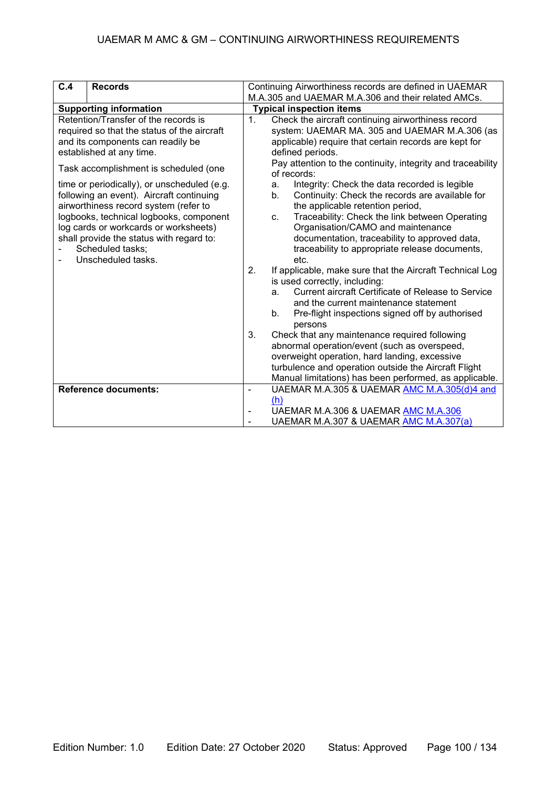| <b>Records</b><br>C.4                                                             | Continuing Airworthiness records are defined in UAEMAR                                                      |  |  |  |
|-----------------------------------------------------------------------------------|-------------------------------------------------------------------------------------------------------------|--|--|--|
|                                                                                   | M.A.305 and UAEMAR M.A.306 and their related AMCs.                                                          |  |  |  |
| <b>Supporting information</b>                                                     | <b>Typical inspection items</b>                                                                             |  |  |  |
| Retention/Transfer of the records is                                              | 1.<br>Check the aircraft continuing airworthiness record                                                    |  |  |  |
| required so that the status of the aircraft                                       | system: UAEMAR MA. 305 and UAEMAR M.A.306 (as                                                               |  |  |  |
| and its components can readily be                                                 | applicable) require that certain records are kept for                                                       |  |  |  |
| established at any time.                                                          | defined periods.                                                                                            |  |  |  |
| Task accomplishment is scheduled (one                                             | Pay attention to the continuity, integrity and traceability<br>of records:                                  |  |  |  |
| time or periodically), or unscheduled (e.g.                                       | Integrity: Check the data recorded is legible<br>a.                                                         |  |  |  |
| following an event). Aircraft continuing<br>airworthiness record system (refer to | Continuity: Check the records are available for<br>b.<br>the applicable retention period,                   |  |  |  |
| logbooks, technical logbooks, component<br>log cards or workcards or worksheets)  | Traceability: Check the link between Operating<br>C.<br>Organisation/CAMO and maintenance                   |  |  |  |
| shall provide the status with regard to:                                          | documentation, traceability to approved data,                                                               |  |  |  |
| Scheduled tasks;                                                                  | traceability to appropriate release documents,                                                              |  |  |  |
| Unscheduled tasks.                                                                | etc.                                                                                                        |  |  |  |
|                                                                                   | 2 <sub>1</sub><br>If applicable, make sure that the Aircraft Technical Log<br>is used correctly, including: |  |  |  |
|                                                                                   | Current aircraft Certificate of Release to Service<br>a.                                                    |  |  |  |
|                                                                                   | and the current maintenance statement<br>Pre-flight inspections signed off by authorised<br>b.              |  |  |  |
|                                                                                   | persons                                                                                                     |  |  |  |
|                                                                                   | Check that any maintenance required following<br>3.                                                         |  |  |  |
|                                                                                   | abnormal operation/event (such as overspeed,                                                                |  |  |  |
|                                                                                   | overweight operation, hard landing, excessive                                                               |  |  |  |
|                                                                                   | turbulence and operation outside the Aircraft Flight                                                        |  |  |  |
|                                                                                   | Manual limitations) has been performed, as applicable.                                                      |  |  |  |
| <b>Reference documents:</b>                                                       | UAEMAR M.A.305 & UAEMAR AMC M.A.305(d)4 and<br>۰<br>(h)                                                     |  |  |  |
|                                                                                   | UAEMAR M.A.306 & UAEMAR AMC M.A.306                                                                         |  |  |  |
|                                                                                   | UAEMAR M.A.307 & UAEMAR AMC M.A.307(a)                                                                      |  |  |  |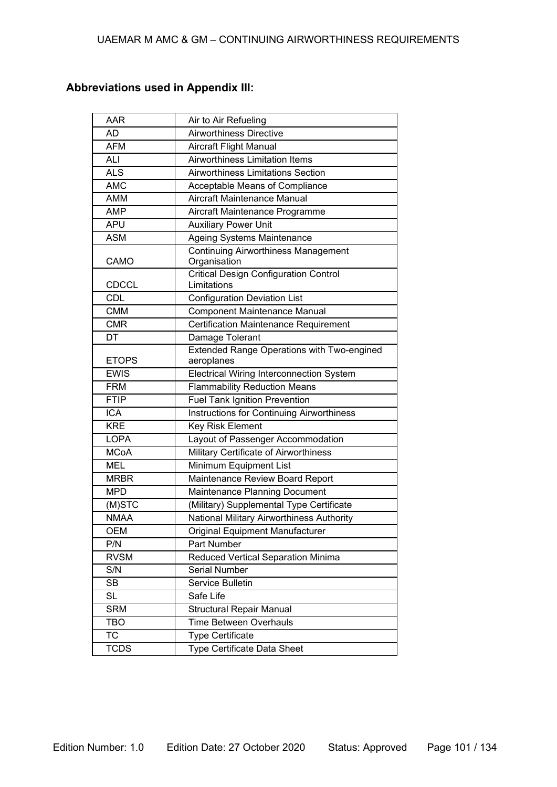## **Abbreviations used in Appendix III:**

| <b>AAR</b>        | Air to Air Refueling                                            |
|-------------------|-----------------------------------------------------------------|
| <b>AD</b>         | <b>Airworthiness Directive</b>                                  |
| <b>AFM</b>        | Aircraft Flight Manual                                          |
| <b>ALI</b>        | Airworthiness Limitation Items                                  |
| <b>ALS</b>        | <b>Airworthiness Limitations Section</b>                        |
| <b>AMC</b>        | Acceptable Means of Compliance                                  |
| <b>AMM</b>        | Aircraft Maintenance Manual                                     |
| <b>AMP</b>        | Aircraft Maintenance Programme                                  |
| <b>APU</b>        | <b>Auxiliary Power Unit</b>                                     |
| <b>ASM</b>        | Ageing Systems Maintenance                                      |
| CAMO              | <b>Continuing Airworthiness Management</b><br>Organisation      |
| <b>CDCCL</b>      | <b>Critical Design Configuration Control</b><br>Limitations     |
| <b>CDL</b>        | <b>Configuration Deviation List</b>                             |
| <b>CMM</b>        | <b>Component Maintenance Manual</b>                             |
| <b>CMR</b>        | <b>Certification Maintenance Requirement</b>                    |
| <b>DT</b>         | Damage Tolerant                                                 |
| <b>ETOPS</b>      | <b>Extended Range Operations with Two-engined</b><br>aeroplanes |
| <b>EWIS</b>       | <b>Electrical Wiring Interconnection System</b>                 |
| <b>FRM</b>        | <b>Flammability Reduction Means</b>                             |
| <b>FTIP</b>       | <b>Fuel Tank Ignition Prevention</b>                            |
| <b>ICA</b>        | Instructions for Continuing Airworthiness                       |
| <b>KRE</b>        | <b>Key Risk Element</b>                                         |
| <b>LOPA</b>       | Layout of Passenger Accommodation                               |
| $MCo\overline{A}$ | Military Certificate of Airworthiness                           |
| <b>MEL</b>        | Minimum Equipment List                                          |
| <b>MRBR</b>       | Maintenance Review Board Report                                 |
| <b>MPD</b>        | Maintenance Planning Document                                   |
| (M)STC            | (Military) Supplemental Type Certificate                        |
| <b>NMAA</b>       | National Military Airworthiness Authority                       |
| <b>OEM</b>        | <b>Original Equipment Manufacturer</b>                          |
| P/N               | Part Number                                                     |
| <b>RVSM</b>       | Reduced Vertical Separation Minima                              |
| S/N               | <b>Serial Number</b>                                            |
| SB                | Service Bulletin                                                |
| <b>SL</b>         | Safe Life                                                       |
| <b>SRM</b>        | <b>Structural Repair Manual</b>                                 |
| <b>TBO</b>        | <b>Time Between Overhauls</b>                                   |
| <b>TC</b>         | <b>Type Certificate</b>                                         |
| <b>TCDS</b>       | Type Certificate Data Sheet                                     |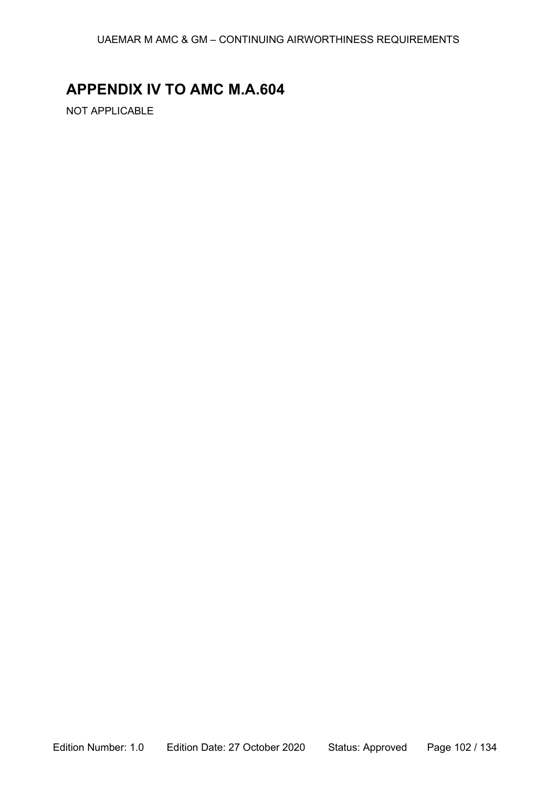# **APPENDIX IV TO AMC M.A.604**

NOT APPLICABLE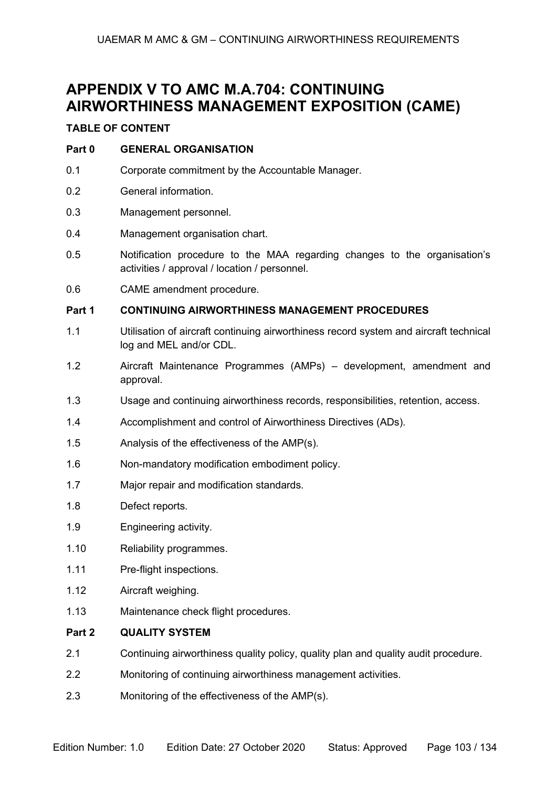# **APPENDIX V TO AMC M.A.704: CONTINUING AIRWORTHINESS MANAGEMENT EXPOSITION (CAME)**

## **TABLE OF CONTENT**

### **Part 0 GENERAL ORGANISATION**

- 0.1 Corporate commitment by the Accountable Manager.
- 0.2 General information.
- 0.3 Management personnel.
- 0.4 Management organisation chart.
- 0.5 Notification procedure to the MAA regarding changes to the organisation's activities / approval / location / personnel.
- 0.6 CAME amendment procedure.

## **Part 1 CONTINUING AIRWORTHINESS MANAGEMENT PROCEDURES**

- 1.1 Utilisation of aircraft continuing airworthiness record system and aircraft technical log and MEL and/or CDL.
- 1.2 Aircraft Maintenance Programmes (AMPs) development, amendment and approval.
- 1.3 Usage and continuing airworthiness records, responsibilities, retention, access.
- 1.4 Accomplishment and control of Airworthiness Directives (ADs).
- 1.5 Analysis of the effectiveness of the AMP(s).
- 1.6 Non-mandatory modification embodiment policy.
- 1.7 Major repair and modification standards.
- 1.8 Defect reports.
- 1.9 Engineering activity.
- 1.10 Reliability programmes.
- 1.11 Pre-flight inspections.
- 1.12 Aircraft weighing.
- 1.13 Maintenance check flight procedures.

### **Part 2 QUALITY SYSTEM**

- 2.1 Continuing airworthiness quality policy, quality plan and quality audit procedure.
- 2.2 Monitoring of continuing airworthiness management activities.
- 2.3 Monitoring of the effectiveness of the AMP(s).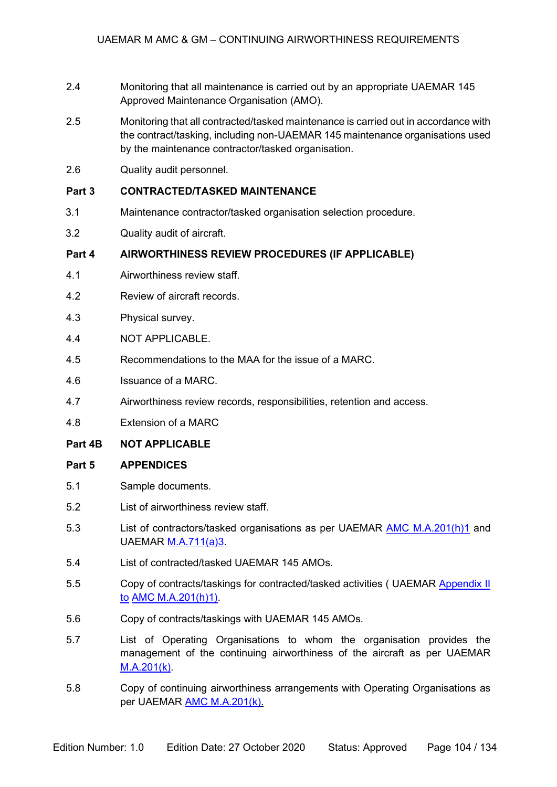- 2.4 Monitoring that all maintenance is carried out by an appropriate UAEMAR 145 Approved Maintenance Organisation (AMO).
- 2.5 Monitoring that all contracted/tasked maintenance is carried out in accordance with the contract/tasking, including non-UAEMAR 145 maintenance organisations used by the maintenance contractor/tasked organisation.
- 2.6 Quality audit personnel.

### **Part 3 CONTRACTED/TASKED MAINTENANCE**

- 3.1 Maintenance contractor/tasked organisation selection procedure.
- 3.2 Quality audit of aircraft.

### **Part 4 AIRWORTHINESS REVIEW PROCEDURES (IF APPLICABLE)**

- 4.1 Airworthiness review staff.
- 4.2 Review of aircraft records.
- 4.3 Physical survey.
- 4.4 NOT APPLICABLE.
- 4.5 Recommendations to the MAA for the issue of a MARC.
- 4.6 Issuance of a MARC.
- 4.7 Airworthiness review records, responsibilities, retention and access.
- 4.8 Extension of a MARC
- **Part 4B NOT APPLICABLE**

#### **Part 5 APPENDICES**

- 5.1 Sample documents.
- 5.2 List of airworthiness review staff.
- 5.3 List of contractors/tasked organisations as per UAEMAR AMC M.A.201(h)1 and UAEMAR M.A.711(a)3.
- 5.4 List of contracted/tasked UAEMAR 145 AMOs.
- 5.5 Copy of contracts/taskings for contracted/tasked activities ( [UAEMAR Appendix II](#page-79-0)  [to](#page-79-0) [AMC M.A.201\(h\)1\).](#page-79-0)
- 5.6 Copy of contracts/taskings with UAEMAR 145 AMOs.
- 5.7 List of Operating Organisations to whom the organisation provides the management of the continuing airworthiness of the aircraft as per UAEMAR M.A.201(k).
- 5.8 Copy of continuing airworthiness arrangements with Operating Organisations as per UAEMAR AMC M.A.201(k).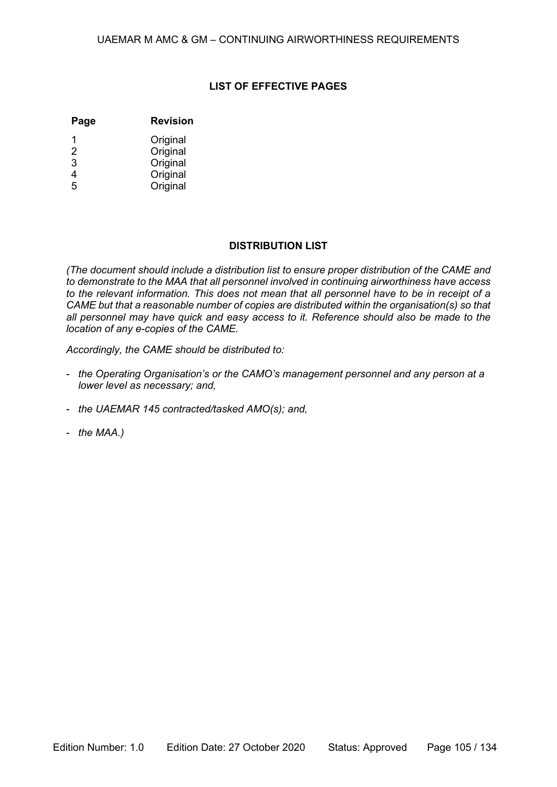## **LIST OF EFFECTIVE PAGES**

| Page | <b>Revision</b> |  |
|------|-----------------|--|
| 1    | Original        |  |
| 2    | Original        |  |
| 3    | Original        |  |
| 4    | Original        |  |
| 5    | Original        |  |

### **DISTRIBUTION LIST**

*(The document should include a distribution list to ensure proper distribution of the CAME and to demonstrate to the MAA that all personnel involved in continuing airworthiness have access to the relevant information. This does not mean that all personnel have to be in receipt of a CAME but that a reasonable number of copies are distributed within the organisation(s) so that all personnel may have quick and easy access to it. Reference should also be made to the location of any e-copies of the CAME.*

*Accordingly, the CAME should be distributed to:*

- *the Operating Organisation's or the CAMO's management personnel and any person at a lower level as necessary; and,*
- *the UAEMAR 145 contracted/tasked AMO(s); and,*
- *the MAA.)*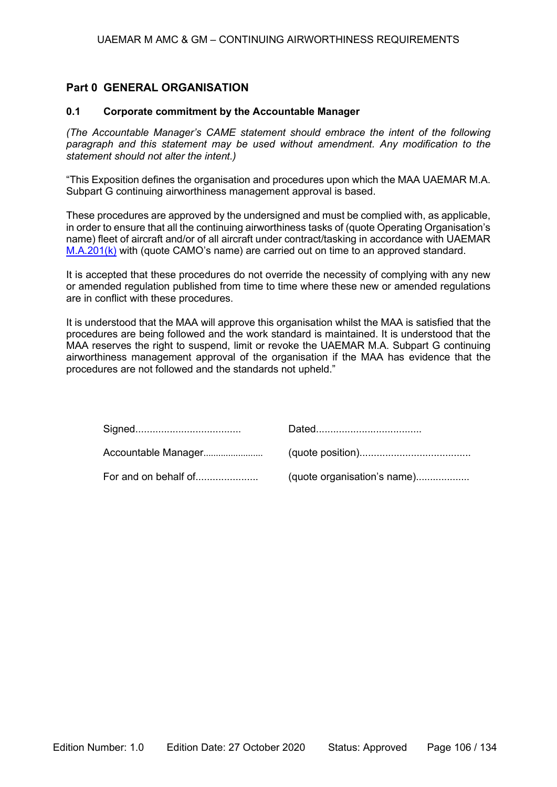## **Part 0 GENERAL ORGANISATION**

#### **0.1 Corporate commitment by the Accountable Manager**

*(The Accountable Manager's CAME statement should embrace the intent of the following paragraph and this statement may be used without amendment. Any modification to the statement should not alter the intent.)*

"This Exposition defines the organisation and procedures upon which the MAA UAEMAR M.A. Subpart G continuing airworthiness management approval is based.

These procedures are approved by the undersigned and must be complied with, as applicable, in order to ensure that all the continuing airworthiness tasks of (quote Operating Organisation's name) fleet of aircraft and/or of all aircraft under contract/tasking in accordance with UAEMAR M.A.201(k) with (quote CAMO's name) are carried out on time to an approved standard.

It is accepted that these procedures do not override the necessity of complying with any new or amended regulation published from time to time where these new or amended regulations are in conflict with these procedures.

It is understood that the MAA will approve this organisation whilst the MAA is satisfied that the procedures are being followed and the work standard is maintained. It is understood that the MAA reserves the right to suspend, limit or revoke the UAEMAR M.A. Subpart G continuing airworthiness management approval of the organisation if the MAA has evidence that the procedures are not followed and the standards not upheld."

| For and on behalf of | (quote organisation's name) |
|----------------------|-----------------------------|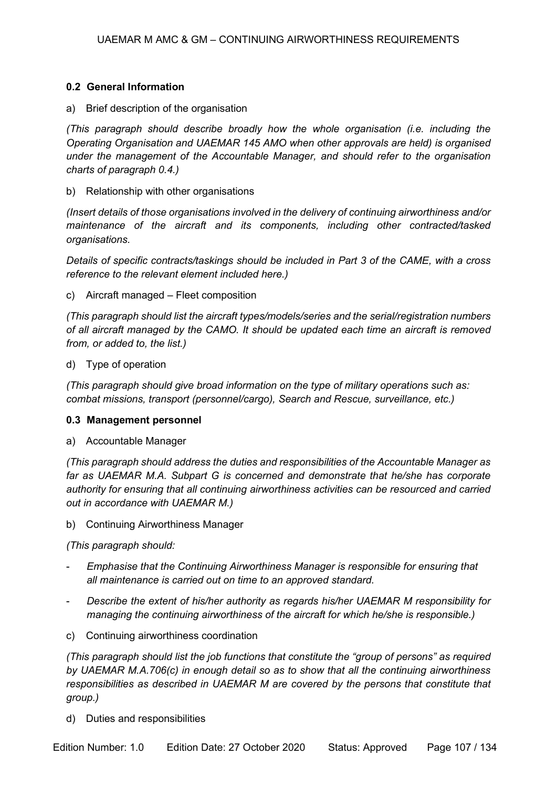## **0.2 General Information**

a) Brief description of the organisation

*(This paragraph should describe broadly how the whole organisation (i.e. including the Operating Organisation and UAEMAR 145 AMO when other approvals are held) is organised under the management of the Accountable Manager, and should refer to the organisation charts of paragraph 0.4.)*

b) Relationship with other organisations

*(Insert details of those organisations involved in the delivery of continuing airworthiness and/or maintenance of the aircraft and its components, including other contracted/tasked organisations.*

*Details of specific contracts/taskings should be included in Part 3 of the CAME, with a cross reference to the relevant element included here.)*

c) Aircraft managed – Fleet composition

*(This paragraph should list the aircraft types/models/series and the serial/registration numbers of all aircraft managed by the CAMO. It should be updated each time an aircraft is removed from, or added to, the list.)*

d) Type of operation

*(This paragraph should give broad information on the type of military operations such as: combat missions, transport (personnel/cargo), Search and Rescue, surveillance, etc.)*

### **0.3 Management personnel**

a) Accountable Manager

*(This paragraph should address the duties and responsibilities of the Accountable Manager as far as UAEMAR M.A. Subpart G is concerned and demonstrate that he/she has corporate authority for ensuring that all continuing airworthiness activities can be resourced and carried out in accordance with UAEMAR M.)*

b) Continuing Airworthiness Manager

*(This paragraph should:*

- *Emphasise that the Continuing Airworthiness Manager is responsible for ensuring that all maintenance is carried out on time to an approved standard.*
- *Describe the extent of his/her authority as regards his/her UAEMAR M responsibility for managing the continuing airworthiness of the aircraft for which he/she is responsible.)*
- c) Continuing airworthiness coordination

*(This paragraph should list the job functions that constitute the "group of persons" as required by UAEMAR M.A.706(c) in enough detail so as to show that all the continuing airworthiness responsibilities as described in UAEMAR M are covered by the persons that constitute that group.)*

d) Duties and responsibilities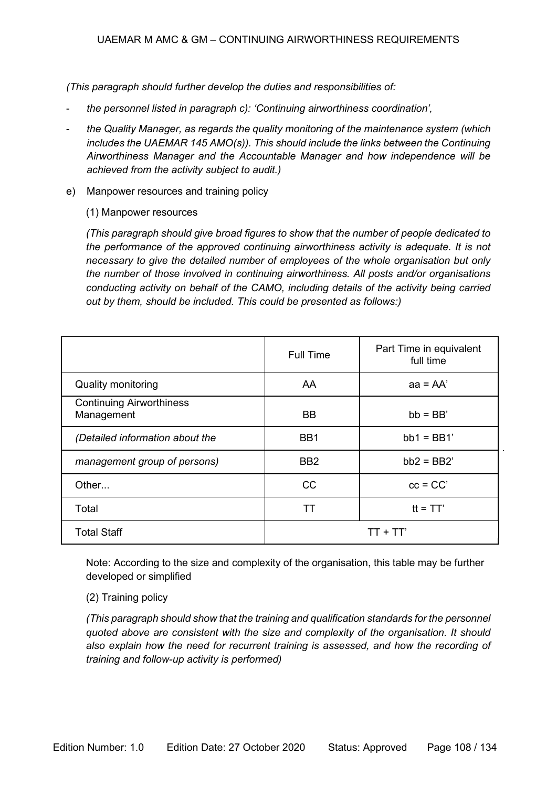*(This paragraph should further develop the duties and responsibilities of:*

- *the personnel listed in paragraph c): 'Continuing airworthiness coordination',*
- *the Quality Manager, as regards the quality monitoring of the maintenance system (which includes the UAEMAR 145 AMO(s)). This should include the links between the Continuing Airworthiness Manager and the Accountable Manager and how independence will be achieved from the activity subject to audit.)*
- e) Manpower resources and training policy
	- (1) Manpower resources

*(This paragraph should give broad figures to show that the number of people dedicated to the performance of the approved continuing airworthiness activity is adequate. It is not necessary to give the detailed number of employees of the whole organisation but only the number of those involved in continuing airworthiness. All posts and/or organisations conducting activity on behalf of the CAMO, including details of the activity being carried out by them, should be included. This could be presented as follows:)*

|                                               | <b>Full Time</b>                                | Part Time in equivalent<br>full time |
|-----------------------------------------------|-------------------------------------------------|--------------------------------------|
| <b>Quality monitoring</b>                     | AA                                              | $aa = AA'$                           |
| <b>Continuing Airworthiness</b><br>Management | <b>BB</b>                                       | $bb = BB'$                           |
| (Detailed information about the               | BB <sub>1</sub>                                 | $bb1 = BB1'$                         |
| management group of persons)                  | B <sub>B2</sub>                                 | $bb2 = BB2'$                         |
| Other                                         | CC                                              | $cc = CC'$                           |
| Total                                         | ТT                                              | $tt = TT'$                           |
| <b>Total Staff</b>                            | $\mathsf{T}\mathsf{T} + \mathsf{T}\mathsf{T}$ ' |                                      |

Note: According to the size and complexity of the organisation, this table may be further developed or simplified

(2) Training policy

*(This paragraph should show that the training and qualification standards for the personnel quoted above are consistent with the size and complexity of the organisation. It should also explain how the need for recurrent training is assessed, and how the recording of training and follow-up activity is performed)*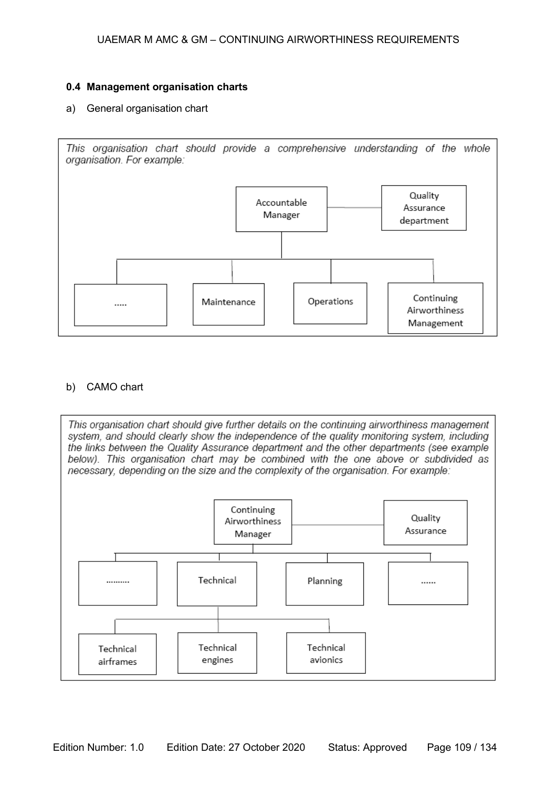#### **0.4 Management organisation charts**

#### a) General organisation chart



#### b) CAMO chart

This organisation chart should give further details on the continuing airworthiness management system, and should clearly show the independence of the quality monitoring system, including the links between the Quality Assurance department and the other departments (see example below). This organisation chart may be combined with the one above or subdivided as necessary, depending on the size and the complexity of the organisation. For example:

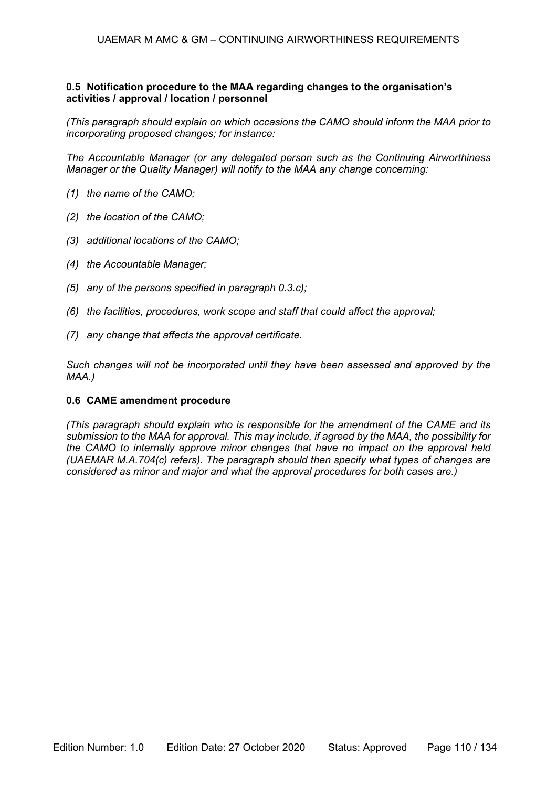#### **0.5 Notification procedure to the MAA regarding changes to the organisation's activities / approval / location / personnel**

*(This paragraph should explain on which occasions the CAMO should inform the MAA prior to incorporating proposed changes; for instance:*

*The Accountable Manager (or any delegated person such as the Continuing Airworthiness Manager or the Quality Manager) will notify to the MAA any change concerning:*

- *(1) the name of the CAMO;*
- *(2) the location of the CAMO;*
- *(3) additional locations of the CAMO;*
- *(4) the Accountable Manager;*
- *(5) any of the persons specified in paragraph 0.3.c);*
- *(6) the facilities, procedures, work scope and staff that could affect the approval;*
- *(7) any change that affects the approval certificate.*

*Such changes will not be incorporated until they have been assessed and approved by the MAA.)*

#### **0.6 CAME amendment procedure**

*(This paragraph should explain who is responsible for the amendment of the CAME and its submission to the MAA for approval. This may include, if agreed by the MAA, the possibility for the CAMO to internally approve minor changes that have no impact on the approval held (UAEMAR M.A.704(c) refers). The paragraph should then specify what types of changes are considered as minor and major and what the approval procedures for both cases are.)*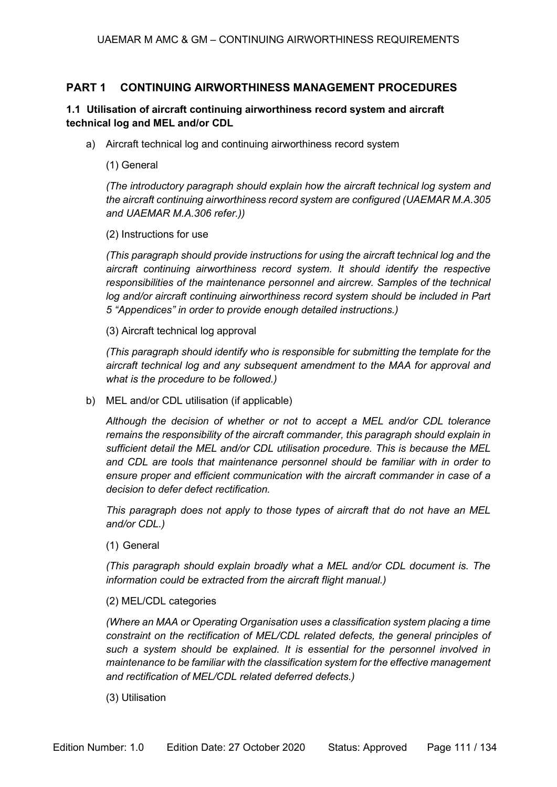#### **PART 1 CONTINUING AIRWORTHINESS MANAGEMENT PROCEDURES**

#### **1.1 Utilisation of aircraft continuing airworthiness record system and aircraft technical log and MEL and/or CDL**

a) Aircraft technical log and continuing airworthiness record system

#### (1) General

*(The introductory paragraph should explain how the aircraft technical log system and the aircraft continuing airworthiness record system are configured (UAEMAR M.A.305 and UAEMAR M.A.306 refer.))*

(2) Instructions for use

*(This paragraph should provide instructions for using the aircraft technical log and the aircraft continuing airworthiness record system. It should identify the respective responsibilities of the maintenance personnel and aircrew. Samples of the technical*  log and/or aircraft continuing airworthiness record system should be included in Part *5 "Appendices" in order to provide enough detailed instructions.)*

(3) Aircraft technical log approval

*(This paragraph should identify who is responsible for submitting the template for the aircraft technical log and any subsequent amendment to the MAA for approval and what is the procedure to be followed.)*

b) MEL and/or CDL utilisation (if applicable)

*Although the decision of whether or not to accept a MEL and/or CDL tolerance remains the responsibility of the aircraft commander, this paragraph should explain in sufficient detail the MEL and/or CDL utilisation procedure. This is because the MEL and CDL are tools that maintenance personnel should be familiar with in order to ensure proper and efficient communication with the aircraft commander in case of a decision to defer defect rectification.*

*This paragraph does not apply to those types of aircraft that do not have an MEL and/or CDL.)*

(1) General

*(This paragraph should explain broadly what a MEL and/or CDL document is. The information could be extracted from the aircraft flight manual.)*

#### (2) MEL/CDL categories

*(Where an MAA or Operating Organisation uses a classification system placing a time constraint on the rectification of MEL/CDL related defects, the general principles of such a system should be explained. It is essential for the personnel involved in maintenance to be familiar with the classification system for the effective management and rectification of MEL/CDL related deferred defects.)*

#### (3) Utilisation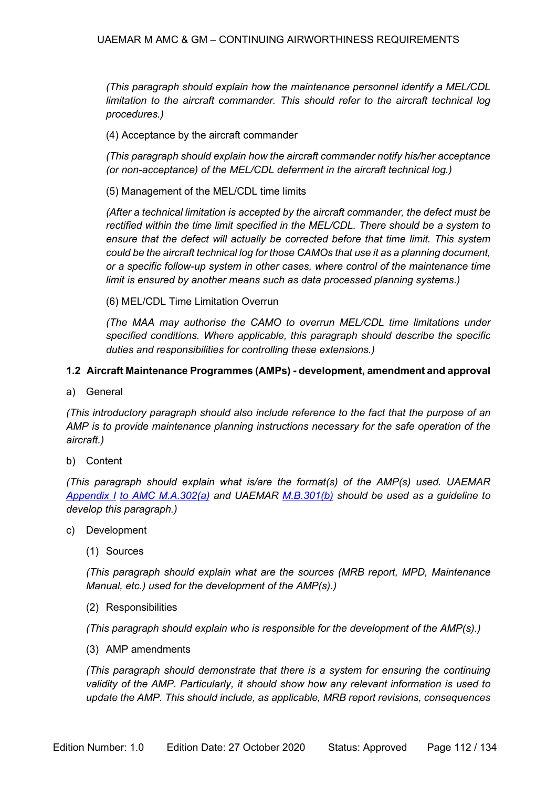*(This paragraph should explain how the maintenance personnel identify a MEL/CDL limitation to the aircraft commander. This should refer to the aircraft technical log procedures.)*

(4) Acceptance by the aircraft commander

*(This paragraph should explain how the aircraft commander notify his/her acceptance (or non-acceptance) of the MEL/CDL deferment in the aircraft technical log.)*

(5) Management of the MEL/CDL time limits

*(After a technical limitation is accepted by the aircraft commander, the defect must be rectified within the time limit specified in the MEL/CDL. There should be a system to ensure that the defect will actually be corrected before that time limit. This system could be the aircraft technical log for those CAMOs that use it as a planning document, or a specific follow-up system in other cases, where control of the maintenance time limit is ensured by another means such as data processed planning systems.)*

(6) MEL/CDL Time Limitation Overrun

*(The MAA may authorise the CAMO to overrun MEL/CDL time limitations under specified conditions. Where applicable, this paragraph should describe the specific duties and responsibilities for controlling these extensions.)*

#### **1.2 Aircraft Maintenance Programmes (AMPs) - development, amendment and approval**

a) General

*(This introductory paragraph should also include reference to the fact that the purpose of an AMP is to provide maintenance planning instructions necessary for the safe operation of the aircraft.)*

b) Content

*(This paragraph should explain what is/are the format(s) of the AMP(s) used. UAEMAR Appendix I to AMC M.A.302(a) and UAEMAR M.B.301(b) should be used as a guideline to develop this paragraph.)*

- c) Development
	- (1) Sources

*(This paragraph should explain what are the sources (MRB report, MPD, Maintenance Manual, etc.) used for the development of the AMP(s).)*

(2) Responsibilities

*(This paragraph should explain who is responsible for the development of the AMP(s).)*

(3) AMP amendments

*(This paragraph should demonstrate that there is a system for ensuring the continuing validity of the AMP. Particularly, it should show how any relevant information is used to update the AMP. This should include, as applicable, MRB report revisions, consequences*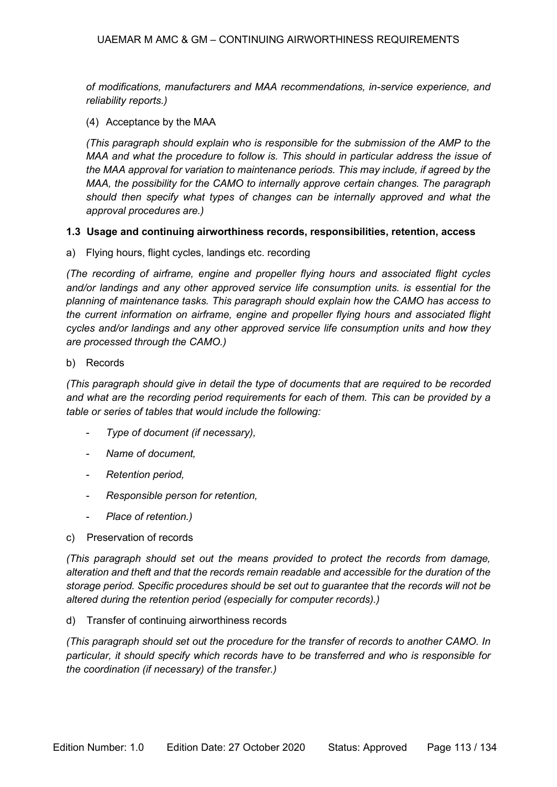*of modifications, manufacturers and MAA recommendations, in-service experience, and reliability reports.)*

(4) Acceptance by the MAA

*(This paragraph should explain who is responsible for the submission of the AMP to the MAA and what the procedure to follow is. This should in particular address the issue of the MAA approval for variation to maintenance periods. This may include, if agreed by the MAA, the possibility for the CAMO to internally approve certain changes. The paragraph should then specify what types of changes can be internally approved and what the approval procedures are.)*

#### **1.3 Usage and continuing airworthiness records, responsibilities, retention, access**

a) Flying hours, flight cycles, landings etc. recording

*(The recording of airframe, engine and propeller flying hours and associated flight cycles and/or landings and any other approved service life consumption units. is essential for the planning of maintenance tasks. This paragraph should explain how the CAMO has access to the current information on airframe, engine and propeller flying hours and associated flight cycles and/or landings and any other approved service life consumption units and how they are processed through the CAMO.)*

#### b) Records

*(This paragraph should give in detail the type of documents that are required to be recorded and what are the recording period requirements for each of them. This can be provided by a table or series of tables that would include the following:*

- *Type of document (if necessary),*
- *Name of document,*
- *Retention period,*
- *Responsible person for retention,*
- *Place of retention.)*
- c) Preservation of records

*(This paragraph should set out the means provided to protect the records from damage, alteration and theft and that the records remain readable and accessible for the duration of the storage period. Specific procedures should be set out to guarantee that the records will not be altered during the retention period (especially for computer records).)*

#### d) Transfer of continuing airworthiness records

*(This paragraph should set out the procedure for the transfer of records to another CAMO. In particular, it should specify which records have to be transferred and who is responsible for the coordination (if necessary) of the transfer.)*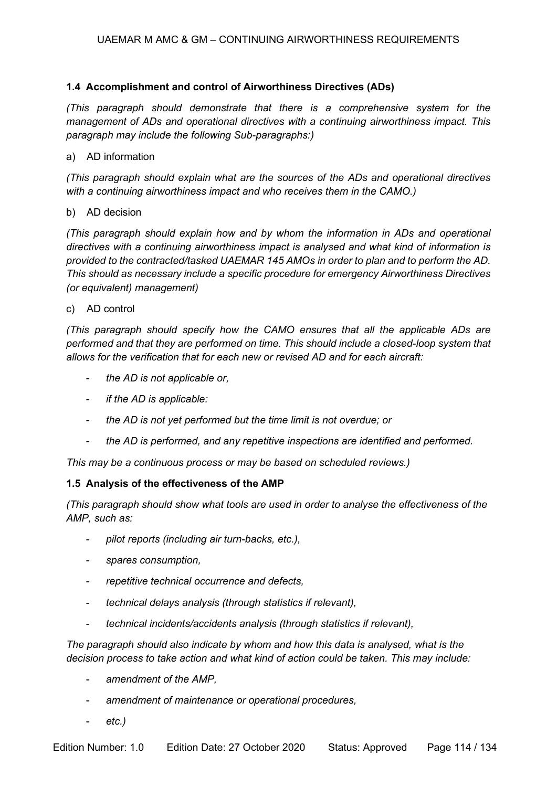#### **1.4 Accomplishment and control of Airworthiness Directives (ADs)**

*(This paragraph should demonstrate that there is a comprehensive system for the management of ADs and operational directives with a continuing airworthiness impact. This paragraph may include the following Sub-paragraphs:)*

#### a) AD information

*(This paragraph should explain what are the sources of the ADs and operational directives with a continuing airworthiness impact and who receives them in the CAMO.)*

#### b) AD decision

*(This paragraph should explain how and by whom the information in ADs and operational directives with a continuing airworthiness impact is analysed and what kind of information is provided to the contracted/tasked UAEMAR 145 AMOs in order to plan and to perform the AD. This should as necessary include a specific procedure for emergency Airworthiness Directives (or equivalent) management)*

#### c) AD control

*(This paragraph should specify how the CAMO ensures that all the applicable ADs are performed and that they are performed on time. This should include a closed-loop system that allows for the verification that for each new or revised AD and for each aircraft:*

- *the AD is not applicable or,*
- *if the AD is applicable:*
- *the AD is not yet performed but the time limit is not overdue; or*
- *the AD is performed, and any repetitive inspections are identified and performed.*

*This may be a continuous process or may be based on scheduled reviews.)*

#### **1.5 Analysis of the effectiveness of the AMP**

*(This paragraph should show what tools are used in order to analyse the effectiveness of the AMP, such as:*

- *pilot reports (including air turn-backs, etc.),*
- *spares consumption,*
- *repetitive technical occurrence and defects,*
- *technical delays analysis (through statistics if relevant),*
- *technical incidents/accidents analysis (through statistics if relevant),*

*The paragraph should also indicate by whom and how this data is analysed, what is the decision process to take action and what kind of action could be taken. This may include:*

- amendment of the AMP.
- *amendment of maintenance or operational procedures,*
- *etc.)*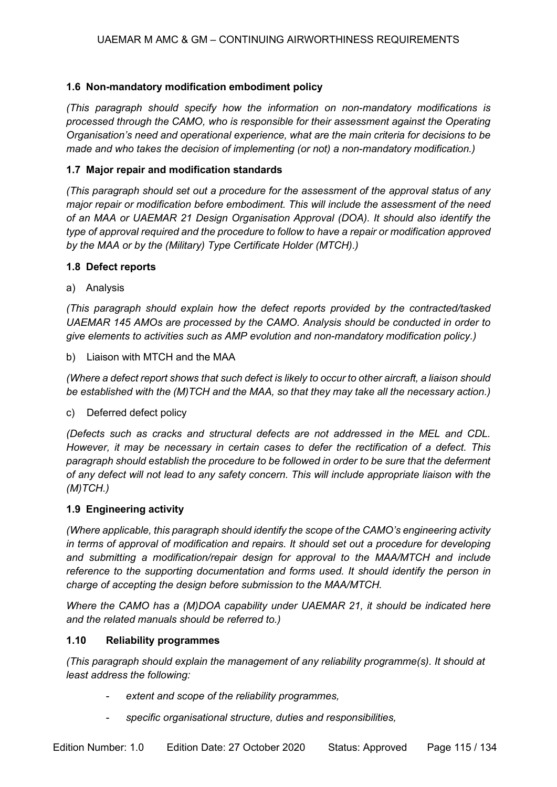#### **1.6 Non-mandatory modification embodiment policy**

*(This paragraph should specify how the information on non-mandatory modifications is processed through the CAMO, who is responsible for their assessment against the Operating Organisation's need and operational experience, what are the main criteria for decisions to be made and who takes the decision of implementing (or not) a non-mandatory modification.)*

#### **1.7 Major repair and modification standards**

*(This paragraph should set out a procedure for the assessment of the approval status of any major repair or modification before embodiment. This will include the assessment of the need of an MAA or UAEMAR 21 Design Organisation Approval (DOA). It should also identify the type of approval required and the procedure to follow to have a repair or modification approved by the MAA or by the (Military) Type Certificate Holder (MTCH).)*

#### **1.8 Defect reports**

a) Analysis

*(This paragraph should explain how the defect reports provided by the contracted/tasked UAEMAR 145 AMOs are processed by the CAMO. Analysis should be conducted in order to give elements to activities such as AMP evolution and non-mandatory modification policy.)*

b) Liaison with MTCH and the MAA

*(Where a defect report shows that such defect is likely to occur to other aircraft, a liaison should be established with the (M)TCH and the MAA, so that they may take all the necessary action.)*

c) Deferred defect policy

*(Defects such as cracks and structural defects are not addressed in the MEL and CDL. However, it may be necessary in certain cases to defer the rectification of a defect. This paragraph should establish the procedure to be followed in order to be sure that the deferment of any defect will not lead to any safety concern. This will include appropriate liaison with the (M)TCH.)*

#### **1.9 Engineering activity**

*(Where applicable, this paragraph should identify the scope of the CAMO's engineering activity in terms of approval of modification and repairs. It should set out a procedure for developing and submitting a modification/repair design for approval to the MAA/MTCH and include reference to the supporting documentation and forms used. It should identify the person in charge of accepting the design before submission to the MAA/MTCH.*

*Where the CAMO has a (M)DOA capability under UAEMAR 21, it should be indicated here and the related manuals should be referred to.)*

#### **1.10 Reliability programmes**

*(This paragraph should explain the management of any reliability programme(s). It should at least address the following:*

- *extent and scope of the reliability programmes,*
- *specific organisational structure, duties and responsibilities,*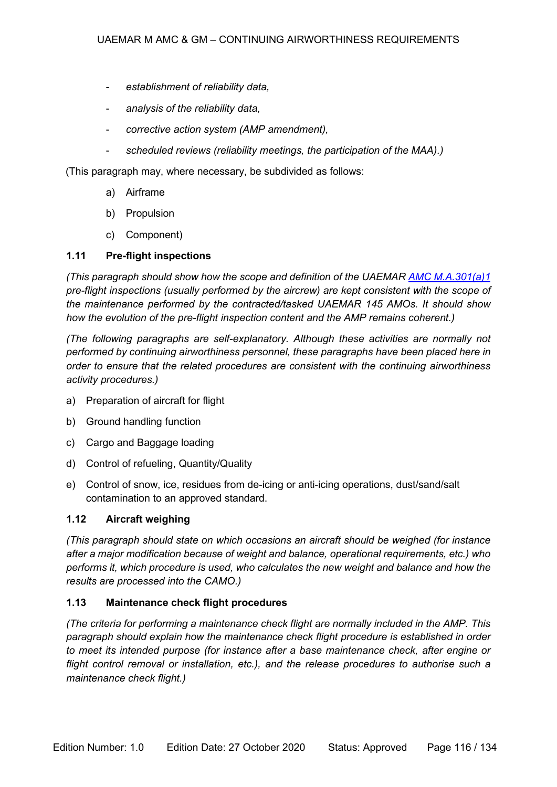- *establishment of reliability data,*
- *analysis of the reliability data,*
- *corrective action system (AMP amendment),*
- scheduled reviews (reliability meetings, the participation of the MAA).)

(This paragraph may, where necessary, be subdivided as follows:

- a) Airframe
- b) Propulsion
- c) Component)

#### **1.11 Pre-flight inspections**

*(This paragraph should show how the scope and definition of the UAEMAR AMC M.A.301(a)1 pre-flight inspections (usually performed by the aircrew) are kept consistent with the scope of the maintenance performed by the contracted/tasked UAEMAR 145 AMOs. It should show how the evolution of the pre-flight inspection content and the AMP remains coherent.)*

*(The following paragraphs are self-explanatory. Although these activities are normally not performed by continuing airworthiness personnel, these paragraphs have been placed here in order to ensure that the related procedures are consistent with the continuing airworthiness activity procedures.)*

- a) Preparation of aircraft for flight
- b) Ground handling function
- c) Cargo and Baggage loading
- d) Control of refueling, Quantity/Quality
- e) Control of snow, ice, residues from de-icing or anti-icing operations, dust/sand/salt contamination to an approved standard.

#### **1.12 Aircraft weighing**

*(This paragraph should state on which occasions an aircraft should be weighed (for instance after a major modification because of weight and balance, operational requirements, etc.) who performs it, which procedure is used, who calculates the new weight and balance and how the results are processed into the CAMO.)*

#### **1.13 Maintenance check flight procedures**

*(The criteria for performing a maintenance check flight are normally included in the AMP. This paragraph should explain how the maintenance check flight procedure is established in order to meet its intended purpose (for instance after a base maintenance check, after engine or flight control removal or installation, etc.), and the release procedures to authorise such a maintenance check flight.)*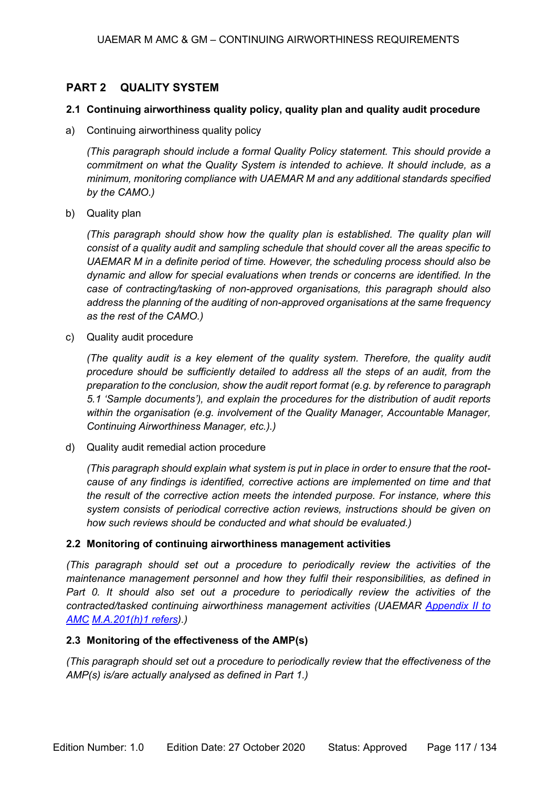#### **PART 2 QUALITY SYSTEM**

#### **2.1 Continuing airworthiness quality policy, quality plan and quality audit procedure**

a) Continuing airworthiness quality policy

*(This paragraph should include a formal Quality Policy statement. This should provide a commitment on what the Quality System is intended to achieve. It should include, as a minimum, monitoring compliance with UAEMAR M and any additional standards specified by the CAMO.)*

b) Quality plan

*(This paragraph should show how the quality plan is established. The quality plan will consist of a quality audit and sampling schedule that should cover all the areas specific to UAEMAR M in a definite period of time. However, the scheduling process should also be dynamic and allow for special evaluations when trends or concerns are identified. In the case of contracting/tasking of non-approved organisations, this paragraph should also address the planning of the auditing of non-approved organisations at the same frequency as the rest of the CAMO.)*

c) Quality audit procedure

*(The quality audit is a key element of the quality system. Therefore, the quality audit procedure should be sufficiently detailed to address all the steps of an audit, from the preparation to the conclusion, show the audit report format (e.g. by reference to paragraph 5.1 'Sample documents'), and explain the procedures for the distribution of audit reports within the organisation (e.g. involvement of the Quality Manager, Accountable Manager, Continuing Airworthiness Manager, etc.).)*

d) Quality audit remedial action procedure

*(This paragraph should explain what system is put in place in order to ensure that the rootcause of any findings is identified, corrective actions are implemented on time and that the result of the corrective action meets the intended purpose. For instance, where this system consists of periodical corrective action reviews, instructions should be given on how such reviews should be conducted and what should be evaluated.)*

#### **2.2 Monitoring of continuing airworthiness management activities**

*(This paragraph should set out a procedure to periodically review the activities of the maintenance management personnel and how they fulfil their responsibilities, as defined in Part 0. It should also set out a procedure to periodically review the activities of the contracted/tasked continuing airworthiness management activities [\(UAEMAR Appendix II to](#page-79-0)  [AMC](#page-79-0) [M.A.201\(h\)1 refers\)](#page-79-0).)*

#### **2.3 Monitoring of the effectiveness of the AMP(s)**

*(This paragraph should set out a procedure to periodically review that the effectiveness of the AMP(s) is/are actually analysed as defined in Part 1.)*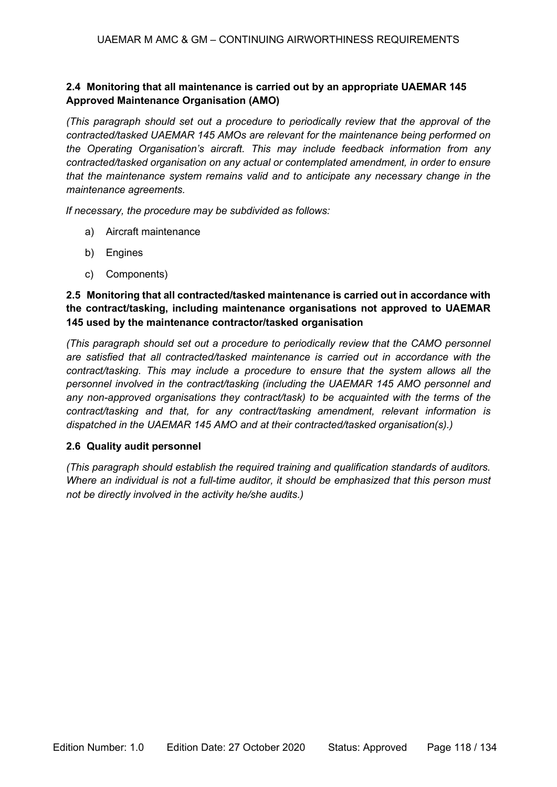#### **2.4 Monitoring that all maintenance is carried out by an appropriate UAEMAR 145 Approved Maintenance Organisation (AMO)**

*(This paragraph should set out a procedure to periodically review that the approval of the contracted/tasked UAEMAR 145 AMOs are relevant for the maintenance being performed on the Operating Organisation's aircraft. This may include feedback information from any contracted/tasked organisation on any actual or contemplated amendment, in order to ensure that the maintenance system remains valid and to anticipate any necessary change in the maintenance agreements.*

*If necessary, the procedure may be subdivided as follows:*

- a) Aircraft maintenance
- b) Engines
- c) Components)

#### **2.5 Monitoring that all contracted/tasked maintenance is carried out in accordance with the contract/tasking, including maintenance organisations not approved to UAEMAR 145 used by the maintenance contractor/tasked organisation**

*(This paragraph should set out a procedure to periodically review that the CAMO personnel are satisfied that all contracted/tasked maintenance is carried out in accordance with the contract/tasking. This may include a procedure to ensure that the system allows all the personnel involved in the contract/tasking (including the UAEMAR 145 AMO personnel and any non-approved organisations they contract/task) to be acquainted with the terms of the contract/tasking and that, for any contract/tasking amendment, relevant information is dispatched in the UAEMAR 145 AMO and at their contracted/tasked organisation(s).)*

#### **2.6 Quality audit personnel**

*(This paragraph should establish the required training and qualification standards of auditors. Where an individual is not a full-time auditor, it should be emphasized that this person must not be directly involved in the activity he/she audits.)*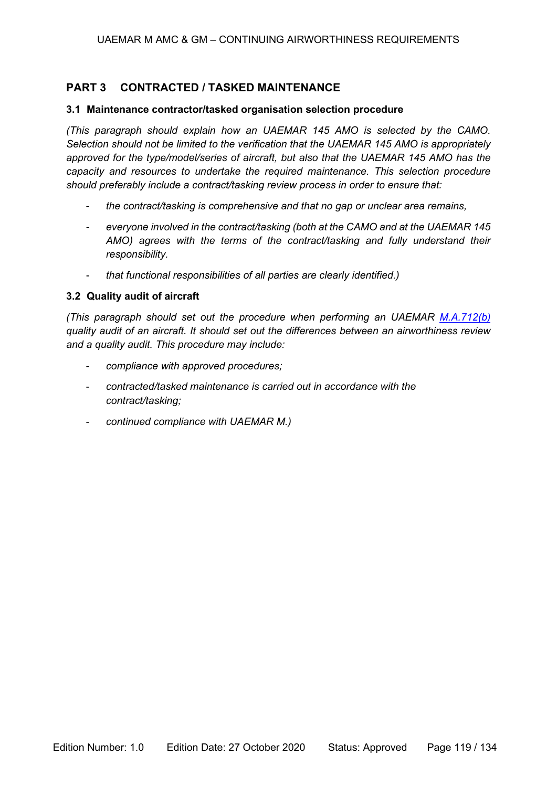#### **PART 3 CONTRACTED / TASKED MAINTENANCE**

#### **3.1 Maintenance contractor/tasked organisation selection procedure**

*(This paragraph should explain how an UAEMAR 145 AMO is selected by the CAMO. Selection should not be limited to the verification that the UAEMAR 145 AMO is appropriately approved for the type/model/series of aircraft, but also that the UAEMAR 145 AMO has the capacity and resources to undertake the required maintenance. This selection procedure should preferably include a contract/tasking review process in order to ensure that:*

- *the contract/tasking is comprehensive and that no gap or unclear area remains,*
- *everyone involved in the contract/tasking (both at the CAMO and at the UAEMAR 145 AMO) agrees with the terms of the contract/tasking and fully understand their responsibility.*
- *that functional responsibilities of all parties are clearly identified.)*

#### **3.2 Quality audit of aircraft**

*(This paragraph should set out the procedure when performing an UAEMAR M.A.712(b) quality audit of an aircraft. It should set out the differences between an airworthiness review and a quality audit. This procedure may include:*

- *compliance with approved procedures;*
- *contracted/tasked maintenance is carried out in accordance with the contract/tasking;*
- *continued compliance with UAEMAR M.)*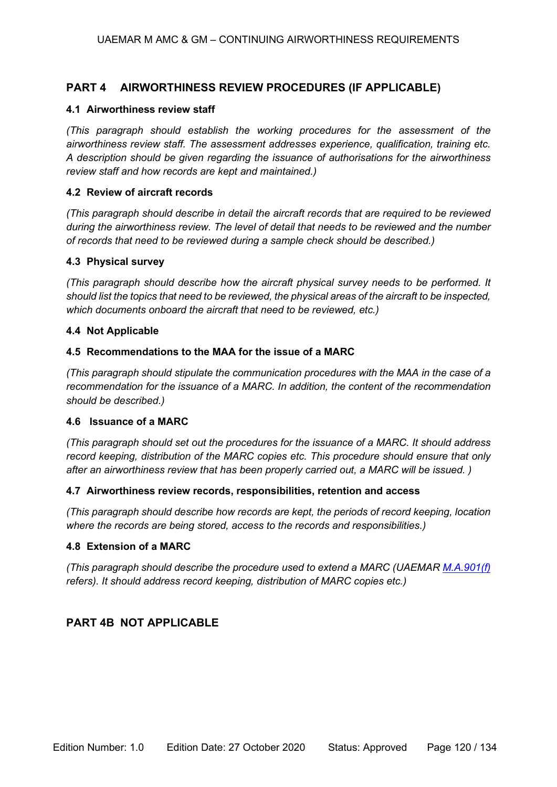#### **PART 4 AIRWORTHINESS REVIEW PROCEDURES (IF APPLICABLE)**

#### **4.1 Airworthiness review staff**

*(This paragraph should establish the working procedures for the assessment of the airworthiness review staff. The assessment addresses experience, qualification, training etc. A description should be given regarding the issuance of authorisations for the airworthiness review staff and how records are kept and maintained.)*

#### **4.2 Review of aircraft records**

*(This paragraph should describe in detail the aircraft records that are required to be reviewed during the airworthiness review. The level of detail that needs to be reviewed and the number of records that need to be reviewed during a sample check should be described.)*

#### **4.3 Physical survey**

*(This paragraph should describe how the aircraft physical survey needs to be performed. It should list the topics that need to be reviewed, the physical areas of the aircraft to be inspected, which documents onboard the aircraft that need to be reviewed, etc.)*

#### **4.4 Not Applicable**

#### **4.5 Recommendations to the MAA for the issue of a MARC**

*(This paragraph should stipulate the communication procedures with the MAA in the case of a recommendation for the issuance of a MARC. In addition, the content of the recommendation should be described.)*

#### **4.6 Issuance of a MARC**

*(This paragraph should set out the procedures for the issuance of a MARC. It should address record keeping, distribution of the MARC copies etc. This procedure should ensure that only after an airworthiness review that has been properly carried out, a MARC will be issued. )*

#### **4.7 Airworthiness review records, responsibilities, retention and access**

*(This paragraph should describe how records are kept, the periods of record keeping, location where the records are being stored, access to the records and responsibilities.)*

#### **4.8 Extension of a MARC**

*(This paragraph should describe the procedure used to extend a MARC (UAEMAR M.A.901(f) refers). It should address record keeping, distribution of MARC copies etc.)*

#### **PART 4B NOT APPLICABLE**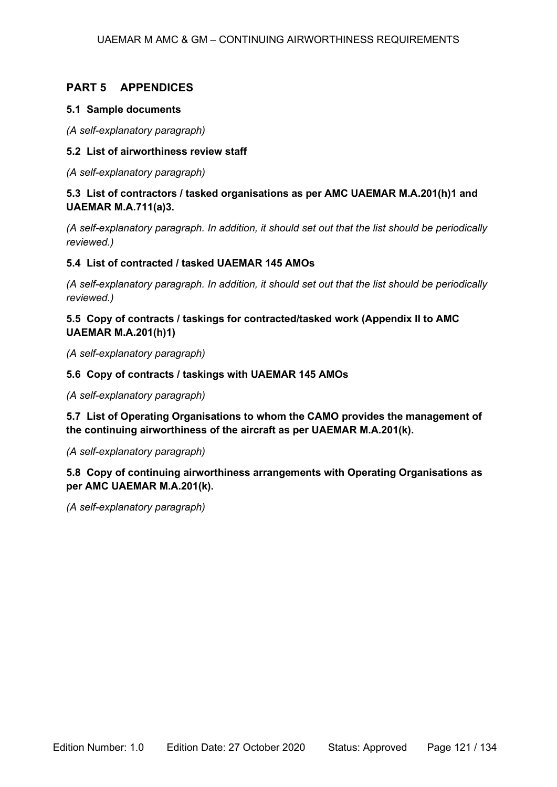#### **PART 5 APPENDICES**

#### **5.1 Sample documents**

*(A self-explanatory paragraph)*

#### **5.2 List of airworthiness review staff**

*(A self-explanatory paragraph)*

#### **5.3 List of contractors / tasked organisations as per AMC UAEMAR M.A.201(h)1 and UAEMAR M.A.711(a)3.**

*(A self-explanatory paragraph. In addition, it should set out that the list should be periodically reviewed.)*

#### **5.4 List of contracted / tasked UAEMAR 145 AMOs**

*(A self-explanatory paragraph. In addition, it should set out that the list should be periodically reviewed.)*

#### **5.5 Copy of contracts / taskings for contracted/tasked work (Appendix II to AMC UAEMAR M.A.201(h)1)**

*(A self-explanatory paragraph)*

#### **5.6 Copy of contracts / taskings with UAEMAR 145 AMOs**

*(A self-explanatory paragraph)*

**5.7 List of Operating Organisations to whom the CAMO provides the management of the continuing airworthiness of the aircraft as per UAEMAR M.A.201(k).**

*(A self-explanatory paragraph)*

**5.8 Copy of continuing airworthiness arrangements with Operating Organisations as per AMC UAEMAR M.A.201(k).**

*(A self-explanatory paragraph)*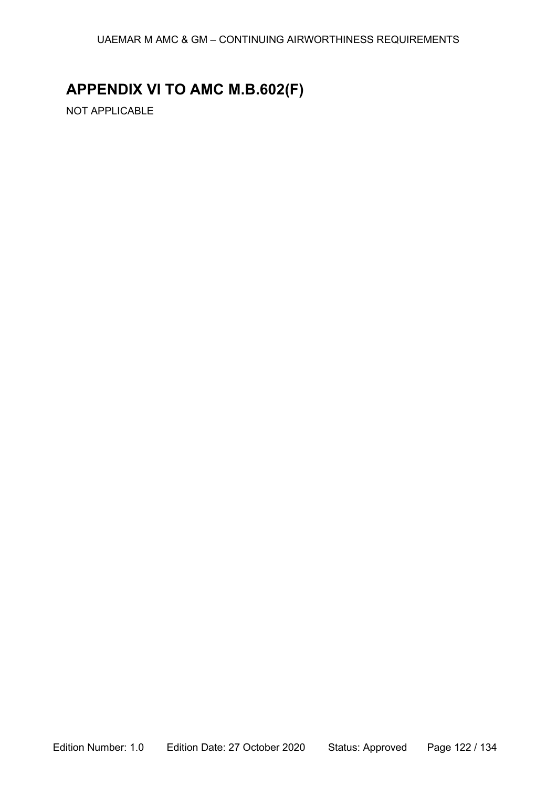## **APPENDIX VI TO AMC M.B.602(F)**

NOT APPLICABLE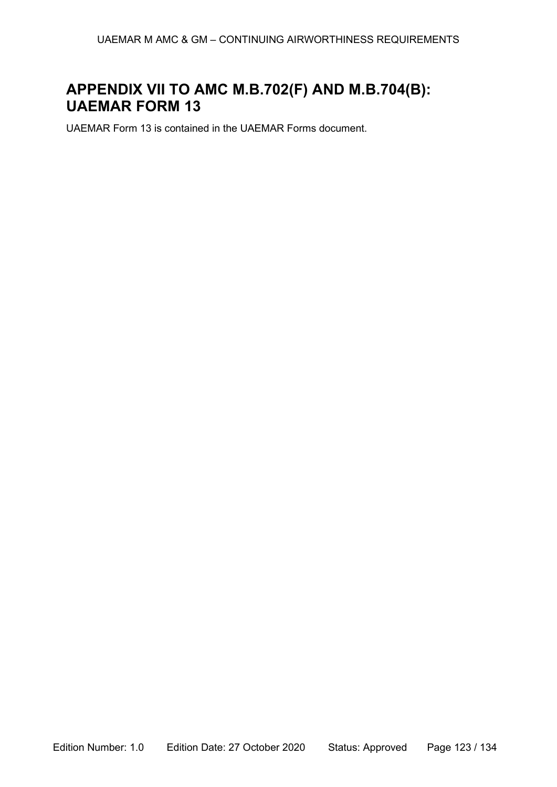### **APPENDIX VII TO AMC M.B.702(F) AND M.B.704(B): UAEMAR FORM 13**

UAEMAR Form 13 is contained in the UAEMAR Forms document.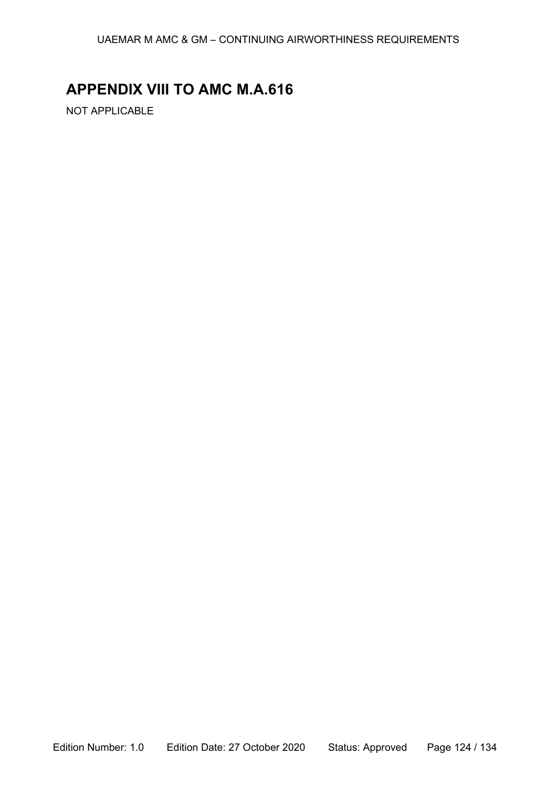### **APPENDIX VIII TO AMC M.A.616**

NOT APPLICABLE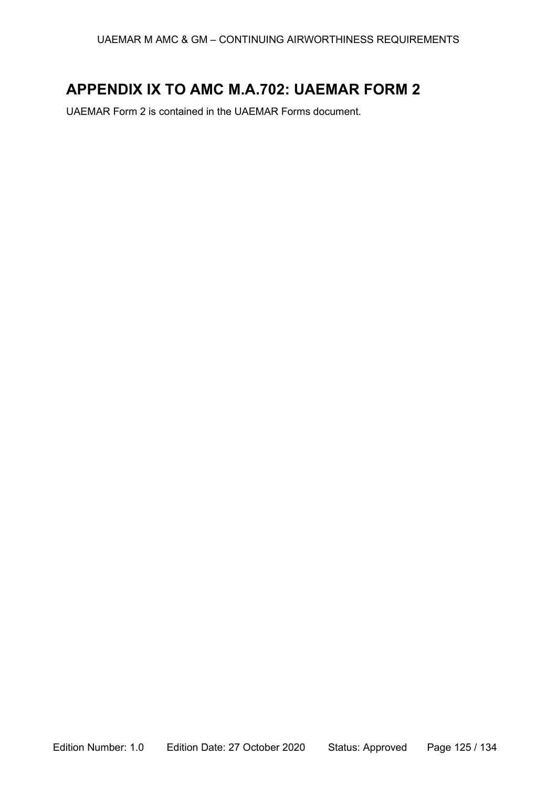## **APPENDIX IX TO AMC M.A.702: UAEMAR FORM 2**

UAEMAR Form 2 is contained in the UAEMAR Forms document.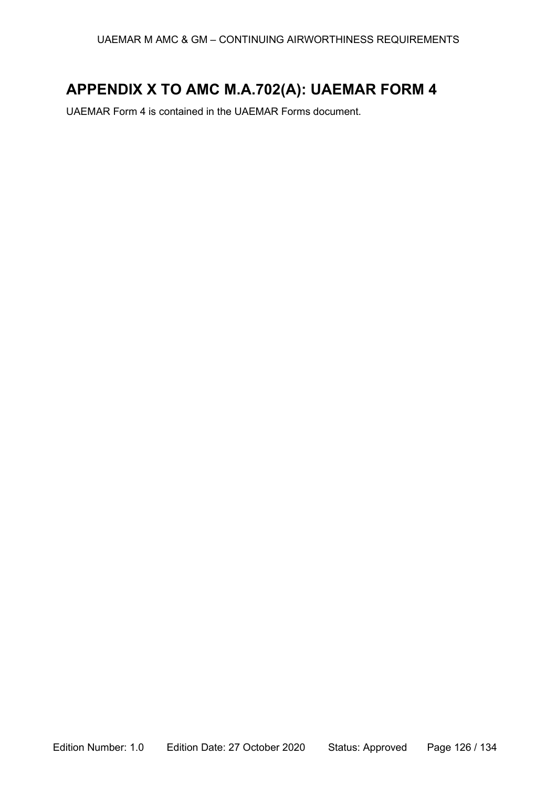## **APPENDIX X TO AMC M.A.702(A): UAEMAR FORM 4**

UAEMAR Form 4 is contained in the UAEMAR Forms document.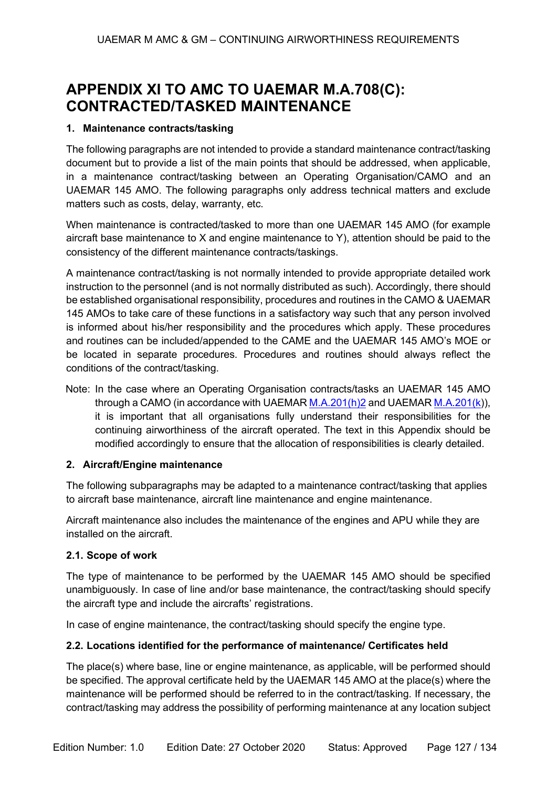### **APPENDIX XI TO AMC TO UAEMAR M.A.708(C): CONTRACTED/TASKED MAINTENANCE**

#### **1. Maintenance contracts/tasking**

The following paragraphs are not intended to provide a standard maintenance contract/tasking document but to provide a list of the main points that should be addressed, when applicable, in a maintenance contract/tasking between an Operating Organisation/CAMO and an UAEMAR 145 AMO. The following paragraphs only address technical matters and exclude matters such as costs, delay, warranty, etc.

When maintenance is contracted/tasked to more than one UAEMAR 145 AMO (for example aircraft base maintenance to X and engine maintenance to Y), attention should be paid to the consistency of the different maintenance contracts/taskings.

A maintenance contract/tasking is not normally intended to provide appropriate detailed work instruction to the personnel (and is not normally distributed as such). Accordingly, there should be established organisational responsibility, procedures and routines in the CAMO & UAEMAR 145 AMOs to take care of these functions in a satisfactory way such that any person involved is informed about his/her responsibility and the procedures which apply. These procedures and routines can be included/appended to the CAME and the UAEMAR 145 AMO's MOE or be located in separate procedures. Procedures and routines should always reflect the conditions of the contract/tasking.

Note: In the case where an Operating Organisation contracts/tasks an UAEMAR 145 AMO through a CAMO (in accordance with UAEMAR  $M.A.201(h)2$  and UAEMAR  $M.A.201(k)$ ), it is important that all organisations fully understand their responsibilities for the continuing airworthiness of the aircraft operated. The text in this Appendix should be modified accordingly to ensure that the allocation of responsibilities is clearly detailed.

#### **2. Aircraft/Engine maintenance**

The following subparagraphs may be adapted to a maintenance contract/tasking that applies to aircraft base maintenance, aircraft line maintenance and engine maintenance.

Aircraft maintenance also includes the maintenance of the engines and APU while they are installed on the aircraft.

#### **2.1. Scope of work**

The type of maintenance to be performed by the UAEMAR 145 AMO should be specified unambiguously. In case of line and/or base maintenance, the contract/tasking should specify the aircraft type and include the aircrafts' registrations.

In case of engine maintenance, the contract/tasking should specify the engine type.

#### **2.2. Locations identified for the performance of maintenance/ Certificates held**

The place(s) where base, line or engine maintenance, as applicable, will be performed should be specified. The approval certificate held by the UAEMAR 145 AMO at the place(s) where the maintenance will be performed should be referred to in the contract/tasking. If necessary, the contract/tasking may address the possibility of performing maintenance at any location subject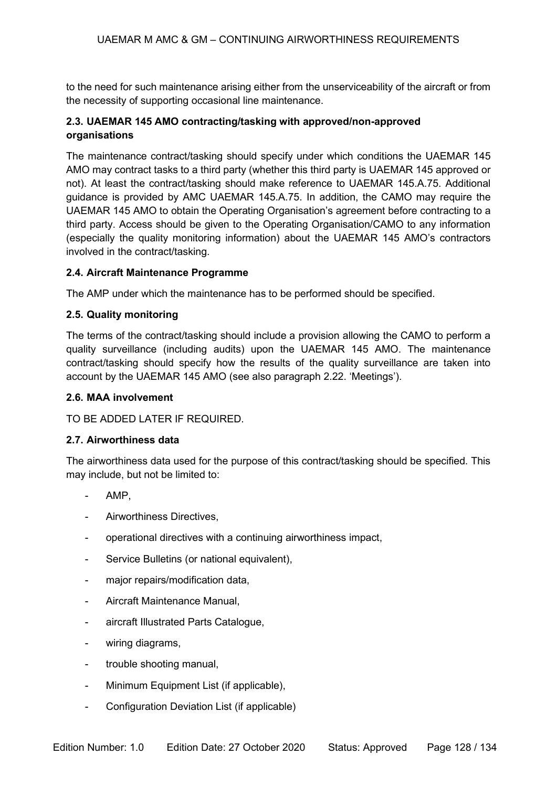to the need for such maintenance arising either from the unserviceability of the aircraft or from the necessity of supporting occasional line maintenance.

#### **2.3. UAEMAR 145 AMO contracting/tasking with approved/non-approved organisations**

The maintenance contract/tasking should specify under which conditions the UAEMAR 145 AMO may contract tasks to a third party (whether this third party is UAEMAR 145 approved or not). At least the contract/tasking should make reference to UAEMAR 145.A.75. Additional guidance is provided by AMC UAEMAR 145.A.75. In addition, the CAMO may require the UAEMAR 145 AMO to obtain the Operating Organisation's agreement before contracting to a third party. Access should be given to the Operating Organisation/CAMO to any information (especially the quality monitoring information) about the UAEMAR 145 AMO's contractors involved in the contract/tasking.

#### **2.4. Aircraft Maintenance Programme**

The AMP under which the maintenance has to be performed should be specified.

#### **2.5. Quality monitoring**

The terms of the contract/tasking should include a provision allowing the CAMO to perform a quality surveillance (including audits) upon the UAEMAR 145 AMO. The maintenance contract/tasking should specify how the results of the quality surveillance are taken into account by the UAEMAR 145 AMO (see also paragraph 2.22. 'Meetings').

#### **2.6. MAA involvement**

TO BE ADDED LATER IF REQUIRED.

#### **2.7. Airworthiness data**

The airworthiness data used for the purpose of this contract/tasking should be specified. This may include, but not be limited to:

- AMP,
- Airworthiness Directives,
- operational directives with a continuing airworthiness impact,
- Service Bulletins (or national equivalent),
- major repairs/modification data,
- Aircraft Maintenance Manual,
- aircraft Illustrated Parts Catalogue,
- wiring diagrams,
- trouble shooting manual,
- Minimum Equipment List (if applicable),
- Configuration Deviation List (if applicable)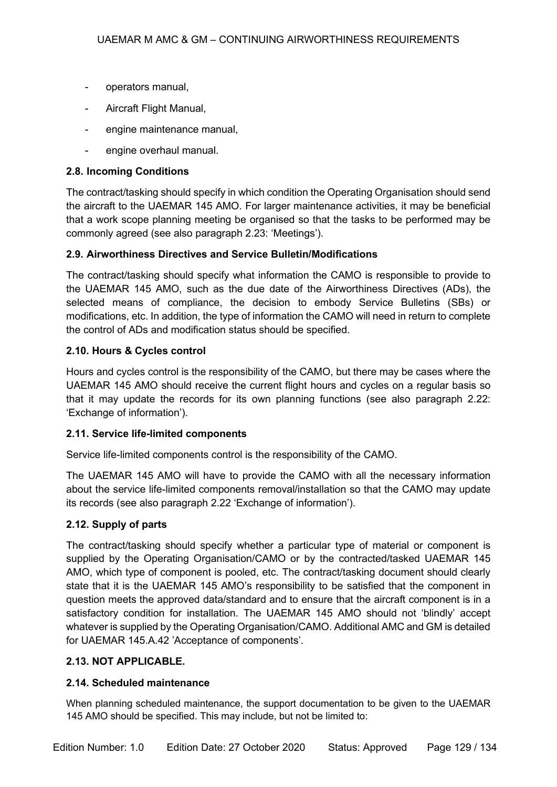- operators manual,
- Aircraft Flight Manual,
- engine maintenance manual,
- engine overhaul manual.

#### **2.8. Incoming Conditions**

The contract/tasking should specify in which condition the Operating Organisation should send the aircraft to the UAEMAR 145 AMO. For larger maintenance activities, it may be beneficial that a work scope planning meeting be organised so that the tasks to be performed may be commonly agreed (see also paragraph 2.23: 'Meetings').

#### **2.9. Airworthiness Directives and Service Bulletin/Modifications**

The contract/tasking should specify what information the CAMO is responsible to provide to the UAEMAR 145 AMO, such as the due date of the Airworthiness Directives (ADs), the selected means of compliance, the decision to embody Service Bulletins (SBs) or modifications, etc. In addition, the type of information the CAMO will need in return to complete the control of ADs and modification status should be specified.

#### **2.10. Hours & Cycles control**

Hours and cycles control is the responsibility of the CAMO, but there may be cases where the UAEMAR 145 AMO should receive the current flight hours and cycles on a regular basis so that it may update the records for its own planning functions (see also paragraph 2.22: 'Exchange of information').

#### **2.11. Service life-limited components**

Service life-limited components control is the responsibility of the CAMO.

The UAEMAR 145 AMO will have to provide the CAMO with all the necessary information about the service life-limited components removal/installation so that the CAMO may update its records (see also paragraph 2.22 'Exchange of information').

#### **2.12. Supply of parts**

The contract/tasking should specify whether a particular type of material or component is supplied by the Operating Organisation/CAMO or by the contracted/tasked UAEMAR 145 AMO, which type of component is pooled, etc. The contract/tasking document should clearly state that it is the UAEMAR 145 AMO's responsibility to be satisfied that the component in question meets the approved data/standard and to ensure that the aircraft component is in a satisfactory condition for installation. The UAEMAR 145 AMO should not 'blindly' accept whatever is supplied by the Operating Organisation/CAMO. Additional AMC and GM is detailed for UAEMAR 145.A.42 'Acceptance of components'.

#### **2.13. NOT APPLICABLE.**

#### **2.14. Scheduled maintenance**

When planning scheduled maintenance, the support documentation to be given to the UAEMAR 145 AMO should be specified. This may include, but not be limited to: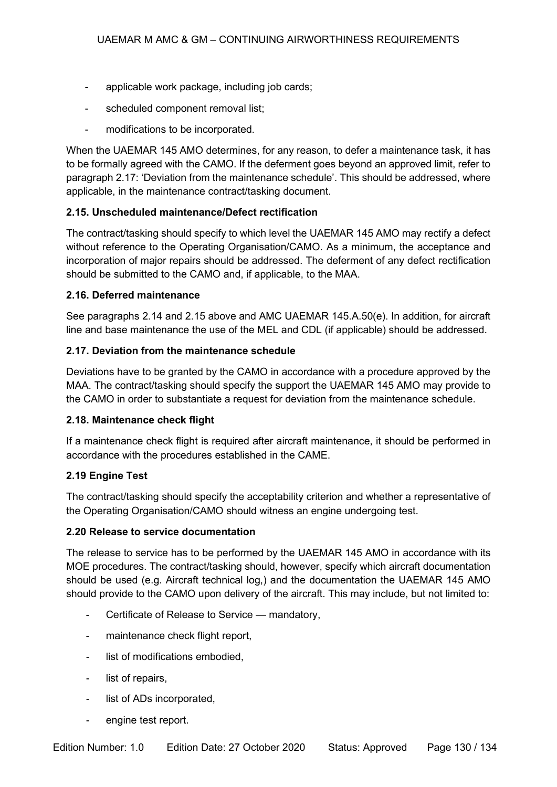- applicable work package, including job cards;
- scheduled component removal list;
- modifications to be incorporated.

When the UAEMAR 145 AMO determines, for any reason, to defer a maintenance task, it has to be formally agreed with the CAMO. If the deferment goes beyond an approved limit, refer to paragraph 2.17: 'Deviation from the maintenance schedule'. This should be addressed, where applicable, in the maintenance contract/tasking document.

#### **2.15. Unscheduled maintenance/Defect rectification**

The contract/tasking should specify to which level the UAEMAR 145 AMO may rectify a defect without reference to the Operating Organisation/CAMO. As a minimum, the acceptance and incorporation of major repairs should be addressed. The deferment of any defect rectification should be submitted to the CAMO and, if applicable, to the MAA.

#### **2.16. Deferred maintenance**

See paragraphs 2.14 and 2.15 above and AMC UAEMAR 145.A.50(e). In addition, for aircraft line and base maintenance the use of the MEL and CDL (if applicable) should be addressed.

#### **2.17. Deviation from the maintenance schedule**

Deviations have to be granted by the CAMO in accordance with a procedure approved by the MAA. The contract/tasking should specify the support the UAEMAR 145 AMO may provide to the CAMO in order to substantiate a request for deviation from the maintenance schedule.

#### **2.18. Maintenance check flight**

If a maintenance check flight is required after aircraft maintenance, it should be performed in accordance with the procedures established in the CAME.

#### **2.19 Engine Test**

The contract/tasking should specify the acceptability criterion and whether a representative of the Operating Organisation/CAMO should witness an engine undergoing test.

#### **2.20 Release to service documentation**

The release to service has to be performed by the UAEMAR 145 AMO in accordance with its MOE procedures. The contract/tasking should, however, specify which aircraft documentation should be used (e.g. Aircraft technical log,) and the documentation the UAEMAR 145 AMO should provide to the CAMO upon delivery of the aircraft. This may include, but not limited to:

- Certificate of Release to Service mandatory,
- maintenance check flight report,
- list of modifications embodied,
- list of repairs,
- list of ADs incorporated,
- engine test report.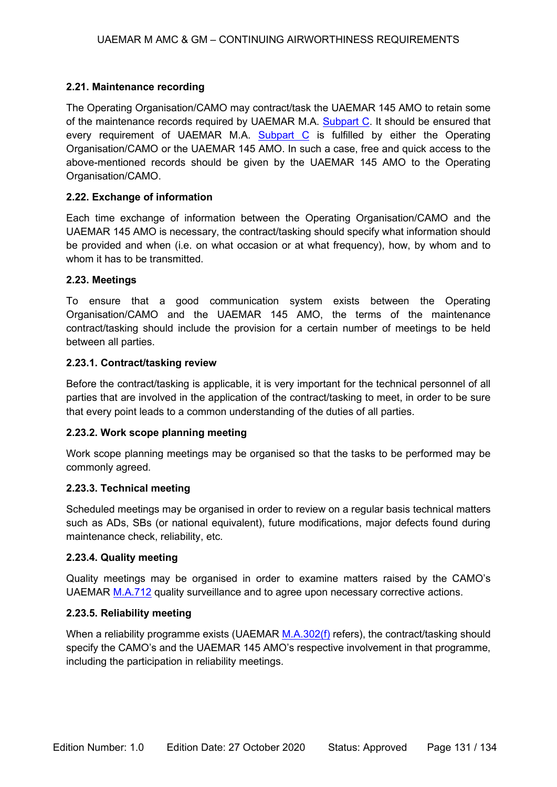#### **2.21. Maintenance recording**

The Operating Organisation/CAMO may contract/task the UAEMAR 145 AMO to retain some of the maintenance records required by UAEMAR M.A. Subpart C. It should be ensured that every requirement of UAEMAR M.A. Subpart C is fulfilled by either the Operating Organisation/CAMO or the UAEMAR 145 AMO. In such a case, free and quick access to the above-mentioned records should be given by the UAEMAR 145 AMO to the Operating Organisation/CAMO.

#### **2.22. Exchange of information**

Each time exchange of information between the Operating Organisation/CAMO and the UAEMAR 145 AMO is necessary, the contract/tasking should specify what information should be provided and when (i.e. on what occasion or at what frequency), how, by whom and to whom it has to be transmitted.

#### **2.23. Meetings**

To ensure that a good communication system exists between the Operating Organisation/CAMO and the UAEMAR 145 AMO, the terms of the maintenance contract/tasking should include the provision for a certain number of meetings to be held between all parties.

#### **2.23.1. Contract/tasking review**

Before the contract/tasking is applicable, it is very important for the technical personnel of all parties that are involved in the application of the contract/tasking to meet, in order to be sure that every point leads to a common understanding of the duties of all parties.

#### **2.23.2. Work scope planning meeting**

Work scope planning meetings may be organised so that the tasks to be performed may be commonly agreed.

#### **2.23.3. Technical meeting**

Scheduled meetings may be organised in order to review on a regular basis technical matters such as ADs, SBs (or national equivalent), future modifications, major defects found during maintenance check, reliability, etc.

#### **2.23.4. Quality meeting**

Quality meetings may be organised in order to examine matters raised by the CAMO's UAEMAR M.A.712 quality surveillance and to agree upon necessary corrective actions.

#### **2.23.5. Reliability meeting**

When a reliability programme exists (UAEMAR M.A.302(f) refers), the contract/tasking should specify the CAMO's and the UAEMAR 145 AMO's respective involvement in that programme, including the participation in reliability meetings.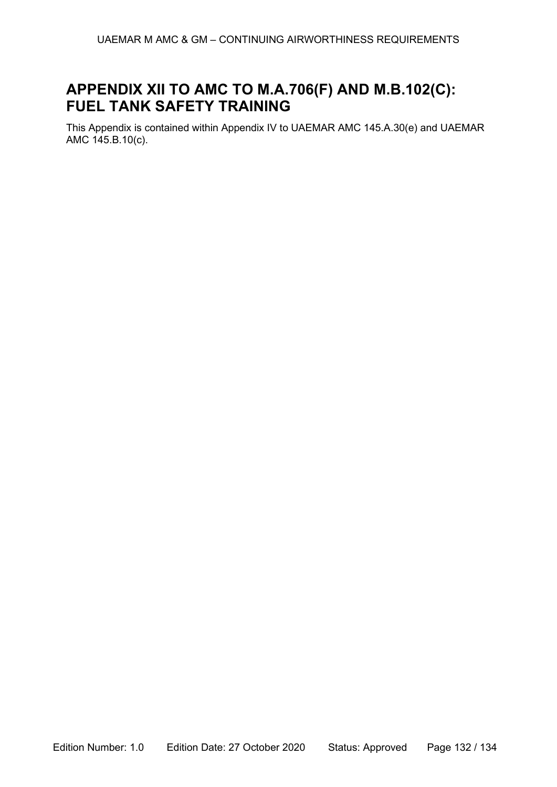### **APPENDIX XII TO AMC TO M.A.706(F) AND M.B.102(C): FUEL TANK SAFETY TRAINING**

This Appendix is contained within Appendix IV to UAEMAR AMC 145.A.30(e) and UAEMAR AMC 145.B.10(c).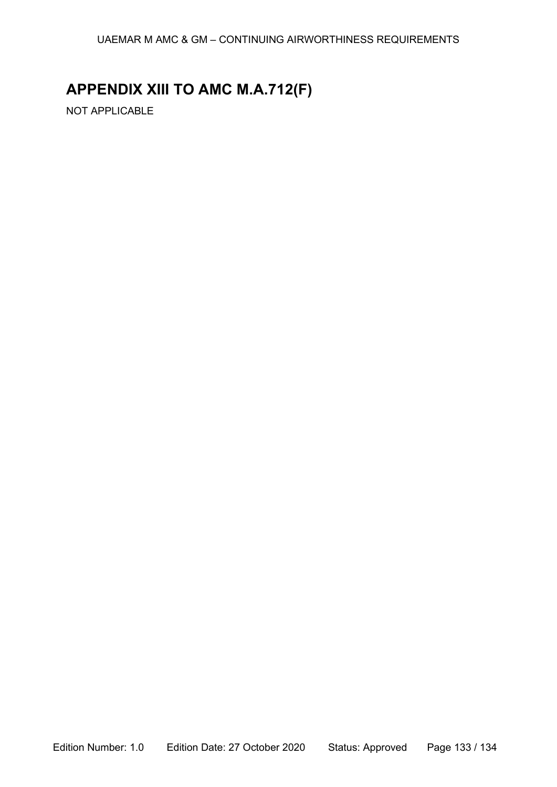## **APPENDIX XIII TO AMC M.A.712(F)**

NOT APPLICABLE